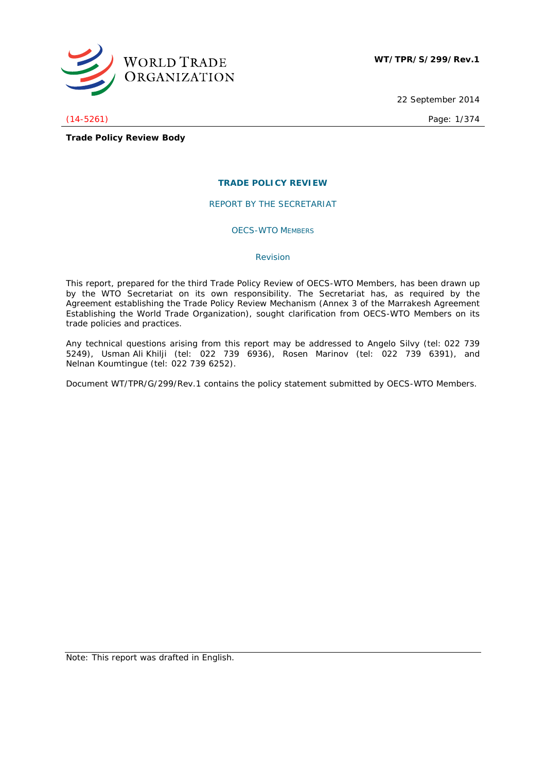

22 September 2014

(14-5261) Page: 1/374

**Trade Policy Review Body**

# **TRADE POLICY REVIEW**

REPORT BY THE SECRETARIAT

OECS-WTO MEMBERS

## *Revision*

This report, prepared for the third Trade Policy Review of OECS-WTO Members, has been drawn up by the WTO Secretariat on its own responsibility. The Secretariat has, as required by the Agreement establishing the Trade Policy Review Mechanism (Annex 3 of the Marrakesh Agreement Establishing the World Trade Organization), sought clarification from OECS-WTO Members on its trade policies and practices.

Any technical questions arising from this report may be addressed to Angelo Silvy (tel: 022 739 5249), Usman Ali Khilji (tel: 022 739 6936), Rosen Marinov (tel: 022 739 6391), and Nelnan Koumtingue (tel: 022 739 6252).

Document WT/TPR/G/299/Rev.1 contains the policy statement submitted by OECS-WTO Members.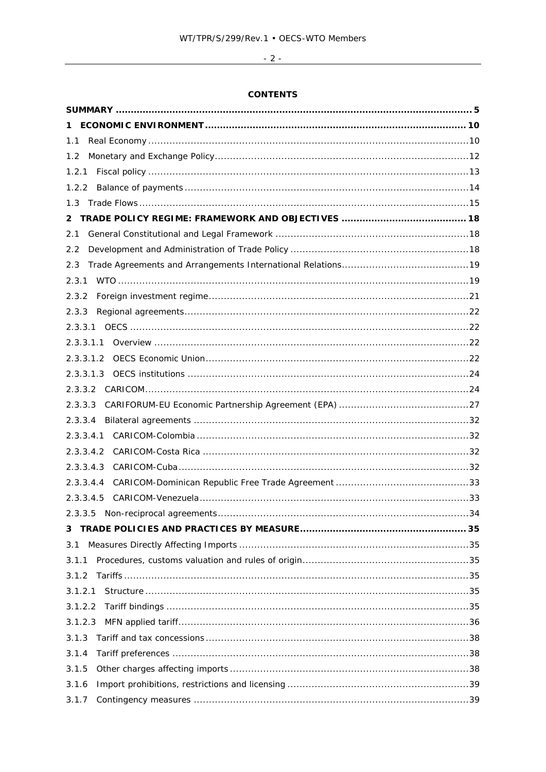# $-2$  -

# **CONTENTS**

| 1.1          |  |
|--------------|--|
| 1.2          |  |
| 1.2.1        |  |
| 1.2.2        |  |
| 1.3          |  |
| $\mathbf{2}$ |  |
| 2.1          |  |
| 2.2          |  |
| 2.3          |  |
| 2.3.1        |  |
| 2.3.2        |  |
| 2.3.3        |  |
|              |  |
| 2.3.3.1.1    |  |
| 2.3.3.1.2    |  |
|              |  |
|              |  |
| 2.3.3.3      |  |
| 2.3.3.4      |  |
| 2.3.3.4.1    |  |
| 2.3.3.4.2    |  |
| 2.3.3.4.3    |  |
| 2.3.3.4.4    |  |
| 2.3.3.4.5    |  |
|              |  |
| 3            |  |
| 3.1          |  |
| 3.1.1        |  |
| 3.1.2        |  |
| 3.1.2.1      |  |
| 3.1.2.2      |  |
| 3.1.2.3      |  |
| 3.1.3        |  |
| 3.1.4        |  |
| 3.1.5        |  |
| 3.1.6        |  |
| 3.1.7        |  |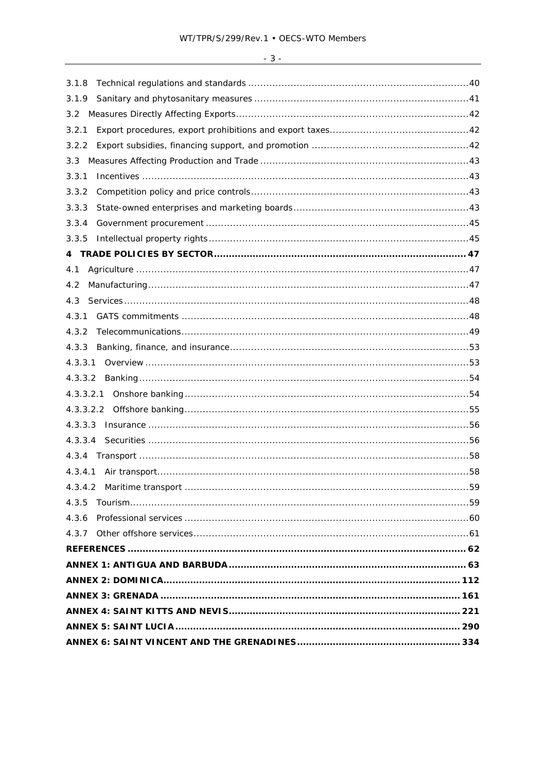| 3.1.8   |
|---------|
| 3.1.9   |
| 3.2     |
| 3.2.1   |
| 3.2.2   |
| 3.3     |
| 3.3.1   |
| 3.3.2   |
| 3.3.3   |
| 3.3.4   |
| 3.3.5   |
|         |
| 4.1     |
| 4.2     |
| 4.3     |
| 4.3.1   |
| 4.3.2   |
| 4.3.3   |
| 4.3.3.1 |
| 4.3.3.2 |
|         |
|         |
|         |
|         |
| 4.3.4   |
|         |
|         |
| 4.3.5   |
| 4.3.6   |
|         |
|         |
|         |
|         |
|         |
|         |
|         |
|         |
|         |

# $-3-$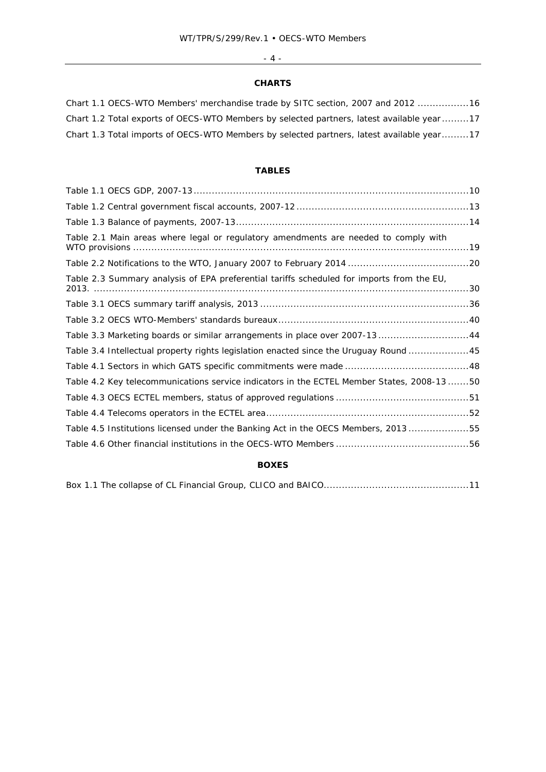# $-4$  -

# **CHARTS**

| Chart 1.1 OECS-WTO Members' merchandise trade by SITC section, 2007 and 2012 16           |
|-------------------------------------------------------------------------------------------|
| Chart 1.2 Total exports of OECS-WTO Members by selected partners, latest available year17 |
| Chart 1.3 Total imports of OECS-WTO Members by selected partners, latest available year17 |

# **TABLES**

| Table 3.3 Marketing boards or similar arrangements in place over 2007-13 44                |
|--------------------------------------------------------------------------------------------|
| Table 3.4 Intellectual property rights legislation enacted since the Uruguay Round 45      |
|                                                                                            |
| Table 4.2 Key telecommunications service indicators in the ECTEL Member States, 2008-13 50 |
|                                                                                            |
|                                                                                            |
| Table 4.5 Institutions licensed under the Banking Act in the OECS Members, 201355          |
|                                                                                            |
|                                                                                            |

# **BOXES**

|--|--|--|--|--|--|--|--|--|--|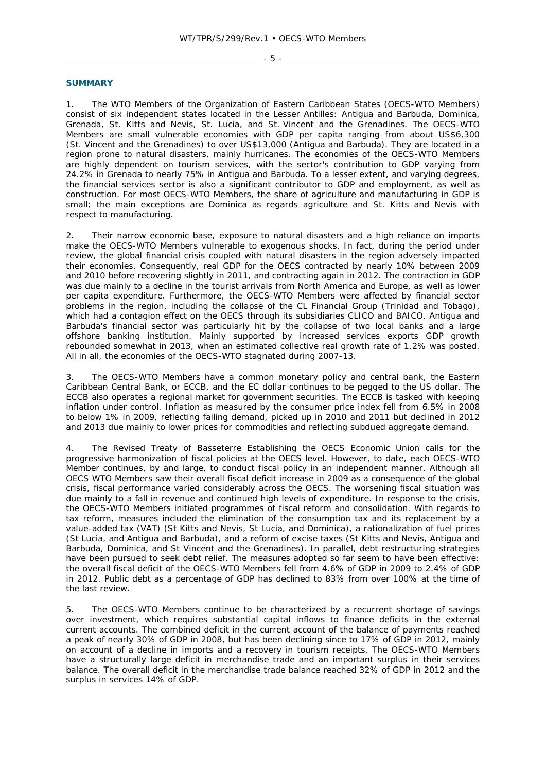- 5 -

#### **SUMMARY**

1. The WTO Members of the Organization of Eastern Caribbean States (OECS-WTO Members) consist of six independent states located in the Lesser Antilles: Antigua and Barbuda, Dominica, Grenada, St. Kitts and Nevis, St. Lucia, and St. Vincent and the Grenadines. The OECS-WTO Members are small vulnerable economies with GDP per capita ranging from about US\$6,300 (St. Vincent and the Grenadines) to over US\$13,000 (Antigua and Barbuda). They are located in a region prone to natural disasters, mainly hurricanes. The economies of the OECS-WTO Members are highly dependent on tourism services, with the sector's contribution to GDP varying from 24.2% in Grenada to nearly 75% in Antigua and Barbuda. To a lesser extent, and varying degrees, the financial services sector is also a significant contributor to GDP and employment, as well as construction. For most OECS-WTO Members, the share of agriculture and manufacturing in GDP is small; the main exceptions are Dominica as regards agriculture and St. Kitts and Nevis with respect to manufacturing.

2. Their narrow economic base, exposure to natural disasters and a high reliance on imports make the OECS-WTO Members vulnerable to exogenous shocks. In fact, during the period under review, the global financial crisis coupled with natural disasters in the region adversely impacted their economies. Consequently, real GDP for the OECS contracted by nearly 10% between 2009 and 2010 before recovering slightly in 2011, and contracting again in 2012. The contraction in GDP was due mainly to a decline in the tourist arrivals from North America and Europe, as well as lower per capita expenditure. Furthermore, the OECS-WTO Members were affected by financial sector problems in the region, including the collapse of the CL Financial Group (Trinidad and Tobago), which had a contagion effect on the OECS through its subsidiaries CLICO and BAICO. Antigua and Barbuda's financial sector was particularly hit by the collapse of two local banks and a large offshore banking institution. Mainly supported by increased services exports GDP growth rebounded somewhat in 2013, when an estimated collective real growth rate of 1.2% was posted. All in all, the economies of the OECS-WTO stagnated during 2007-13.

3. The OECS-WTO Members have a common monetary policy and central bank, the Eastern Caribbean Central Bank, or ECCB, and the EC dollar continues to be pegged to the US dollar. The ECCB also operates a regional market for government securities. The ECCB is tasked with keeping inflation under control. Inflation as measured by the consumer price index fell from 6.5% in 2008 to below 1% in 2009, reflecting falling demand, picked up in 2010 and 2011 but declined in 2012 and 2013 due mainly to lower prices for commodities and reflecting subdued aggregate demand.

4. The Revised Treaty of Basseterre Establishing the OECS Economic Union calls for the progressive harmonization of fiscal policies at the OECS level. However, to date, each OECS-WTO Member continues, by and large, to conduct fiscal policy in an independent manner. Although all OECS WTO Members saw their overall fiscal deficit increase in 2009 as a consequence of the global crisis, fiscal performance varied considerably across the OECS. The worsening fiscal situation was due mainly to a fall in revenue and continued high levels of expenditure. In response to the crisis, the OECS-WTO Members initiated programmes of fiscal reform and consolidation. With regards to tax reform, measures included the elimination of the consumption tax and its replacement by a value-added tax (VAT) (St Kitts and Nevis, St Lucia, and Dominica), a rationalization of fuel prices (St Lucia, and Antigua and Barbuda), and a reform of excise taxes (St Kitts and Nevis, Antigua and Barbuda, Dominica, and St Vincent and the Grenadines). In parallel, debt restructuring strategies have been pursued to seek debt relief. The measures adopted so far seem to have been effective: the overall fiscal deficit of the OECS-WTO Members fell from 4.6% of GDP in 2009 to 2.4% of GDP in 2012. Public debt as a percentage of GDP has declined to 83% from over 100% at the time of the last review.

5. The OECS-WTO Members continue to be characterized by a recurrent shortage of savings over investment, which requires substantial capital inflows to finance deficits in the external current accounts. The combined deficit in the current account of the balance of payments reached a peak of nearly 30% of GDP in 2008, but has been declining since to 17% of GDP in 2012, mainly on account of a decline in imports and a recovery in tourism receipts. The OECS-WTO Members have a structurally large deficit in merchandise trade and an important surplus in their services balance. The overall deficit in the merchandise trade balance reached 32% of GDP in 2012 and the surplus in services 14% of GDP.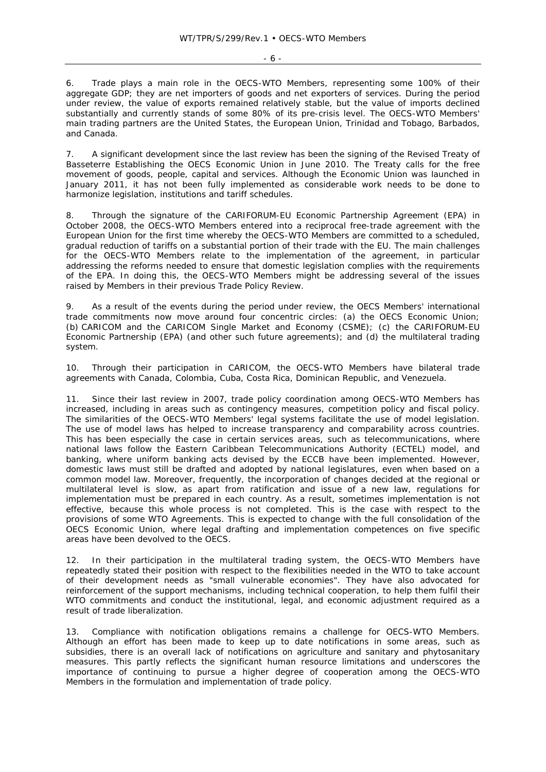- 6 -

6. Trade plays a main role in the OECS-WTO Members, representing some 100% of their aggregate GDP; they are net importers of goods and net exporters of services. During the period under review, the value of exports remained relatively stable, but the value of imports declined substantially and currently stands of some 80% of its pre-crisis level. The OECS-WTO Members' main trading partners are the United States, the European Union, Trinidad and Tobago, Barbados, and Canada.

7. A significant development since the last review has been the signing of the Revised Treaty of Basseterre Establishing the OECS Economic Union in June 2010. The Treaty calls for the free movement of goods, people, capital and services. Although the Economic Union was launched in January 2011, it has not been fully implemented as considerable work needs to be done to harmonize legislation, institutions and tariff schedules.

8. Through the signature of the CARIFORUM-EU Economic Partnership Agreement (EPA) in October 2008, the OECS-WTO Members entered into a reciprocal free-trade agreement with the European Union for the first time whereby the OECS-WTO Members are committed to a scheduled, gradual reduction of tariffs on a substantial portion of their trade with the EU. The main challenges for the OECS-WTO Members relate to the implementation of the agreement, in particular addressing the reforms needed to ensure that domestic legislation complies with the requirements of the EPA. In doing this, the OECS-WTO Members might be addressing several of the issues raised by Members in their previous Trade Policy Review.

9. As a result of the events during the period under review, the OECS Members' international trade commitments now move around four concentric circles: (a) the OECS Economic Union; (b) CARICOM and the CARICOM Single Market and Economy (CSME); (c) the CARIFORUM-EU Economic Partnership (EPA) (and other such future agreements); and (d) the multilateral trading system.

10. Through their participation in CARICOM, the OECS-WTO Members have bilateral trade agreements with Canada, Colombia, Cuba, Costa Rica, Dominican Republic, and Venezuela.

11. Since their last review in 2007, trade policy coordination among OECS-WTO Members has increased, including in areas such as contingency measures, competition policy and fiscal policy. The similarities of the OECS-WTO Members' legal systems facilitate the use of model legislation. The use of model laws has helped to increase transparency and comparability across countries. This has been especially the case in certain services areas, such as telecommunications, where national laws follow the Eastern Caribbean Telecommunications Authority (ECTEL) model, and banking, where uniform banking acts devised by the ECCB have been implemented. However, domestic laws must still be drafted and adopted by national legislatures, even when based on a common model law. Moreover, frequently, the incorporation of changes decided at the regional or multilateral level is slow, as apart from ratification and issue of a new law, regulations for implementation must be prepared in each country. As a result, sometimes implementation is not effective, because this whole process is not completed. This is the case with respect to the provisions of some WTO Agreements. This is expected to change with the full consolidation of the OECS Economic Union, where legal drafting and implementation competences on five specific areas have been devolved to the OECS.

12. In their participation in the multilateral trading system, the OECS-WTO Members have repeatedly stated their position with respect to the flexibilities needed in the WTO to take account of their development needs as "small vulnerable economies". They have also advocated for reinforcement of the support mechanisms, including technical cooperation, to help them fulfil their WTO commitments and conduct the institutional, legal, and economic adjustment required as a result of trade liberalization.

13. Compliance with notification obligations remains a challenge for OECS-WTO Members. Although an effort has been made to keep up to date notifications in some areas, such as subsidies, there is an overall lack of notifications on agriculture and sanitary and phytosanitary measures. This partly reflects the significant human resource limitations and underscores the importance of continuing to pursue a higher degree of cooperation among the OECS-WTO Members in the formulation and implementation of trade policy.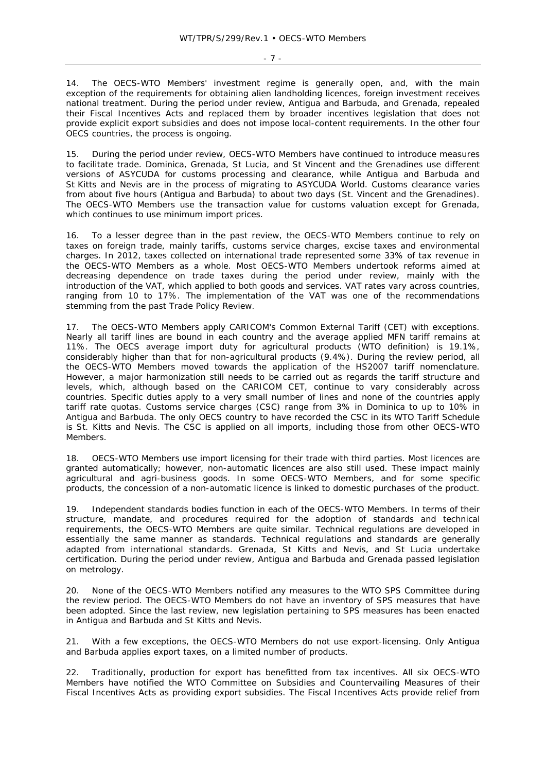- 7 -

14. The OECS-WTO Members' investment regime is generally open, and, with the main exception of the requirements for obtaining alien landholding licences, foreign investment receives national treatment. During the period under review, Antigua and Barbuda, and Grenada, repealed their Fiscal Incentives Acts and replaced them by broader incentives legislation that does not provide explicit export subsidies and does not impose local-content requirements. In the other four OECS countries, the process is ongoing.

15. During the period under review, OECS-WTO Members have continued to introduce measures to facilitate trade. Dominica, Grenada, St Lucia, and St Vincent and the Grenadines use different versions of ASYCUDA for customs processing and clearance, while Antigua and Barbuda and St Kitts and Nevis are in the process of migrating to ASYCUDA World. Customs clearance varies from about five hours (Antigua and Barbuda) to about two days (St. Vincent and the Grenadines). The OECS-WTO Members use the transaction value for customs valuation except for Grenada, which continues to use minimum import prices.

16. To a lesser degree than in the past review, the OECS-WTO Members continue to rely on taxes on foreign trade, mainly tariffs, customs service charges, excise taxes and environmental charges. In 2012, taxes collected on international trade represented some 33% of tax revenue in the OECS-WTO Members as a whole. Most OECS-WTO Members undertook reforms aimed at decreasing dependence on trade taxes during the period under review, mainly with the introduction of the VAT, which applied to both goods and services. VAT rates vary across countries, ranging from 10 to 17%. The implementation of the VAT was one of the recommendations stemming from the past Trade Policy Review.

17. The OECS-WTO Members apply CARICOM's Common External Tariff (CET) with exceptions. Nearly all tariff lines are bound in each country and the average applied MFN tariff remains at 11%. The OECS average import duty for agricultural products (WTO definition) is 19.1%, considerably higher than that for non-agricultural products (9.4%). During the review period, all the OECS-WTO Members moved towards the application of the HS2007 tariff nomenclature. However, a major harmonization still needs to be carried out as regards the tariff structure and levels, which, although based on the CARICOM CET, continue to vary considerably across countries. Specific duties apply to a very small number of lines and none of the countries apply tariff rate quotas. Customs service charges (CSC) range from 3% in Dominica to up to 10% in Antigua and Barbuda. The only OECS country to have recorded the CSC in its WTO Tariff Schedule is St. Kitts and Nevis. The CSC is applied on all imports, including those from other OECS-WTO Members.

18. OECS-WTO Members use import licensing for their trade with third parties. Most licences are granted automatically; however, non-automatic licences are also still used. These impact mainly agricultural and agri-business goods. In some OECS-WTO Members, and for some specific products, the concession of a non-automatic licence is linked to domestic purchases of the product.

19. Independent standards bodies function in each of the OECS-WTO Members. In terms of their structure, mandate, and procedures required for the adoption of standards and technical requirements, the OECS-WTO Members are quite similar. Technical regulations are developed in essentially the same manner as standards. Technical regulations and standards are generally adapted from international standards. Grenada, St Kitts and Nevis, and St Lucia undertake certification. During the period under review, Antigua and Barbuda and Grenada passed legislation on metrology.

20. None of the OECS-WTO Members notified any measures to the WTO SPS Committee during the review period. The OECS-WTO Members do not have an inventory of SPS measures that have been adopted. Since the last review, new legislation pertaining to SPS measures has been enacted in Antigua and Barbuda and St Kitts and Nevis.

21. With a few exceptions, the OECS-WTO Members do not use export-licensing. Only Antigua and Barbuda applies export taxes, on a limited number of products.

22. Traditionally, production for export has benefitted from tax incentives. All six OECS-WTO Members have notified the WTO Committee on Subsidies and Countervailing Measures of their Fiscal Incentives Acts as providing export subsidies. The Fiscal Incentives Acts provide relief from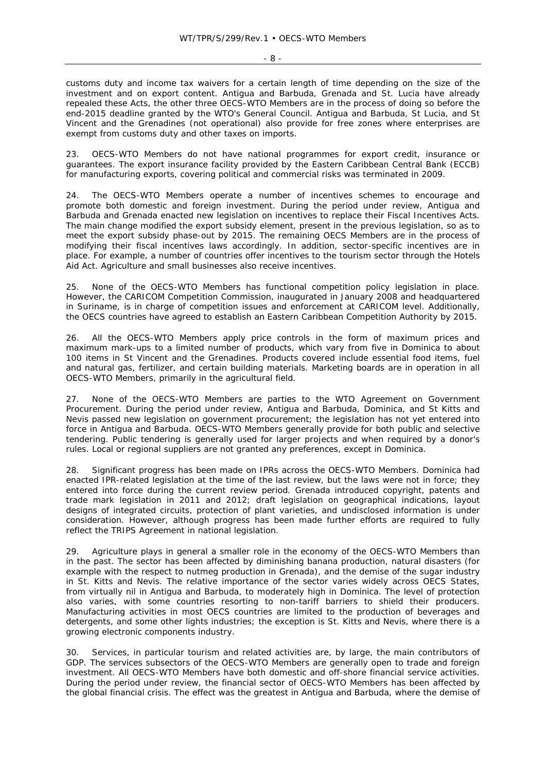customs duty and income tax waivers for a certain length of time depending on the size of the investment and on export content. Antigua and Barbuda, Grenada and St. Lucia have already repealed these Acts, the other three OECS-WTO Members are in the process of doing so before the end-2015 deadline granted by the WTO's General Council. Antigua and Barbuda, St Lucia, and St Vincent and the Grenadines (not operational) also provide for free zones where enterprises are

exempt from customs duty and other taxes on imports.

23. OECS-WTO Members do not have national programmes for export credit, insurance or guarantees. The export insurance facility provided by the Eastern Caribbean Central Bank (ECCB) for manufacturing exports, covering political and commercial risks was terminated in 2009.

The OECS-WTO Members operate a number of incentives schemes to encourage and promote both domestic and foreign investment. During the period under review, Antigua and Barbuda and Grenada enacted new legislation on incentives to replace their Fiscal Incentives Acts. The main change modified the export subsidy element, present in the previous legislation, so as to meet the export subsidy phase-out by 2015. The remaining OECS Members are in the process of modifying their fiscal incentives laws accordingly. In addition, sector-specific incentives are in place. For example, a number of countries offer incentives to the tourism sector through the Hotels Aid Act. Agriculture and small businesses also receive incentives.

25. None of the OECS-WTO Members has functional competition policy legislation in place. However, the CARICOM Competition Commission, inaugurated in January 2008 and headquartered in Suriname, is in charge of competition issues and enforcement at CARICOM level. Additionally, the OECS countries have agreed to establish an Eastern Caribbean Competition Authority by 2015.

26. All the OECS-WTO Members apply price controls in the form of maximum prices and maximum mark-ups to a limited number of products, which vary from five in Dominica to about 100 items in St Vincent and the Grenadines. Products covered include essential food items, fuel and natural gas, fertilizer, and certain building materials. Marketing boards are in operation in all OECS-WTO Members, primarily in the agricultural field.

27. None of the OECS-WTO Members are parties to the WTO Agreement on Government Procurement. During the period under review, Antigua and Barbuda, Dominica, and St Kitts and Nevis passed new legislation on government procurement; the legislation has not yet entered into force in Antigua and Barbuda. OECS-WTO Members generally provide for both public and selective tendering. Public tendering is generally used for larger projects and when required by a donor's rules. Local or regional suppliers are not granted any preferences, except in Dominica.

28. Significant progress has been made on IPRs across the OECS-WTO Members. Dominica had enacted IPR-related legislation at the time of the last review, but the laws were not in force; they entered into force during the current review period. Grenada introduced copyright, patents and trade mark legislation in 2011 and 2012; draft legislation on geographical indications, layout designs of integrated circuits, protection of plant varieties, and undisclosed information is under consideration. However, although progress has been made further efforts are required to fully reflect the TRIPS Agreement in national legislation.

29. Agriculture plays in general a smaller role in the economy of the OECS-WTO Members than in the past. The sector has been affected by diminishing banana production, natural disasters (for example with the respect to nutmeg production in Grenada), and the demise of the sugar industry in St. Kitts and Nevis. The relative importance of the sector varies widely across OECS States, from virtually nil in Antigua and Barbuda, to moderately high in Dominica. The level of protection also varies, with some countries resorting to non-tariff barriers to shield their producers. Manufacturing activities in most OECS countries are limited to the production of beverages and detergents, and some other lights industries; the exception is St. Kitts and Nevis, where there is a growing electronic components industry.

30. Services, in particular tourism and related activities are, by large, the main contributors of GDP. The services subsectors of the OECS-WTO Members are generally open to trade and foreign investment. All OECS-WTO Members have both domestic and off-shore financial service activities. During the period under review, the financial sector of OECS-WTO Members has been affected by the global financial crisis. The effect was the greatest in Antigua and Barbuda, where the demise of

 $- 8 -$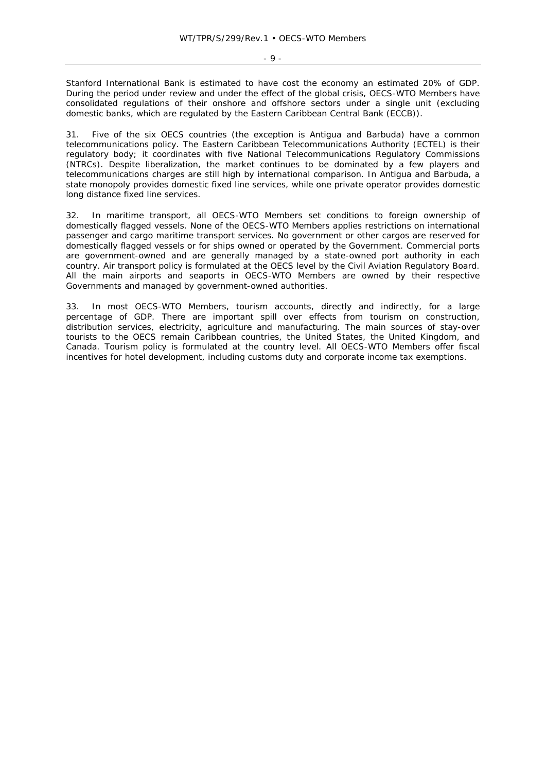Stanford International Bank is estimated to have cost the economy an estimated 20% of GDP. During the period under review and under the effect of the global crisis, OECS-WTO Members have consolidated regulations of their onshore and offshore sectors under a single unit (excluding domestic banks, which are regulated by the Eastern Caribbean Central Bank (ECCB)).

31. Five of the six OECS countries (the exception is Antigua and Barbuda) have a common telecommunications policy. The Eastern Caribbean Telecommunications Authority (ECTEL) is their regulatory body; it coordinates with five National Telecommunications Regulatory Commissions (NTRCs). Despite liberalization, the market continues to be dominated by a few players and telecommunications charges are still high by international comparison. In Antigua and Barbuda, a state monopoly provides domestic fixed line services, while one private operator provides domestic long distance fixed line services.

32. In maritime transport, all OECS-WTO Members set conditions to foreign ownership of domestically flagged vessels. None of the OECS-WTO Members applies restrictions on international passenger and cargo maritime transport services. No government or other cargos are reserved for domestically flagged vessels or for ships owned or operated by the Government. Commercial ports are government-owned and are generally managed by a state-owned port authority in each country. Air transport policy is formulated at the OECS level by the Civil Aviation Regulatory Board. All the main airports and seaports in OECS-WTO Members are owned by their respective Governments and managed by government-owned authorities.

33. In most OECS-WTO Members, tourism accounts, directly and indirectly, for a large percentage of GDP. There are important spill over effects from tourism on construction, distribution services, electricity, agriculture and manufacturing. The main sources of stay-over tourists to the OECS remain Caribbean countries, the United States, the United Kingdom, and Canada. Tourism policy is formulated at the country level. All OECS-WTO Members offer fiscal incentives for hotel development, including customs duty and corporate income tax exemptions.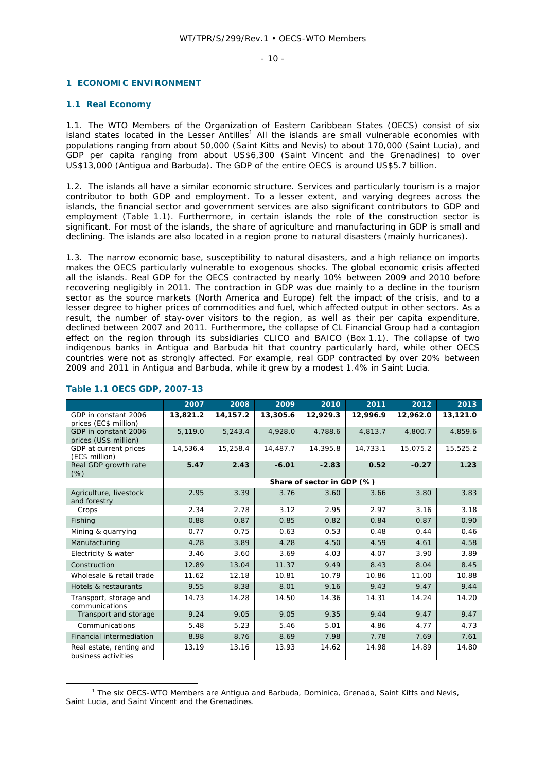- 10 -

# **1 ECONOMIC ENVIRONMENT**

# **1.1 Real Economy**

1.1. The WTO Members of the Organization of Eastern Caribbean States (OECS) consist of six island states located in the Lesser Antilles<sup>1</sup> All the islands are small vulnerable economies with populations ranging from about 50,000 (Saint Kitts and Nevis) to about 170,000 (Saint Lucia), and GDP per capita ranging from about US\$6,300 (Saint Vincent and the Grenadines) to over US\$13,000 (Antigua and Barbuda). The GDP of the entire OECS is around US\$5.7 billion.

1.2. The islands all have a similar economic structure. Services and particularly tourism is a major contributor to both GDP and employment. To a lesser extent, and varying degrees across the islands, the financial sector and government services are also significant contributors to GDP and employment (Table 1.1). Furthermore, in certain islands the role of the construction sector is significant. For most of the islands, the share of agriculture and manufacturing in GDP is small and declining. The islands are also located in a region prone to natural disasters (mainly hurricanes).

1.3. The narrow economic base, susceptibility to natural disasters, and a high reliance on imports makes the OECS particularly vulnerable to exogenous shocks. The global economic crisis affected all the islands. Real GDP for the OECS contracted by nearly 10% between 2009 and 2010 before recovering negligibly in 2011. The contraction in GDP was due mainly to a decline in the tourism sector as the source markets (North America and Europe) felt the impact of the crisis, and to a lesser degree to higher prices of commodities and fuel, which affected output in other sectors. As a result, the number of stay-over visitors to the region, as well as their per capita expenditure, declined between 2007 and 2011. Furthermore, the collapse of CL Financial Group had a contagion effect on the region through its subsidiaries CLICO and BAICO (Box 1.1). The collapse of two indigenous banks in Antigua and Barbuda hit that country particularly hard, while other OECS countries were not as strongly affected. For example, real GDP contracted by over 20% between 2009 and 2011 in Antigua and Barbuda, while it grew by a modest 1.4% in Saint Lucia.

|                                                 | 2007     | 2008     | 2009     | 2010                       | 2011     | 2012     | 2013     |
|-------------------------------------------------|----------|----------|----------|----------------------------|----------|----------|----------|
| GDP in constant 2006<br>prices (EC\$ million)   | 13,821.2 | 14,157.2 | 13,305.6 | 12,929.3                   | 12,996.9 | 12,962.0 | 13,121.0 |
| GDP in constant 2006<br>prices (US\$ million)   | 5,119.0  | 5,243.4  | 4,928.0  | 4,788.6                    | 4,813.7  | 4,800.7  | 4,859.6  |
| GDP at current prices<br>(EC\$ million)         | 14,536.4 | 15,258.4 | 14,487.7 | 14,395.8                   | 14,733.1 | 15,075.2 | 15,525.2 |
| Real GDP growth rate<br>$(\%)$                  | 5.47     | 2.43     | $-6.01$  | $-2.83$                    | 0.52     | $-0.27$  | 1.23     |
|                                                 |          |          |          | Share of sector in GDP (%) |          |          |          |
| Agriculture, livestock<br>and forestry          | 2.95     | 3.39     | 3.76     | 3.60                       | 3.66     | 3.80     | 3.83     |
| Crops                                           | 2.34     | 2.78     | 3.12     | 2.95                       | 2.97     | 3.16     | 3.18     |
| Fishing                                         | 0.88     | 0.87     | 0.85     | 0.82                       | 0.84     | 0.87     | 0.90     |
| Mining & quarrying                              | 0.77     | 0.75     | 0.63     | 0.53                       | 0.48     | 0.44     | 0.46     |
| Manufacturing                                   | 4.28     | 3.89     | 4.28     | 4.50                       | 4.59     | 4.61     | 4.58     |
| Electricity & water                             | 3.46     | 3.60     | 3.69     | 4.03                       | 4.07     | 3.90     | 3.89     |
| Construction                                    | 12.89    | 13.04    | 11.37    | 9.49                       | 8.43     | 8.04     | 8.45     |
| Wholesale & retail trade                        | 11.62    | 12.18    | 10.81    | 10.79                      | 10.86    | 11.00    | 10.88    |
| Hotels & restaurants                            | 9.55     | 8.38     | 8.01     | 9.16                       | 9.43     | 9.47     | 9.44     |
| Transport, storage and<br>communications        | 14.73    | 14.28    | 14.50    | 14.36                      | 14.31    | 14.24    | 14.20    |
| Transport and storage                           | 9.24     | 9.05     | 9.05     | 9.35                       | 9.44     | 9.47     | 9.47     |
| Communications                                  | 5.48     | 5.23     | 5.46     | 5.01                       | 4.86     | 4.77     | 4.73     |
| <b>Financial intermediation</b>                 | 8.98     | 8.76     | 8.69     | 7.98                       | 7.78     | 7.69     | 7.61     |
| Real estate, renting and<br>business activities | 13.19    | 13.16    | 13.93    | 14.62                      | 14.98    | 14.89    | 14.80    |

#### **Table 1.1 OECS GDP, 2007-13**

 $\frac{1}{1}$ <sup>1</sup> The six OECS-WTO Members are Antigua and Barbuda, Dominica, Grenada, Saint Kitts and Nevis, Saint Lucia, and Saint Vincent and the Grenadines.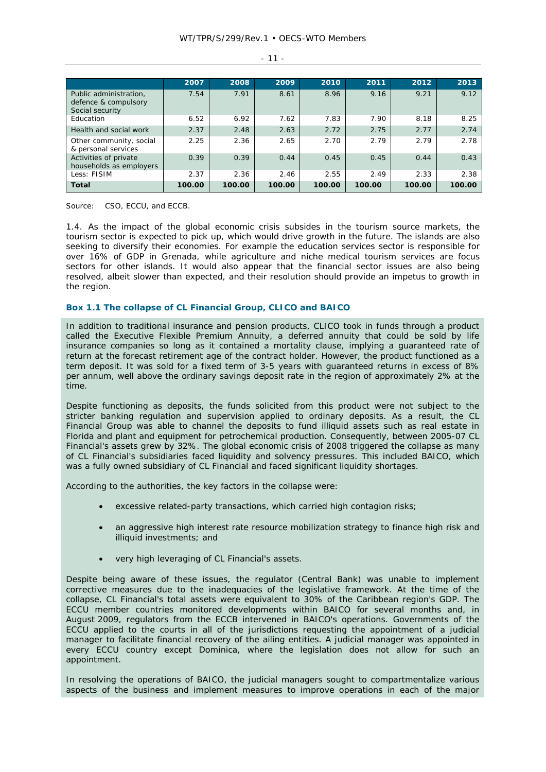|                                                                   | 2007   | 2008   | 2009   | 2010   | 2011   | 2012   | 2013   |
|-------------------------------------------------------------------|--------|--------|--------|--------|--------|--------|--------|
| Public administration,<br>defence & compulsory<br>Social security | 7.54   | 7.91   | 8.61   | 8.96   | 9.16   | 9.21   | 9.12   |
| Education                                                         | 6.52   | 6.92   | 7.62   | 7.83   | 7.90   | 8.18   | 8.25   |
| Health and social work                                            | 2.37   | 2.48   | 2.63   | 2.72   | 2.75   | 2.77   | 2.74   |
| Other community, social<br>& personal services                    | 2.25   | 2.36   | 2.65   | 2.70   | 2.79   | 2.79   | 2.78   |
| Activities of private<br>households as employers                  | 0.39   | 0.39   | 0.44   | 0.45   | 0.45   | 0.44   | 0.43   |
| Less: FISIM                                                       | 2.37   | 2.36   | 2.46   | 2.55   | 2.49   | 2.33   | 2.38   |
| <b>Total</b>                                                      | 100.00 | 100.00 | 100.00 | 100.00 | 100.00 | 100.00 | 100.00 |

 $-11 -$ 

Source: CSO, ECCU, and ECCB.

1.4. As the impact of the global economic crisis subsides in the tourism source markets, the tourism sector is expected to pick up, which would drive growth in the future. The islands are also seeking to diversify their economies. For example the education services sector is responsible for over 16% of GDP in Grenada, while agriculture and niche medical tourism services are focus sectors for other islands. It would also appear that the financial sector issues are also being resolved, albeit slower than expected, and their resolution should provide an impetus to growth in the region.

## **Box 1.1 The collapse of CL Financial Group, CLICO and BAICO**

In addition to traditional insurance and pension products, CLICO took in funds through a product called the Executive Flexible Premium Annuity, a deferred annuity that could be sold by life insurance companies so long as it contained a mortality clause, implying a guaranteed rate of return at the forecast retirement age of the contract holder. However, the product functioned as a term deposit. It was sold for a fixed term of 3-5 years with guaranteed returns in excess of 8% per annum, well above the ordinary savings deposit rate in the region of approximately 2% at the time.

Despite functioning as deposits, the funds solicited from this product were not subject to the stricter banking regulation and supervision applied to ordinary deposits. As a result, the CL Financial Group was able to channel the deposits to fund illiquid assets such as real estate in Florida and plant and equipment for petrochemical production. Consequently, between 2005-07 CL Financial's assets grew by 32%. The global economic crisis of 2008 triggered the collapse as many of CL Financial's subsidiaries faced liquidity and solvency pressures. This included BAICO, which was a fully owned subsidiary of CL Financial and faced significant liquidity shortages.

According to the authorities, the key factors in the collapse were:

- excessive related-party transactions, which carried high contagion risks;
- an aggressive high interest rate resource mobilization strategy to finance high risk and illiquid investments; and
- very high leveraging of CL Financial's assets.

Despite being aware of these issues, the regulator (Central Bank) was unable to implement corrective measures due to the inadequacies of the legislative framework. At the time of the collapse, CL Financial's total assets were equivalent to 30% of the Caribbean region's GDP. The ECCU member countries monitored developments within BAICO for several months and, in August 2009, regulators from the ECCB intervened in BAICO's operations. Governments of the ECCU applied to the courts in all of the jurisdictions requesting the appointment of a judicial manager to facilitate financial recovery of the ailing entities. A judicial manager was appointed in every ECCU country except Dominica, where the legislation does not allow for such an appointment.

In resolving the operations of BAICO, the judicial managers sought to compartmentalize various aspects of the business and implement measures to improve operations in each of the major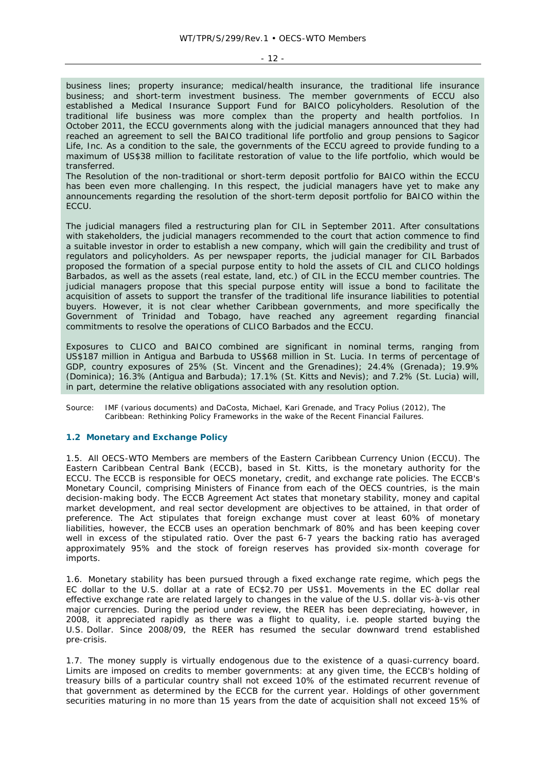- 12 -

business lines; property insurance; medical/health insurance, the traditional life insurance business; and short-term investment business. The member governments of ECCU also established a Medical Insurance Support Fund for BAICO policyholders. Resolution of the traditional life business was more complex than the property and health portfolios. In October 2011, the ECCU governments along with the judicial managers announced that they had reached an agreement to sell the BAICO traditional life portfolio and group pensions to Sagicor Life, Inc. As a condition to the sale, the governments of the ECCU agreed to provide funding to a maximum of US\$38 million to facilitate restoration of value to the life portfolio, which would be transferred.

The Resolution of the non-traditional or short-term deposit portfolio for BAICO within the ECCU has been even more challenging. In this respect, the judicial managers have yet to make any announcements regarding the resolution of the short-term deposit portfolio for BAICO within the **ECCU.** 

The judicial managers filed a restructuring plan for CIL in September 2011. After consultations with stakeholders, the judicial managers recommended to the court that action commence to find a suitable investor in order to establish a new company, which will gain the credibility and trust of regulators and policyholders. As per newspaper reports, the judicial manager for CIL Barbados proposed the formation of a special purpose entity to hold the assets of CIL and CLICO holdings Barbados, as well as the assets (real estate, land, etc.) of CIL in the ECCU member countries. The judicial managers propose that this special purpose entity will issue a bond to facilitate the acquisition of assets to support the transfer of the traditional life insurance liabilities to potential buyers. However, it is not clear whether Caribbean governments, and more specifically the Government of Trinidad and Tobago, have reached any agreement regarding financial commitments to resolve the operations of CLICO Barbados and the ECCU.

Exposures to CLICO and BAICO combined are significant in nominal terms, ranging from US\$187 million in Antigua and Barbuda to US\$68 million in St. Lucia. In terms of percentage of GDP, country exposures of 25% (St. Vincent and the Grenadines); 24.4% (Grenada); 19.9% (Dominica); 16.3% (Antigua and Barbuda); 17.1% (St. Kitts and Nevis); and 7.2% (St. Lucia) will, in part, determine the relative obligations associated with any resolution option.

Source: IMF (various documents) and DaCosta, Michael, Kari Grenade, and Tracy Polius (2012), *The Caribbean: Rethinking Policy Frameworks in the wake of the Recent Financial Failures*.

#### **1.2 Monetary and Exchange Policy**

1.5. All OECS-WTO Members are members of the Eastern Caribbean Currency Union (ECCU). The Eastern Caribbean Central Bank (ECCB), based in St. Kitts, is the monetary authority for the ECCU. The ECCB is responsible for OECS monetary, credit, and exchange rate policies. The ECCB's Monetary Council, comprising Ministers of Finance from each of the OECS countries, is the main decision-making body. The ECCB Agreement Act states that monetary stability, money and capital market development, and real sector development are objectives to be attained, in that order of preference. The Act stipulates that foreign exchange must cover at least 60% of monetary liabilities, however, the ECCB uses an operation benchmark of 80% and has been keeping cover well in excess of the stipulated ratio. Over the past 6-7 years the backing ratio has averaged approximately 95% and the stock of foreign reserves has provided six-month coverage for imports.

1.6. Monetary stability has been pursued through a fixed exchange rate regime, which pegs the EC dollar to the U.S. dollar at a rate of EC\$2.70 per US\$1. Movements in the EC dollar real effective exchange rate are related largely to changes in the value of the U.S. dollar vis-à-vis other major currencies. During the period under review, the REER has been depreciating, however, in 2008, it appreciated rapidly as there was a flight to quality, i.e. people started buying the U.S. Dollar. Since 2008/09, the REER has resumed the secular downward trend established pre-crisis.

1.7. The money supply is virtually endogenous due to the existence of a quasi-currency board. Limits are imposed on credits to member governments: at any given time, the ECCB's holding of treasury bills of a particular country shall not exceed 10% of the estimated recurrent revenue of that government as determined by the ECCB for the current year. Holdings of other government securities maturing in no more than 15 years from the date of acquisition shall not exceed 15% of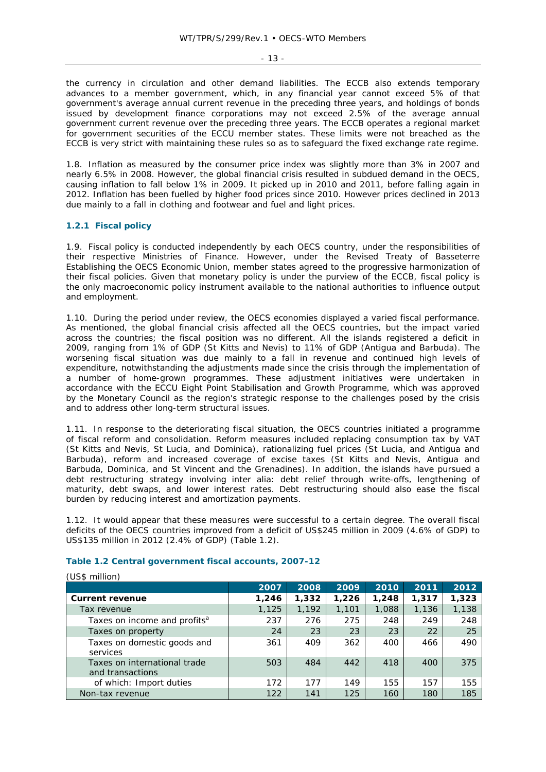- 13 -

the currency in circulation and other demand liabilities. The ECCB also extends temporary advances to a member government, which, in any financial year cannot exceed 5% of that government's average annual current revenue in the preceding three years, and holdings of bonds issued by development finance corporations may not exceed 2.5% of the average annual government current revenue over the preceding three years. The ECCB operates a regional market for government securities of the ECCU member states. These limits were not breached as the ECCB is very strict with maintaining these rules so as to safeguard the fixed exchange rate regime.

1.8. Inflation as measured by the consumer price index was slightly more than 3% in 2007 and nearly 6.5% in 2008. However, the global financial crisis resulted in subdued demand in the OECS, causing inflation to fall below 1% in 2009. It picked up in 2010 and 2011, before falling again in 2012. Inflation has been fuelled by higher food prices since 2010. However prices declined in 2013 due mainly to a fall in clothing and footwear and fuel and light prices.

# **1.2.1 Fiscal policy**

1.9. Fiscal policy is conducted independently by each OECS country, under the responsibilities of their respective Ministries of Finance. However, under the Revised Treaty of Basseterre Establishing the OECS Economic Union, member states agreed to the progressive harmonization of their fiscal policies. Given that monetary policy is under the purview of the ECCB, fiscal policy is the only macroeconomic policy instrument available to the national authorities to influence output and employment.

1.10. During the period under review, the OECS economies displayed a varied fiscal performance. As mentioned, the global financial crisis affected all the OECS countries, but the impact varied across the countries; the fiscal position was no different. All the islands registered a deficit in 2009, ranging from 1% of GDP (St Kitts and Nevis) to 11% of GDP (Antigua and Barbuda). The worsening fiscal situation was due mainly to a fall in revenue and continued high levels of expenditure, notwithstanding the adjustments made since the crisis through the implementation of a number of home-grown programmes. These adjustment initiatives were undertaken in accordance with the ECCU Eight Point Stabilisation and Growth Programme, which was approved by the Monetary Council as the region's strategic response to the challenges posed by the crisis and to address other long-term structural issues.

1.11. In response to the deteriorating fiscal situation, the OECS countries initiated a programme of fiscal reform and consolidation. Reform measures included replacing consumption tax by VAT (St Kitts and Nevis, St Lucia, and Dominica), rationalizing fuel prices (St Lucia, and Antigua and Barbuda), reform and increased coverage of excise taxes (St Kitts and Nevis, Antigua and Barbuda, Dominica, and St Vincent and the Grenadines). In addition, the islands have pursued a debt restructuring strategy involving *inter alia*: debt relief through write-offs, lengthening of maturity, debt swaps, and lower interest rates. Debt restructuring should also ease the fiscal burden by reducing interest and amortization payments.

1.12. It would appear that these measures were successful to a certain degree. The overall fiscal deficits of the OECS countries improved from a deficit of US\$245 million in 2009 (4.6% of GDP) to US\$135 million in 2012 (2.4% of GDP) (Table 1.2).

| (US\$ million)                                   |       |       |       |       |       |       |
|--------------------------------------------------|-------|-------|-------|-------|-------|-------|
|                                                  | 2007  | 2008  | 2009  | 2010  | 2011  | 2012  |
| <b>Current revenue</b>                           | 1,246 | 1,332 | 1,226 | 1,248 | 1,317 | 1,323 |
| Tax revenue                                      | 1,125 | 1,192 | 1,101 | 1,088 | 1,136 | 1,138 |
| Taxes on income and profits <sup>a</sup>         | 237   | 276   | 275   | 248   | 249   | 248   |
| Taxes on property                                | 24    | 23    | 23    | 23    | 22    | 25    |
| Taxes on domestic goods and<br>services          | 361   | 409   | 362   | 400   | 466   | 490   |
| Taxes on international trade<br>and transactions | 503   | 484   | 442   | 418   | 400   | 375   |
| of which: Import duties                          | 172   | 177   | 149   | 155   | 157   | 155   |
| Non-tax revenue                                  | 122   | 141   | 125   | 160   | 180   | 185   |

# **Table 1.2 Central government fiscal accounts, 2007-12**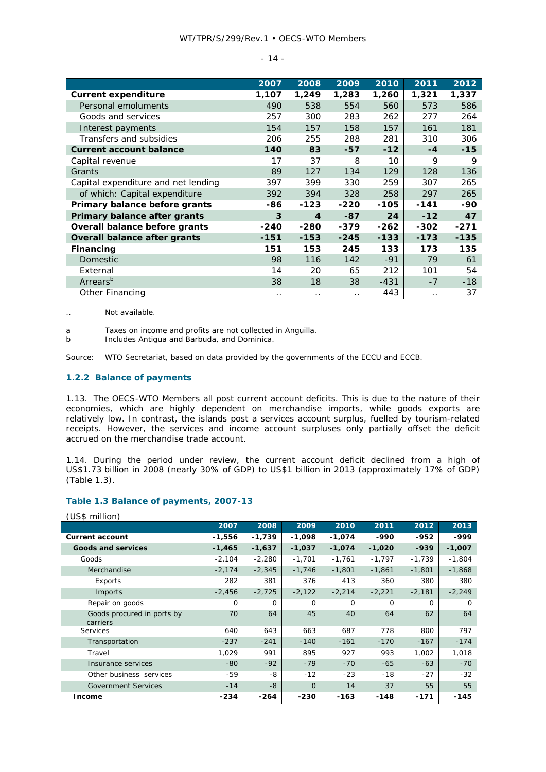|                                     | 2007      | 2008             | 2009      | 2010   | 2011      | 2012   |
|-------------------------------------|-----------|------------------|-----------|--------|-----------|--------|
| <b>Current expenditure</b>          | 1,107     | 1,249            | 1,283     | 1,260  | 1,321     | 1,337  |
| Personal emoluments                 | 490       | 538              | 554       | 560    | 573       | 586    |
| Goods and services                  | 257       | 300              | 283       | 262    | 277       | 264    |
| Interest payments                   | 154       | 157              | 158       | 157    | 161       | 181    |
| Transfers and subsidies             | 206       | 255              | 288       | 281    | 310       | 306    |
| <b>Current account balance</b>      | 140       | 83               | $-57$     | $-12$  | $-4$      | $-15$  |
| Capital revenue                     | 17        | 37               | 8         | 10     | 9         | 9      |
| Grants                              | 89        | 127              | 134       | 129    | 128       | 136    |
| Capital expenditure and net lending | 397       | 399              | 330       | 259    | 307       | 265    |
| of which: Capital expenditure       | 392       | 394              | 328       | 258    | 297       | 265    |
| Primary balance before grants       | -86       | $-123$           | $-220$    | $-105$ | $-141$    | $-90$  |
| Primary balance after grants        | 3         | $\boldsymbol{A}$ | $-87$     | 24     | $-12$     | 47     |
| Overall balance before grants       | $-240$    | $-280$           | $-379$    | $-262$ | $-302$    | $-271$ |
| Overall balance after grants        | $-151$    | $-153$           | $-245$    | $-133$ | $-173$    | $-135$ |
| Financing                           | 151       | 153              | 245       | 133    | 173       | 135    |
| <b>Domestic</b>                     | 98        | 116              | 142       | $-91$  | 79        | 61     |
| External                            | 14        | 20               | 65        | 212    | 101       | 54     |
| Arrears <sup>b</sup>                | 38        | 18               | 38        | $-431$ | $-7$      | $-18$  |
| Other Financing                     | $\cdot$ . | . .              | $\cdot$ . | 443    | $\cdot$ . | 37     |

.. Not available.

b Includes Antigua and Barbuda, and Dominica.

Source: WTO Secretariat, based on data provided by the governments of the ECCU and ECCB.

#### **1.2.2 Balance of payments**

1.13. The OECS-WTO Members all post current account deficits. This is due to the nature of their economies, which are highly dependent on merchandise imports, while goods exports are relatively low. In contrast, the islands post a services account surplus, fuelled by tourism-related receipts. However, the services and income account surpluses only partially offset the deficit accrued on the merchandise trade account.

1.14. During the period under review, the current account deficit declined from a high of US\$1.73 billion in 2008 (nearly 30% of GDP) to US\$1 billion in 2013 (approximately 17% of GDP) (Table 1.3).

## **Table 1.3 Balance of payments, 2007-13**

|                                        | 2007     | 2008     | 2009     | 2010     | 2011     | 2012     | 2013     |
|----------------------------------------|----------|----------|----------|----------|----------|----------|----------|
| <b>Current account</b>                 | $-1,556$ | $-1,739$ | $-1,098$ | $-1,074$ | -990     | $-952$   | -999     |
| <b>Goods and services</b>              | $-1,465$ | $-1,637$ | $-1,037$ | $-1,074$ | $-1,020$ | $-939$   | $-1,007$ |
| Goods                                  | $-2,104$ | $-2,280$ | $-1,701$ | $-1,761$ | $-1,797$ | $-1,739$ | $-1,804$ |
| Merchandise                            | $-2,174$ | $-2,345$ | $-1,746$ | $-1,801$ | $-1,861$ | $-1,801$ | $-1,868$ |
| Exports                                | 282      | 381      | 376      | 413      | 360      | 380      | 380      |
| Imports                                | $-2,456$ | $-2,725$ | $-2,122$ | $-2,214$ | $-2,221$ | $-2,181$ | $-2,249$ |
| Repair on goods                        | 0        | 0        | $\Omega$ | 0        | $\Omega$ | $\Omega$ | $\Omega$ |
| Goods procured in ports by<br>carriers | 70       | 64       | 45       | 40       | 64       | 62       | 64       |
| Services                               | 640      | 643      | 663      | 687      | 778      | 800      | 797      |
| Transportation                         | $-237$   | $-241$   | $-140$   | $-161$   | $-170$   | $-167$   | $-174$   |
| Travel                                 | 1,029    | 991      | 895      | 927      | 993      | 1,002    | 1,018    |
| Insurance services                     | $-80$    | $-92$    | $-79$    | $-70$    | $-65$    | $-63$    | $-70$    |
| Other business services                | -59      | -8       | $-12$    | $-23$    | $-18$    | $-27$    | $-32$    |
| <b>Government Services</b>             | $-14$    | $-8$     | $\Omega$ | 14       | 37       | 55       | 55       |
| Income                                 | $-234$   | $-264$   | -230     | $-163$   | $-148$   | $-171$   | $-145$   |

(US\$ million)

a Taxes on income and profits are not collected in Anguilla.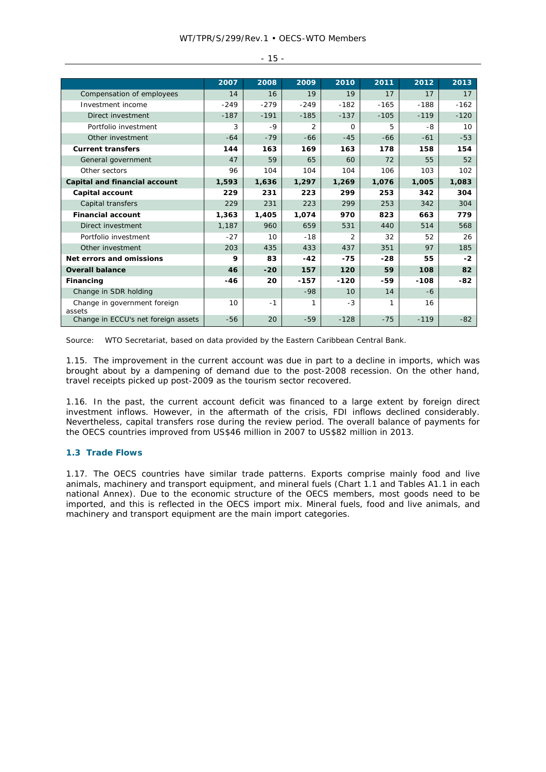|                                        | 2007   | 2008   | 2009   | 2010           | 2011   | 2012   | 2013   |
|----------------------------------------|--------|--------|--------|----------------|--------|--------|--------|
|                                        | 14     | 16     | 19     | 19             | 17     | 17     | 17     |
| Compensation of employees              |        |        |        |                |        |        |        |
| Investment income                      | $-249$ | $-279$ | $-249$ | $-182$         | $-165$ | $-188$ | $-162$ |
| Direct investment                      | $-187$ | $-191$ | $-185$ | $-137$         | $-105$ | $-119$ | $-120$ |
| Portfolio investment                   | 3      | $-9$   | 2      | $\Omega$       | 5      | -8     | 10     |
| Other investment                       | $-64$  | $-79$  | $-66$  | $-45$          | $-66$  | $-61$  | $-53$  |
| <b>Current transfers</b>               | 144    | 163    | 169    | 163            | 178    | 158    | 154    |
| General government                     | 47     | 59     | 65     | 60             | 72     | 55     | 52     |
| Other sectors                          | 96     | 104    | 104    | 104            | 106    | 103    | 102    |
| Capital and financial account          | 1,593  | 1,636  | 1,297  | 1,269          | 1,076  | 1,005  | 1,083  |
| Capital account                        | 229    | 231    | 223    | 299            | 253    | 342    | 304    |
| Capital transfers                      | 229    | 231    | 223    | 299            | 253    | 342    | 304    |
| <b>Financial account</b>               | 1,363  | 1,405  | 1,074  | 970            | 823    | 663    | 779    |
| Direct investment                      | 1,187  | 960    | 659    | 531            | 440    | 514    | 568    |
| Portfolio investment                   | $-27$  | 10     | $-18$  | $\overline{2}$ | 32     | 52     | 26     |
| Other investment                       | 203    | 435    | 433    | 437            | 351    | 97     | 185    |
| Net errors and omissions               | 9      | 83     | $-42$  | $-75$          | $-28$  | 55     | $-2$   |
| <b>Overall balance</b>                 | 46     | $-20$  | 157    | 120            | 59     | 108    | 82     |
| Financing                              | -46    | 20     | -157   | $-120$         | -59    | $-108$ | -82    |
| Change in SDR holding                  |        |        | $-98$  | 10             | 14     | -6     |        |
| Change in government foreign<br>assets | 10     | $-1$   | 1      | $-3$           | 1      | 16     |        |
| Change in ECCU's net foreign assets    | $-56$  | 20     | $-59$  | $-128$         | $-75$  | $-119$ | $-82$  |

- 15 -

Source: WTO Secretariat, based on data provided by the Eastern Caribbean Central Bank.

1.15. The improvement in the current account was due in part to a decline in imports, which was brought about by a dampening of demand due to the post-2008 recession. On the other hand, travel receipts picked up post-2009 as the tourism sector recovered.

1.16. In the past, the current account deficit was financed to a large extent by foreign direct investment inflows. However, in the aftermath of the crisis, FDI inflows declined considerably. Nevertheless, capital transfers rose during the review period. The overall balance of payments for the OECS countries improved from US\$46 million in 2007 to US\$82 million in 2013.

#### **1.3 Trade Flows**

1.17. The OECS countries have similar trade patterns. Exports comprise mainly food and live animals, machinery and transport equipment, and mineral fuels (Chart 1.1 and Tables A1.1 in each national Annex). Due to the economic structure of the OECS members, most goods need to be imported, and this is reflected in the OECS import mix. Mineral fuels, food and live animals, and machinery and transport equipment are the main import categories.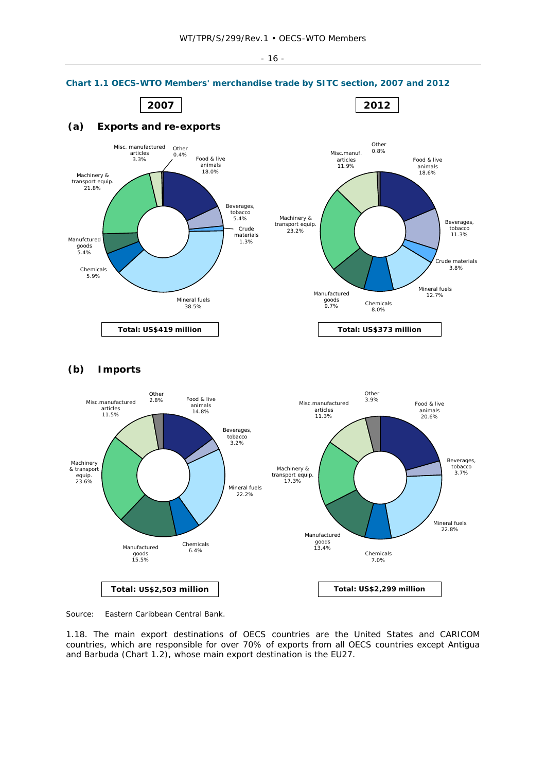

#### **Chart 1.1 OECS-WTO Members' merchandise trade by SITC section, 2007 and 2012**





Source: Eastern Caribbean Central Bank.

1.18. The main export destinations of OECS countries are the United States and CARICOM countries, which are responsible for over 70% of exports from all OECS countries except Antigua and Barbuda (Chart 1.2), whose main export destination is the EU27.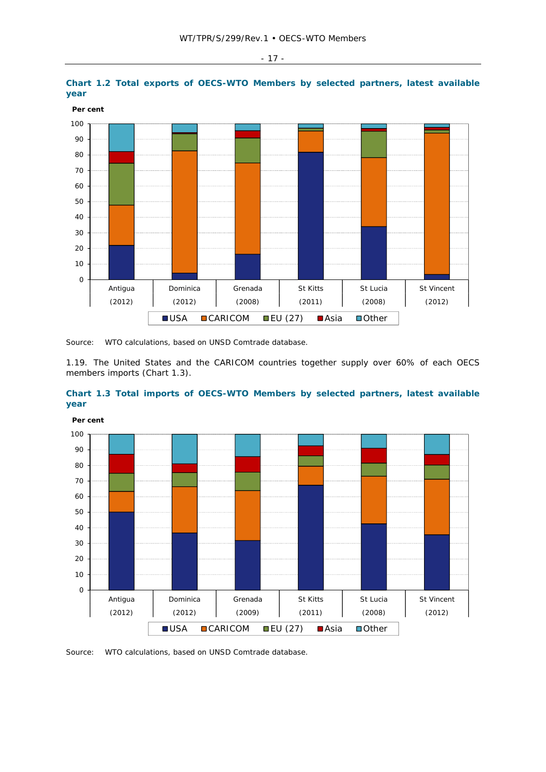



1.19. The United States and the CARICOM countries together supply over 60% of each OECS members imports (Chart 1.3).





Source: WTO calculations, based on UNSD Comtrade database.

- 17 -

Source: WTO calculations, based on UNSD Comtrade database.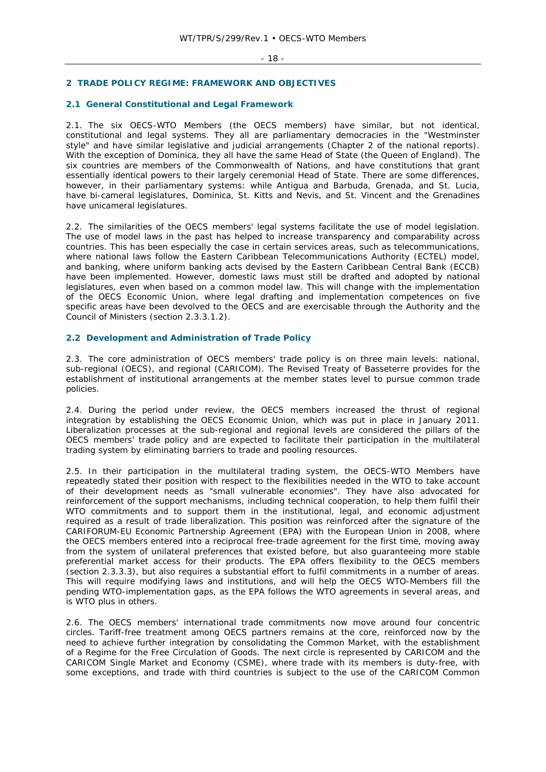# **2 TRADE POLICY REGIME: FRAMEWORK AND OBJECTIVES**

# **2.1 General Constitutional and Legal Framework**

2.1. The six OECS-WTO Members (the OECS members) have similar, but not identical, constitutional and legal systems. They all are parliamentary democracies in the "Westminster style" and have similar legislative and judicial arrangements (Chapter 2 of the national reports). With the exception of Dominica, they all have the same Head of State (the Queen of England). The six countries are members of the Commonwealth of Nations, and have constitutions that grant essentially identical powers to their largely ceremonial Head of State. There are some differences, however, in their parliamentary systems: while Antigua and Barbuda, Grenada, and St. Lucia, have bi-cameral legislatures, Dominica, St. Kitts and Nevis, and St. Vincent and the Grenadines have unicameral legislatures.

2.2. The similarities of the OECS members' legal systems facilitate the use of model legislation. The use of model laws in the past has helped to increase transparency and comparability across countries. This has been especially the case in certain services areas, such as telecommunications, where national laws follow the Eastern Caribbean Telecommunications Authority (ECTEL) model, and banking, where uniform banking acts devised by the Eastern Caribbean Central Bank (ECCB) have been implemented. However, domestic laws must still be drafted and adopted by national legislatures, even when based on a common model law. This will change with the implementation of the OECS Economic Union, where legal drafting and implementation competences on five specific areas have been devolved to the OECS and are exercisable through the Authority and the Council of Ministers (section 2.3.3.1.2).

## **2.2 Development and Administration of Trade Policy**

2.3. The core administration of OECS members' trade policy is on three main levels: national, sub-regional (OECS), and regional (CARICOM). The Revised Treaty of Basseterre provides for the establishment of institutional arrangements at the member states level to pursue common trade policies.

2.4. During the period under review, the OECS members increased the thrust of regional integration by establishing the OECS Economic Union, which was put in place in January 2011. Liberalization processes at the sub-regional and regional levels are considered the pillars of the OECS members' trade policy and are expected to facilitate their participation in the multilateral trading system by eliminating barriers to trade and pooling resources.

2.5. In their participation in the multilateral trading system, the OECS-WTO Members have repeatedly stated their position with respect to the flexibilities needed in the WTO to take account of their development needs as "small vulnerable economies". They have also advocated for reinforcement of the support mechanisms, including technical cooperation, to help them fulfil their WTO commitments and to support them in the institutional, legal, and economic adjustment required as a result of trade liberalization. This position was reinforced after the signature of the CARIFORUM-EU Economic Partnership Agreement (EPA) with the European Union in 2008, where the OECS members entered into a reciprocal free-trade agreement for the first time, moving away from the system of unilateral preferences that existed before, but also guaranteeing more stable preferential market access for their products. The EPA offers flexibility to the OECS members (section 2.3.3.3), but also requires a substantial effort to fulfil commitments in a number of areas. This will require modifying laws and institutions, and will help the OECS WTO-Members fill the pending WTO-implementation gaps, as the EPA follows the WTO agreements in several areas, and is WTO plus in others.

2.6. The OECS members' international trade commitments now move around four concentric circles. Tariff-free treatment among OECS partners remains at the core, reinforced now by the need to achieve further integration by consolidating the Common Market, with the establishment of a Regime for the Free Circulation of Goods. The next circle is represented by CARICOM and the CARICOM Single Market and Economy (CSME), where trade with its members is duty-free, with some exceptions, and trade with third countries is subject to the use of the CARICOM Common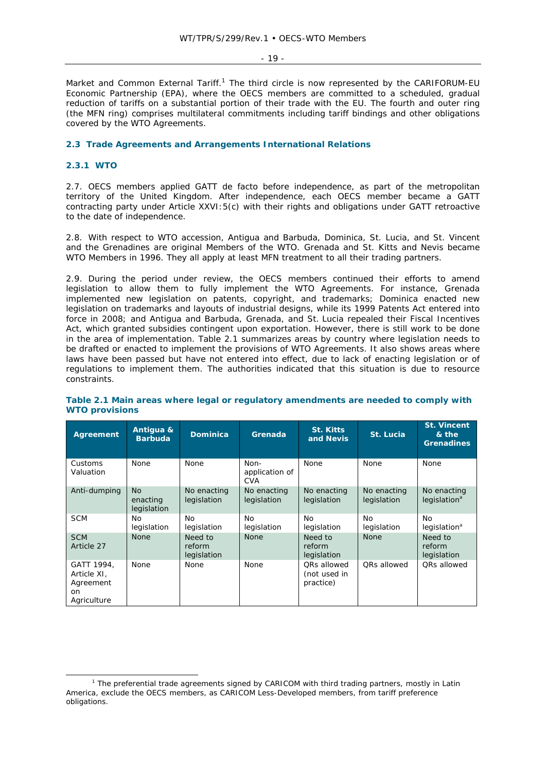- 19 -

Market and Common External Tariff.<sup>1</sup> The third circle is now represented by the CARIFORUM-EU Economic Partnership (EPA), where the OECS members are committed to a scheduled, gradual reduction of tariffs on a substantial portion of their trade with the EU. The fourth and outer ring (the MFN ring) comprises multilateral commitments including tariff bindings and other obligations covered by the WTO Agreements.

## **2.3 Trade Agreements and Arrangements International Relations**

## **2.3.1 WTO**

2.7. OECS members applied GATT de facto before independence, as part of the metropolitan territory of the United Kingdom. After independence, each OECS member became a GATT contracting party under Article XXVI:5(c) with their rights and obligations under GATT retroactive to the date of independence.

2.8. With respect to WTO accession, Antigua and Barbuda, Dominica, St. Lucia, and St. Vincent and the Grenadines are original Members of the WTO. Grenada and St. Kitts and Nevis became WTO Members in 1996. They all apply at least MFN treatment to all their trading partners.

2.9. During the period under review, the OECS members continued their efforts to amend legislation to allow them to fully implement the WTO Agreements. For instance, Grenada implemented new legislation on patents, copyright, and trademarks; Dominica enacted new legislation on trademarks and layouts of industrial designs, while its 1999 Patents Act entered into force in 2008; and Antigua and Barbuda, Grenada, and St. Lucia repealed their Fiscal Incentives Act, which granted subsidies contingent upon exportation. However, there is still work to be done in the area of implementation. Table 2.1 summarizes areas by country where legislation needs to be drafted or enacted to implement the provisions of WTO Agreements. It also shows areas where laws have been passed but have not entered into effect, due to lack of enacting legislation or of regulations to implement them. The authorities indicated that this situation is due to resource constraints.

| <b>Agreement</b>                                                       | Antigua &<br><b>Barbuda</b>          | <b>Dominica</b>                  | Grenada                              | <b>St. Kitts</b><br>and Nevis            | St. Lucia                  | <b>St. Vincent</b><br>& the<br><b>Grenadines</b> |
|------------------------------------------------------------------------|--------------------------------------|----------------------------------|--------------------------------------|------------------------------------------|----------------------------|--------------------------------------------------|
| Customs<br>Valuation                                                   | None                                 | None                             | Non-<br>application of<br><b>CVA</b> | None                                     | None                       | None                                             |
| Anti-dumping                                                           | <b>No</b><br>enacting<br>legislation | No enacting<br>legislation       | No enacting<br>legislation           | No enacting<br>legislation               | No enacting<br>legislation | No enacting<br>legislation <sup>a</sup>          |
| <b>SCM</b>                                                             | No<br>legislation                    | No<br>legislation                | <b>No</b><br>legislation             | N <sub>O</sub><br>legislation            | No<br>legislation          | N <sub>O</sub><br>legislation <sup>a</sup>       |
| <b>SCM</b><br>Article 27                                               | <b>None</b>                          | Need to<br>reform<br>legislation | <b>None</b>                          | Need to<br>reform<br>legislation         | <b>None</b>                | Need to<br>reform<br>legislation                 |
| GATT 1994,<br>Article XI,<br>Agreement<br><sub>on</sub><br>Agriculture | None                                 | <b>None</b>                      | None                                 | ORs allowed<br>(not used in<br>practice) | ORs allowed                | QRs allowed                                      |

## **Table 2.1 Main areas where legal or regulatory amendments are needed to comply with WTO provisions**

 $\overline{\phantom{a}}$ <sup>1</sup> The preferential trade agreements signed by CARICOM with third trading partners, mostly in Latin America, exclude the OECS members, as CARICOM Less-Developed members, from tariff preference obligations.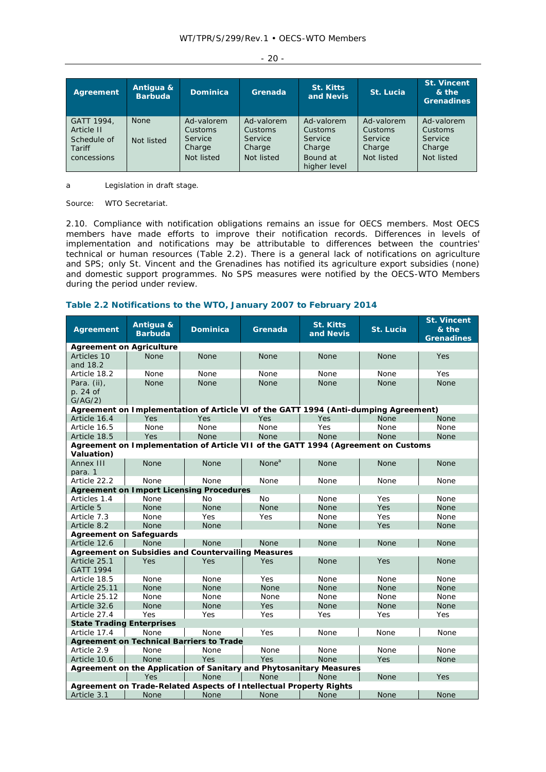| Agreement                                                        | Antiqua &<br><b>Barbuda</b> | <b>Dominica</b>                                          | Grenada                                                  | <b>St. Kitts</b><br>and Nevis                                          | St. Lucia                                                | <b>St. Vincent</b><br>& the<br><b>Grenadines</b>         |
|------------------------------------------------------------------|-----------------------------|----------------------------------------------------------|----------------------------------------------------------|------------------------------------------------------------------------|----------------------------------------------------------|----------------------------------------------------------|
| GATT 1994,<br>Article II<br>Schedule of<br>Tariff<br>concessions | <b>None</b><br>Not listed   | Ad-valorem<br>Customs<br>Service<br>Charge<br>Not listed | Ad-valorem<br>Customs<br>Service<br>Charge<br>Not listed | Ad-valorem<br>Customs<br>Service<br>Charge<br>Bound at<br>higher level | Ad-valorem<br>Customs<br>Service<br>Charge<br>Not listed | Ad-valorem<br>Customs<br>Service<br>Charge<br>Not listed |

- 20 -

a Legislation in draft stage.

Source: WTO Secretariat.

2.10. Compliance with notification obligations remains an issue for OECS members. Most OECS members have made efforts to improve their notification records. Differences in levels of implementation and notifications may be attributable to differences between the countries' technical or human resources (Table 2.2). There is a general lack of notifications on agriculture and SPS; only St. Vincent and the Grenadines has notified its agriculture export subsidies (none) and domestic support programmes. No SPS measures were notified by the OECS-WTO Members during the period under review.

# **Table 2.2 Notifications to the WTO, January 2007 to February 2014**

| <b>Agreement</b>                   | Antigua &<br><b>Barbuda</b> | <b>Dominica</b>                                                                     | Grenada           | <b>St. Kitts</b><br>and Nevis | St. Lucia   | <b>St. Vincent</b><br>& the<br><b>Grenadines</b> |
|------------------------------------|-----------------------------|-------------------------------------------------------------------------------------|-------------------|-------------------------------|-------------|--------------------------------------------------|
| <b>Agreement on Agriculture</b>    |                             |                                                                                     |                   |                               |             |                                                  |
| Articles 10<br>and 18.2            | <b>None</b>                 | <b>None</b>                                                                         | <b>None</b>       | <b>None</b>                   | <b>None</b> | Yes                                              |
| Article 18.2                       | None                        | None                                                                                | None              | None                          | None        | Yes                                              |
| Para. (ii),<br>p. 24 of<br>G/AG/2) | <b>None</b>                 | <b>None</b>                                                                         | <b>None</b>       | <b>None</b>                   | <b>None</b> | <b>None</b>                                      |
|                                    |                             | Agreement on Implementation of Article VI of the GATT 1994 (Anti-dumping Agreement) |                   |                               |             |                                                  |
| Article 16.4                       | <b>Yes</b>                  | Yes                                                                                 | Yes               | Yes                           | <b>None</b> | None                                             |
| Article 16.5                       | None                        | None                                                                                | None              | Yes                           | None        | None                                             |
| Article 18.5                       | Yes                         | <b>None</b>                                                                         | <b>None</b>       | <b>None</b>                   | <b>None</b> | None                                             |
| Valuation)                         |                             | Agreement on Implementation of Article VII of the GATT 1994 (Agreement on Customs   |                   |                               |             |                                                  |
| Annex III<br>para. 1               | <b>None</b>                 | <b>None</b>                                                                         | None <sup>a</sup> | <b>None</b>                   | <b>None</b> | <b>None</b>                                      |
| Article 22.2                       | None                        | None                                                                                | None              | None                          | None        | None                                             |
|                                    |                             | <b>Agreement on Import Licensing Procedures</b>                                     |                   |                               |             |                                                  |
| Articles 1.4                       | None                        | <b>No</b>                                                                           | <b>No</b>         | None                          | Yes         | None                                             |
| Article 5                          | <b>None</b>                 | <b>None</b>                                                                         | <b>None</b>       | <b>None</b>                   | Yes         | <b>None</b>                                      |
| Article 7.3                        | None                        | Yes                                                                                 | Yes               | None                          | Yes         | None                                             |
| Article 8.2                        | <b>None</b>                 | <b>None</b>                                                                         |                   | None                          | Yes         | None                                             |
| <b>Agreement on Safeguards</b>     |                             |                                                                                     |                   |                               |             |                                                  |
| Article 12.6                       | <b>None</b>                 | <b>None</b>                                                                         | <b>None</b>       | None                          | <b>None</b> | None                                             |
|                                    |                             | <b>Agreement on Subsidies and Countervailing Measures</b>                           |                   |                               |             |                                                  |
| Article 25.1<br><b>GATT 1994</b>   | Yes                         | Yes                                                                                 | Yes               | <b>None</b>                   | Yes         | <b>None</b>                                      |
| Article 18.5                       | None                        | None                                                                                | Yes               | None                          | None        | None                                             |
| Article 25.11                      | <b>None</b>                 | None                                                                                | <b>None</b>       | None                          | <b>None</b> | None                                             |
| Article 25.12                      | None                        | None                                                                                | None              | None                          | None        | None                                             |
| Article 32.6                       | <b>None</b>                 | <b>None</b>                                                                         | Yes               | <b>None</b>                   | <b>None</b> | <b>None</b>                                      |
| Article 27.4                       | Yes                         | Yes                                                                                 | Yes               | Yes                           | Yes         | Yes                                              |
| <b>State Trading Enterprises</b>   |                             |                                                                                     |                   |                               |             |                                                  |
| Article 17.4                       | None                        | None                                                                                | Yes               | None                          | None        | None                                             |
|                                    |                             | <b>Agreement on Technical Barriers to Trade</b>                                     |                   |                               |             |                                                  |
| Article 2.9                        | None                        | None                                                                                | None              | None                          | None        | None                                             |
| Article 10.6                       | <b>None</b>                 | Yes                                                                                 | Yes               | <b>None</b>                   | Yes         | <b>None</b>                                      |
|                                    |                             | Agreement on the Application of Sanitary and Phytosanitary Measures                 |                   |                               |             |                                                  |
|                                    | Yes                         | None                                                                                | None              | None                          | None        | Yes                                              |
|                                    |                             | Agreement on Trade-Related Aspects of Intellectual Property Rights                  |                   |                               |             |                                                  |
| Article 3.1                        | None                        | None                                                                                | <b>None</b>       | <b>None</b>                   | <b>None</b> | <b>None</b>                                      |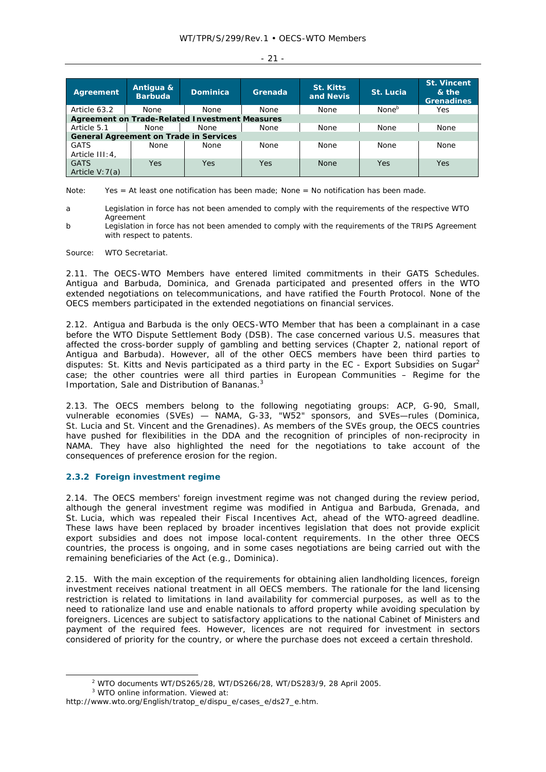| M. |  |
|----|--|
|    |  |

| Agreement                                     | Antiqua &<br><b>Barbuda</b> | <b>Dominica</b>                                       | Grenada     | <b>St. Kitts</b><br>and Nevis | St. Lucia         | <b>St. Vincent</b><br>& the<br><b>Grenadines</b> |
|-----------------------------------------------|-----------------------------|-------------------------------------------------------|-------------|-------------------------------|-------------------|--------------------------------------------------|
| Article 63.2                                  | None                        | <b>None</b>                                           | None        | <b>None</b>                   | None <sup>b</sup> | Yes                                              |
|                                               |                             | <b>Agreement on Trade-Related Investment Measures</b> |             |                               |                   |                                                  |
| Article 5.1                                   | <b>None</b>                 | <b>None</b>                                           | None        | <b>None</b>                   | <b>None</b>       | None                                             |
| <b>General Agreement on Trade in Services</b> |                             |                                                       |             |                               |                   |                                                  |
| <b>GATS</b><br>Article III: 4,                | None                        | <b>None</b>                                           | <b>None</b> | <b>None</b>                   | <b>None</b>       | <b>None</b>                                      |
| <b>GATS</b><br>Article $V:7(a)$               | Yes                         | Yes                                                   | <b>Yes</b>  | <b>None</b>                   | Yes               | Yes                                              |

Note: Yes = At least one notification has been made; None = No notification has been made.

- a Legislation in force has not been amended to comply with the requirements of the respective WTO Agreement
- b Legislation in force has not been amended to comply with the requirements of the TRIPS Agreement with respect to patents.

Source: WTO Secretariat.

2.11. The OECS-WTO Members have entered limited commitments in their GATS Schedules. Antigua and Barbuda, Dominica, and Grenada participated and presented offers in the WTO extended negotiations on telecommunications, and have ratified the Fourth Protocol. None of the OECS members participated in the extended negotiations on financial services.

2.12. Antigua and Barbuda is the only OECS-WTO Member that has been a complainant in a case before the WTO Dispute Settlement Body (DSB). The case concerned various U.S. measures that affected the cross-border supply of gambling and betting services (Chapter 2, national report of Antigua and Barbuda). However, all of the other OECS members have been third parties to disputes: St. Kitts and Nevis participated as a third party in the EC - Export Subsidies on Sugar<sup>2</sup> case; the other countries were all third parties in European Communities – Regime for the Importation, Sale and Distribution of Bananas.<sup>3</sup>

2.13. The OECS members belong to the following negotiating groups: ACP, G-90, Small, vulnerable economies (SVEs) — NAMA, G-33, "W52" sponsors, and SVEs—rules (Dominica, St. Lucia and St. Vincent and the Grenadines). As members of the SVEs group, the OECS countries have pushed for flexibilities in the DDA and the recognition of principles of non-reciprocity in NAMA. They have also highlighted the need for the negotiations to take account of the consequences of preference erosion for the region.

# **2.3.2 Foreign investment regime**

2.14. The OECS members' foreign investment regime was not changed during the review period, although the general investment regime was modified in Antigua and Barbuda, Grenada, and St. Lucia, which was repealed their Fiscal Incentives Act, ahead of the WTO-agreed deadline. These laws have been replaced by broader incentives legislation that does not provide explicit export subsidies and does not impose local-content requirements. In the other three OECS countries, the process is ongoing, and in some cases negotiations are being carried out with the remaining beneficiaries of the Act (e.g., Dominica).

2.15. With the main exception of the requirements for obtaining alien landholding licences, foreign investment receives national treatment in all OECS members. The rationale for the land licensing restriction is related to limitations in land availability for commercial purposes, as well as to the need to rationalize land use and enable nationals to afford property while avoiding speculation by foreigners. Licences are subject to satisfactory applications to the national Cabinet of Ministers and payment of the required fees. However, licences are not required for investment in sectors considered of priority for the country, or where the purchase does not exceed a certain threshold.

 $\frac{1}{2}$ WTO documents WT/DS265/28, WT/DS266/28, WT/DS283/9, 28 April 2005.

<sup>3</sup> WTO online information. Viewed at:

http://www.wto.org/English/tratop\_e/dispu\_e/cases\_e/ds27\_e.htm.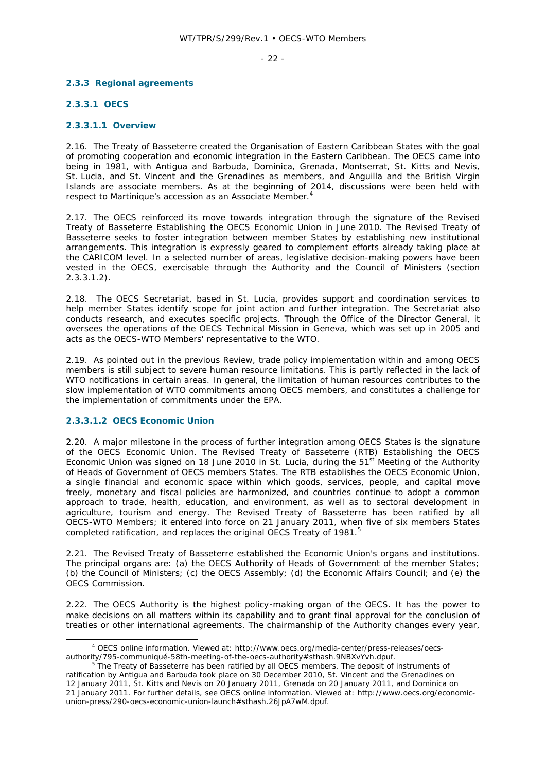#### - 22 -

## **2.3.3 Regional agreements**

# **2.3.3.1 OECS**

#### **2.3.3.1.1 Overview**

2.16. The Treaty of Basseterre created the Organisation of Eastern Caribbean States with the goal of promoting cooperation and economic integration in the Eastern Caribbean. The OECS came into being in 1981, with Antigua and Barbuda, Dominica, Grenada, Montserrat, St. Kitts and Nevis, St. Lucia, and St. Vincent and the Grenadines as members, and Anguilla and the British Virgin Islands are associate members. As at the beginning of 2014, discussions were been held with respect to Martinique's accession as an Associate Member.4

2.17. The OECS reinforced its move towards integration through the signature of the Revised Treaty of Basseterre Establishing the OECS Economic Union in June 2010. The Revised Treaty of Basseterre seeks to foster integration between member States by establishing new institutional arrangements. This integration is expressly geared to complement efforts already taking place at the CARICOM level. In a selected number of areas, legislative decision-making powers have been vested in the OECS, exercisable through the Authority and the Council of Ministers (section 2.3.3.1.2).

2.18. The OECS Secretariat, based in St. Lucia, provides support and coordination services to help member States identify scope for joint action and further integration. The Secretariat also conducts research, and executes specific projects. Through the Office of the Director General, it oversees the operations of the OECS Technical Mission in Geneva, which was set up in 2005 and acts as the OECS-WTO Members' representative to the WTO.

2.19. As pointed out in the previous Review, trade policy implementation within and among OECS members is still subject to severe human resource limitations. This is partly reflected in the lack of WTO notifications in certain areas. In general, the limitation of human resources contributes to the slow implementation of WTO commitments among OECS members, and constitutes a challenge for the implementation of commitments under the EPA.

# **2.3.3.1.2 OECS Economic Union**

2.20. A major milestone in the process of further integration among OECS States is the signature of the OECS Economic Union. The Revised Treaty of Basseterre (RTB) Establishing the OECS Economic Union was signed on 18 June 2010 in St. Lucia, during the 51<sup>st</sup> Meeting of the Authority of Heads of Government of OECS members States. The RTB establishes the OECS Economic Union, a single financial and economic space within which goods, services, people, and capital move freely, monetary and fiscal policies are harmonized, and countries continue to adopt a common approach to trade, health, education, and environment, as well as to sectoral development in agriculture, tourism and energy. The Revised Treaty of Basseterre has been ratified by all OECS-WTO Members; it entered into force on 21 January 2011, when five of six members States completed ratification, and replaces the original OECS Treaty of 1981.<sup>5</sup>

2.21. The Revised Treaty of Basseterre established the Economic Union's organs and institutions. The principal organs are: (a) the OECS Authority of Heads of Government of the member States; (b) the Council of Ministers; (c) the OECS Assembly; (d) the Economic Affairs Council; and (e) the OECS Commission.

2.22. The *OECS Authority* is the highest policy‑making organ of the OECS. It has the power to make decisions on all matters within its capability and to grant final approval for the conclusion of treaties or other international agreements. The chairmanship of the Authority changes every year,

 $\overline{a}$  OECS online information. Viewed at: http://www.oecs.org/media-center/press-releases/oecsauthority/795-communiqué-58th-meeting-of-the-oecs-authority#sthash.9NBXvYvh.dpuf.

The Treaty of Basseterre has been ratified by all OECS members. The deposit of instruments of ratification by Antigua and Barbuda took place on 30 December 2010, St. Vincent and the Grenadines on 12 January 2011, St. Kitts and Nevis on 20 January 2011, Grenada on 20 January 2011, and Dominica on 21 January 2011. For further details, see OECS online information. Viewed at: http://www.oecs.org/economicunion-press/290-oecs-economic-union-launch#sthash.26JpA7wM.dpuf.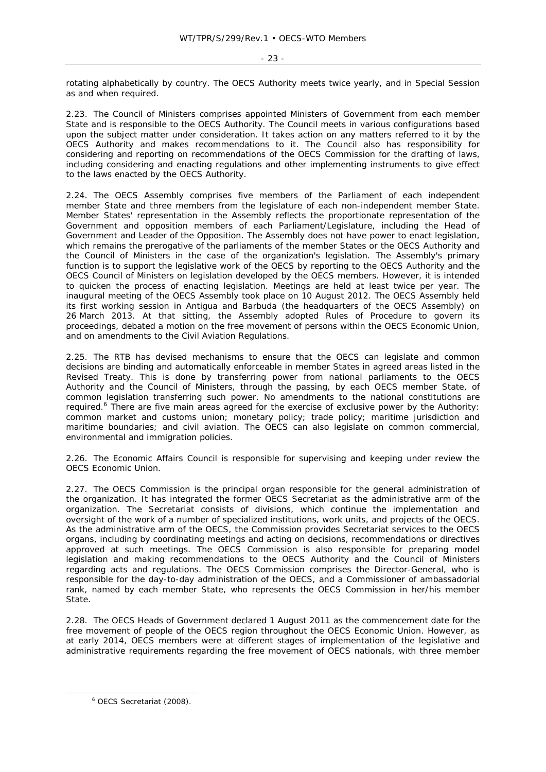rotating alphabetically by country. The OECS Authority meets twice yearly, and in Special Session as and when required.

2.23. The *Council of Ministers* comprises appointed Ministers of Government from each member State and is responsible to the OECS Authority. The Council meets in various configurations based upon the subject matter under consideration. It takes action on any matters referred to it by the OECS Authority and makes recommendations to it. The Council also has responsibility for considering and reporting on recommendations of the OECS Commission for the drafting of laws, including considering and enacting regulations and other implementing instruments to give effect to the laws enacted by the OECS Authority.

2.24. The *OECS Assembly* comprises five members of the Parliament of each independent member State and three members from the legislature of each non-independent member State. Member States' representation in the Assembly reflects the proportionate representation of the Government and opposition members of each Parliament/Legislature, including the Head of Government and Leader of the Opposition. The Assembly does not have power to enact legislation, which remains the prerogative of the parliaments of the member States or the OECS Authority and the Council of Ministers in the case of the organization's legislation. The Assembly's primary function is to support the legislative work of the OECS by reporting to the OECS Authority and the OECS Council of Ministers on legislation developed by the OECS members. However, it is intended to quicken the process of enacting legislation. Meetings are held at least twice per year. The inaugural meeting of the OECS Assembly took place on 10 August 2012. The OECS Assembly held its first working session in Antigua and Barbuda (the headquarters of the OECS Assembly) on 26 March 2013. At that sitting, the Assembly adopted *Rules of Procedure* to govern its proceedings, debated a motion on the free movement of persons within the OECS Economic Union, and on amendments to the Civil Aviation Regulations.

2.25. The RTB has devised mechanisms to ensure that the OECS can legislate and common decisions are binding and automatically enforceable in member States in agreed areas listed in the Revised Treaty. This is done by transferring power from national parliaments to the OECS Authority and the Council of Ministers, through the passing, by each OECS member State, of common legislation transferring such power. No amendments to the national constitutions are required.<sup>6</sup> There are five main areas agreed for the exercise of exclusive power by the Authority: common market and customs union; monetary policy; trade policy; maritime jurisdiction and maritime boundaries; and civil aviation. The OECS can also legislate on common commercial, environmental and immigration policies.

2.26. The *Economic Affairs Council* is responsible for supervising and keeping under review the OECS Economic Union.

2.27. The *OECS Commission* is the principal organ responsible for the general administration of the organization. It has integrated the former OECS Secretariat as the administrative arm of the organization. The Secretariat consists of divisions, which continue the implementation and oversight of the work of a number of specialized institutions, work units, and projects of the OECS. As the administrative arm of the OECS, the Commission provides Secretariat services to the OECS organs, including by coordinating meetings and acting on decisions, recommendations or directives approved at such meetings. The OECS Commission is also responsible for preparing model legislation and making recommendations to the OECS Authority and the Council of Ministers regarding acts and regulations. The OECS Commission comprises the Director-General, who is responsible for the day-to-day administration of the OECS, and a Commissioner of ambassadorial rank, named by each member State, who represents the OECS Commission in her/his member State.

2.28. The OECS Heads of Government declared 1 August 2011 as the commencement date for the free movement of people of the OECS region throughout the OECS Economic Union. However, as at early 2014, OECS members were at different stages of implementation of the legislative and administrative requirements regarding the free movement of OECS nationals, with three member

 $\overline{\phantom{a}}$ OECS Secretariat (2008).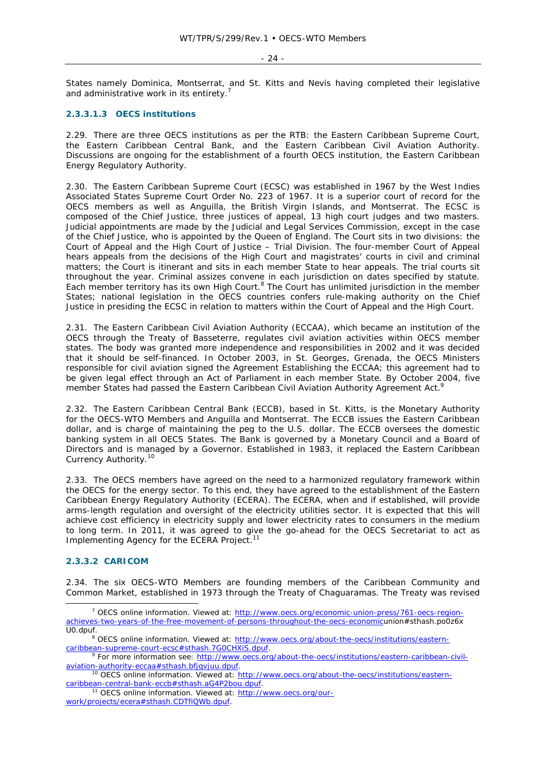States namely Dominica, Montserrat, and St. Kitts and Nevis having completed their legislative and administrative work in its entirety.<sup>7</sup>

## **2.3.3.1.3 OECS institutions**

2.29. There are three OECS institutions as per the RTB: the Eastern Caribbean Supreme Court, the Eastern Caribbean Central Bank, and the Eastern Caribbean Civil Aviation Authority. Discussions are ongoing for the establishment of a fourth OECS institution, the Eastern Caribbean Energy Regulatory Authority.

2.30. The *Eastern Caribbean Supreme Court* (ECSC) was established in 1967 by the West Indies Associated States Supreme Court Order No. 223 of 1967. It is a superior court of record for the OECS members as well as Anguilla, the British Virgin Islands, and Montserrat. The ECSC is composed of the Chief Justice, three justices of appeal, 13 high court judges and two masters. Judicial appointments are made by the Judicial and Legal Services Commission, except in the case of the Chief Justice, who is appointed by the Queen of England. The Court sits in two divisions: the Court of Appeal and the High Court of Justice – Trial Division. The four-member Court of Appeal hears appeals from the decisions of the High Court and magistrates' courts in civil and criminal matters; the Court is itinerant and sits in each member State to hear appeals. The trial courts sit throughout the year. Criminal assizes convene in each jurisdiction on dates specified by statute. Each member territory has its own High Court.<sup>8</sup> The Court has unlimited jurisdiction in the member States; national legislation in the OECS countries confers rule-making authority on the Chief Justice in presiding the ECSC in relation to matters within the Court of Appeal and the High Court.

2.31. *The Eastern Caribbean Civil Aviation Authority (ECCAA)*, which became an institution of the OECS through the Treaty of Basseterre, regulates civil aviation activities within OECS member states. The body was granted more independence and responsibilities in 2002 and it was decided that it should be self-financed. In October 2003, in St. Georges, Grenada, the OECS Ministers responsible for civil aviation signed the Agreement Establishing the ECCAA; this agreement had to be given legal effect through an Act of Parliament in each member State. By October 2004, five member States had passed the Eastern Caribbean Civil Aviation Authority Agreement Act.<sup>9</sup> I.

2.32. The *Eastern Caribbean Central Bank (ECCB)*, based in St. Kitts, is the Monetary Authority for the OECS-WTO Members and Anguilla and Montserrat. The ECCB issues the Eastern Caribbean dollar, and is charge of maintaining the peg to the U.S. dollar. The ECCB oversees the domestic banking system in all OECS States. The Bank is governed by a Monetary Council and a Board of Directors and is managed by a Governor. Established in 1983, it replaced the Eastern Caribbean Currency Authority.10

2.33. The OECS members have agreed on the need to a harmonized regulatory framework within the OECS for the energy sector. To this end, they have agreed to the establishment of the *Eastern Caribbean Energy Regulatory Authority (ECERA)*. The ECERA, when and if established, will provide arms-length regulation and oversight of the electricity utilities sector. It is expected that this will achieve cost efficiency in electricity supply and lower electricity rates to consumers in the medium to long term. In 2011, it was agreed to give the go-ahead for the OECS Secretariat to act as Implementing Agency for the ECERA Project.<sup>11</sup>

# **2.3.3.2 CARICOM**

2.34. The six OECS-WTO Members are founding members of the Caribbean Community and Common Market, established in 1973 through the Treaty of Chaguaramas. The Treaty was revised

work/projects/ecera#sthash.CDTfiQWb.dpuf.

 $\overline{\phantom{a}}$  OECS online information. Viewed at: http://www.oecs.org/economic-union-press/761-oecs-regionachieves-two-years-of-the-free-movement-of-persons-throughout-the-oecs-economicunion#sthash.po0z6x U0.dpuf.

<sup>&</sup>lt;sup>8</sup> OECS online information. Viewed at: http://www.oecs.org/about-the-oecs/institutions/easterncaribbean-supreme-court-ecsc#sthash.7G0CHXiS.dpuf. 9 For more information see: http://www.oecs.org/about-the-oecs/institutions/eastern-caribbean-civil-

aviation-authority-eccaa#sthash.bfjqvjuu.dpuf.<br><sup>10</sup> OECS online information. Viewed at: http://www.oecs.org/about-the-oecs/institutions/eastern-

caribbean-central-bank-eccb#sthash.aG4P2bou.dpuf. 11 OECS online information. Viewed at: http://www.oecs.org/our-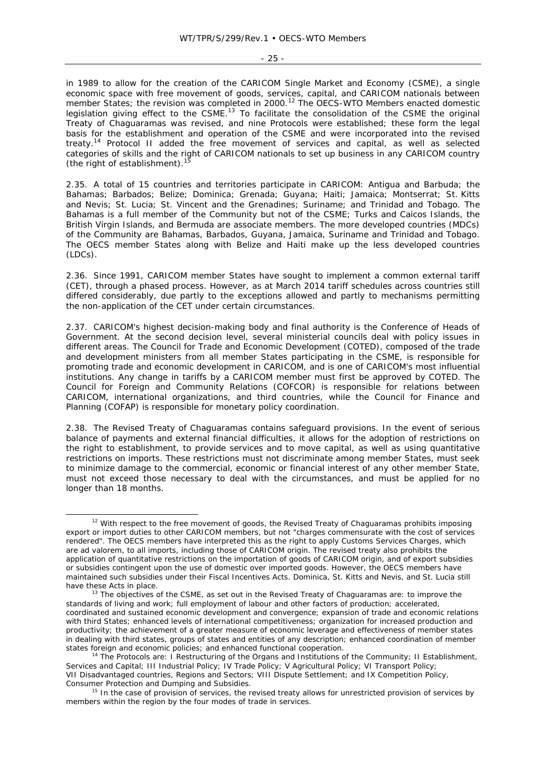- 25 -

in 1989 to allow for the creation of the CARICOM Single Market and Economy (CSME), a single economic space with free movement of goods, services, capital, and CARICOM nationals between member States; the revision was completed in 2000.<sup>12</sup> The OECS-WTO Members enacted domestic legislation giving effect to the CSME.<sup>13</sup> To facilitate the consolidation of the CSME the original Treaty of Chaguaramas was revised, and nine Protocols were established; these form the legal basis for the establishment and operation of the CSME and were incorporated into the revised treaty.14 Protocol II added the free movement of services and capital, as well as selected categories of skills and the right of CARICOM nationals to set up business in any CARICOM country (the right of establishment). $15$ 

2.35. A total of 15 countries and territories participate in CARICOM: Antigua and Barbuda; the Bahamas; Barbados; Belize; Dominica; Grenada; Guyana; Haiti; Jamaica; Montserrat; St. Kitts and Nevis; St. Lucia; St. Vincent and the Grenadines; Suriname; and Trinidad and Tobago. The Bahamas is a full member of the Community but not of the CSME; Turks and Caicos Islands, the British Virgin Islands, and Bermuda are associate members. The more developed countries (MDCs) of the Community are Bahamas, Barbados, Guyana, Jamaica, Suriname and Trinidad and Tobago. The OECS member States along with Belize and Haiti make up the less developed countries (LDCs).

2.36. Since 1991, CARICOM member States have sought to implement a common external tariff (CET), through a phased process. However, as at March 2014 tariff schedules across countries still differed considerably, due partly to the exceptions allowed and partly to mechanisms permitting the non-application of the CET under certain circumstances.

2.37. CARICOM's highest decision-making body and final authority is the Conference of Heads of Government. At the second decision level, several ministerial councils deal with policy issues in different areas. The Council for Trade and Economic Development (COTED), composed of the trade and development ministers from all member States participating in the CSME, is responsible for promoting trade and economic development in CARICOM, and is one of CARICOM's most influential institutions. Any change in tariffs by a CARICOM member must first be approved by COTED. The Council for Foreign and Community Relations (COFCOR) is responsible for relations between CARICOM, international organizations, and third countries, while the Council for Finance and Planning (COFAP) is responsible for monetary policy coordination.

2.38. The Revised Treaty of Chaguaramas contains safeguard provisions. In the event of serious balance of payments and external financial difficulties, it allows for the adoption of restrictions on the right to establishment, to provide services and to move capital, as well as using quantitative restrictions on imports. These restrictions must not discriminate among member States, must seek to minimize damage to the commercial, economic or financial interest of any other member State, must not exceed those necessary to deal with the circumstances, and must be applied for no longer than 18 months.

 $12$  With respect to the free movement of goods, the Revised Treaty of Chaguaramas prohibits imposing export or import duties to other CARICOM members, but not "charges commensurate with the cost of services rendered". The OECS members have interpreted this as the right to apply Customs Services Charges, which are *ad valorem*, to all imports, including those of CARICOM origin. The revised treaty also prohibits the application of quantitative restrictions on the importation of goods of CARICOM origin, and of export subsidies or subsidies contingent upon the use of domestic over imported goods. However, the OECS members have maintained such subsidies under their Fiscal Incentives Acts. Dominica, St. Kitts and Nevis, and St. Lucia still have these Acts in place.<br><sup>13</sup> The objectives of the CSME, as set out in the Revised Treaty of Chaguaramas are: to improve the

standards of living and work; full employment of labour and other factors of production; accelerated, coordinated and sustained economic development and convergence; expansion of trade and economic relations with third States; enhanced levels of international competitiveness; organization for increased production and productivity; the achievement of a greater measure of economic leverage and effectiveness of member states in dealing with third states, groups of states and entities of any description; enhanced coordination of member states foreign and economic policies; and enhanced functional cooperation.<br><sup>14</sup> The Protocols are: I Restructuring of the Organs and Institutions of the Community; II Establishment,

Services and Capital; III Industrial Policy; IV Trade Policy; V Agricultural Policy; VI Transport Policy; VII Disadvantaged countries, Regions and Sectors; VIII Dispute Settlement; and IX Competition Policy, Consumer Protection and Dumping and Subsidies.<br><sup>15</sup> In the case of provision of services, the revised treaty allows for unrestricted provision of services by

members within the region by the four modes of trade in services.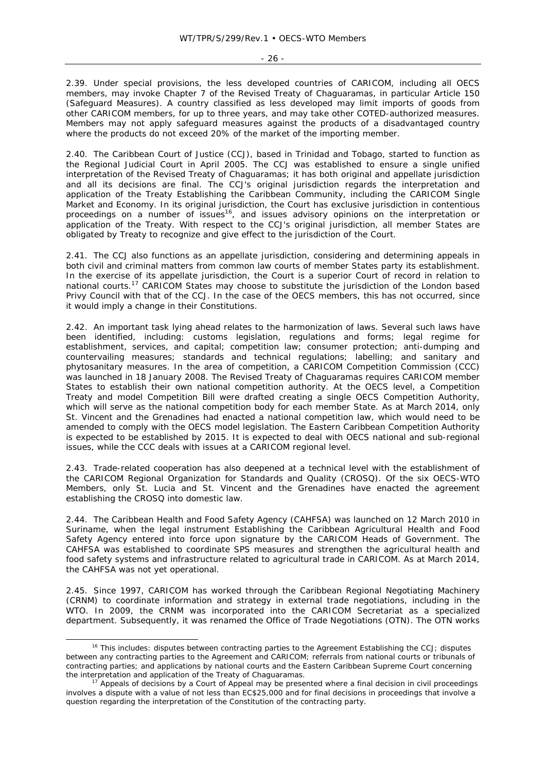- 26 -

2.39. Under special provisions, the less developed countries of CARICOM, including all OECS members, may invoke Chapter 7 of the Revised Treaty of Chaguaramas, in particular Article 150 (Safeguard Measures). A country classified as less developed may limit imports of goods from other CARICOM members, for up to three years, and may take other COTED-authorized measures. Members may not apply safeguard measures against the products of a disadvantaged country where the products do not exceed 20% of the market of the importing member.

2.40. The Caribbean Court of Justice (CCJ), based in Trinidad and Tobago, started to function as the Regional Judicial Court in April 2005. The CCJ was established to ensure a single unified interpretation of the Revised Treaty of Chaguaramas; it has both original and appellate jurisdiction and all its decisions are final. The CCJ's original jurisdiction regards the interpretation and application of the Treaty Establishing the Caribbean Community, including the CARICOM Single Market and Economy. In its original jurisdiction, the Court has exclusive jurisdiction in contentious proceedings on a number of issues<sup>16</sup>, and issues advisory opinions on the interpretation or application of the Treaty. With respect to the CCJ's original jurisdiction, all member States are obligated by Treaty to recognize and give effect to the jurisdiction of the Court.

2.41. The CCJ also functions as an appellate jurisdiction, considering and determining appeals in both civil and criminal matters from common law courts of member States party its establishment. In the exercise of its appellate jurisdiction, the Court is a superior Court of record in relation to national courts.17 CARICOM States may choose to substitute the jurisdiction of the London based Privy Council with that of the CCJ. In the case of the OECS members, this has not occurred, since it would imply a change in their Constitutions.

2.42. An important task lying ahead relates to the harmonization of laws. Several such laws have been identified, including: customs legislation, regulations and forms; legal regime for establishment, services, and capital; competition law; consumer protection; anti-dumping and countervailing measures; standards and technical regulations; labelling; and sanitary and phytosanitary measures. In the area of competition, a CARICOM Competition Commission (CCC) was launched in 18 January 2008. The Revised Treaty of Chaguaramas requires CARICOM member States to establish their own national competition authority. At the OECS level, a Competition Treaty and model Competition Bill were drafted creating a single OECS Competition Authority, which will serve as the national competition body for each member State. As at March 2014, only St. Vincent and the Grenadines had enacted a national competition law, which would need to be amended to comply with the OECS model legislation. The Eastern Caribbean Competition Authority is expected to be established by 2015. It is expected to deal with OECS national and sub-regional issues, while the CCC deals with issues at a CARICOM regional level.

2.43. Trade-related cooperation has also deepened at a technical level with the establishment of the CARICOM Regional Organization for Standards and Quality (CROSQ). Of the six OECS-WTO Members, only St. Lucia and St. Vincent and the Grenadines have enacted the agreement establishing the CROSQ into domestic law.

2.44. The Caribbean Health and Food Safety Agency (CAHFSA) was launched on 12 March 2010 in Suriname, when the legal instrument Establishing the Caribbean Agricultural Health and Food Safety Agency entered into force upon signature by the CARICOM Heads of Government. The CAHFSA was established to coordinate SPS measures and strengthen the agricultural health and food safety systems and infrastructure related to agricultural trade in CARICOM. As at March 2014, the CAHFSA was not yet operational.

2.45. Since 1997, CARICOM has worked through the Caribbean Regional Negotiating Machinery (CRNM) to coordinate information and strategy in external trade negotiations, including in the WTO. In 2009, the CRNM was incorporated into the CARICOM Secretariat as a specialized department. Subsequently, it was renamed the Office of Trade Negotiations (OTN). The OTN works

<sup>&</sup>lt;sup>16</sup> This includes: disputes between contracting parties to the Agreement Establishing the CCJ; disputes between any contracting parties to the Agreement and CARICOM; referrals from national courts or tribunals of contracting parties; and applications by national courts and the Eastern Caribbean Supreme Court concerning<br>the interpretation and application of the Treaty of Chaguaramas.

Appeals of decisions by a Court of Appeal may be presented where a final decision in civil proceedings involves a dispute with a value of not less than EC\$25,000 and for final decisions in proceedings that involve a question regarding the interpretation of the Constitution of the contracting party.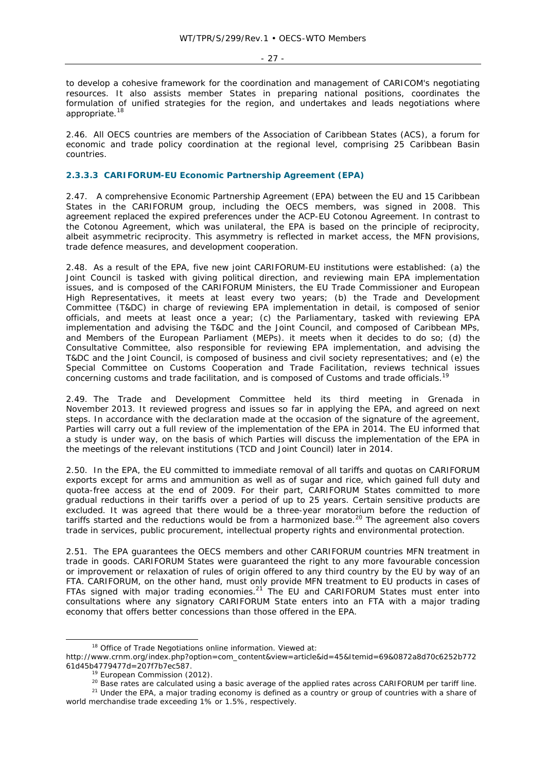- 27 -

to develop a cohesive framework for the coordination and management of CARICOM's negotiating resources. It also assists member States in preparing national positions, coordinates the formulation of unified strategies for the region, and undertakes and leads negotiations where appropriate.<sup>18</sup>

2.46. All OECS countries are members of the Association of Caribbean States (ACS), a forum for economic and trade policy coordination at the regional level, comprising 25 Caribbean Basin countries.

# **2.3.3.3 CARIFORUM-EU Economic Partnership Agreement (EPA)**

2.47. A comprehensive Economic Partnership Agreement (EPA) between the EU and 15 Caribbean States in the CARIFORUM group, including the OECS members, was signed in 2008. This agreement replaced the expired preferences under the ACP-EU Cotonou Agreement. In contrast to the Cotonou Agreement, which was unilateral, the EPA is based on the principle of reciprocity, albeit asymmetric reciprocity. This asymmetry is reflected in market access, the MFN provisions, trade defence measures, and development cooperation.

2.48. As a result of the EPA, five new joint CARIFORUM-EU institutions were established: (a) the Joint Council is tasked with giving political direction, and reviewing main EPA implementation issues, and is composed of the CARIFORUM Ministers, the EU Trade Commissioner and European High Representatives, it meets at least every two years; (b) the Trade and Development Committee (T&DC) in charge of reviewing EPA implementation in detail, is composed of senior officials, and meets at least once a year; (c) the Parliamentary, tasked with reviewing EPA implementation and advising the T&DC and the Joint Council, and composed of Caribbean MPs, and Members of the European Parliament (MEPs). it meets when it decides to do so; (d) the Consultative Committee, also responsible for reviewing EPA implementation, and advising the T&DC and the Joint Council, is composed of business and civil society representatives; and (e) the Special Committee on Customs Cooperation and Trade Facilitation, reviews technical issues concerning customs and trade facilitation, and is composed of Customs and trade officials.19

2.49. The Trade and Development Committee held its third meeting in Grenada in November 2013. It reviewed progress and issues so far in applying the EPA, and agreed on next steps. In accordance with the declaration made at the occasion of the signature of the agreement, Parties will carry out a full review of the implementation of the EPA in 2014. The EU informed that a study is under way, on the basis of which Parties will discuss the implementation of the EPA in the meetings of the relevant institutions (TCD and Joint Council) later in 2014.

2.50. In the EPA, the EU committed to immediate removal of all tariffs and quotas on CARIFORUM exports except for arms and ammunition as well as of sugar and rice, which gained full duty and quota-free access at the end of 2009. For their part, CARIFORUM States committed to more gradual reductions in their tariffs over a period of up to 25 years. Certain sensitive products are excluded. It was agreed that there would be a three-year moratorium before the reduction of tariffs started and the reductions would be from a harmonized base.<sup>20</sup> The agreement also covers trade in services, public procurement, intellectual property rights and environmental protection.

2.51. The EPA guarantees the OECS members and other CARIFORUM countries MFN treatment in trade in goods. CARIFORUM States were guaranteed the right to any more favourable concession or improvement or relaxation of rules of origin offered to any third country by the EU by way of an FTA. CARIFORUM, on the other hand, must only provide MFN treatment to EU products in cases of FTAs signed with major trading economies.<sup>21</sup> The EU and CARIFORUM States must enter into consultations where any signatory CARIFORUM State enters into an FTA with a major trading economy that offers better concessions than those offered in the EPA.

<sup>&</sup>lt;sup>18</sup> Office of Trade Negotiations online information. Viewed at:

http://www.crnm.org/index.php?option=com\_content&view=article&id=45&Itemid=69&0872a8d70c6252b772 61d45b4779477d=207f7b7ec587.<br><sup>19</sup> European Commission (2012).<br><sup>20</sup> Base rates are calculated using a basic average of the applied rates across CARIFORUM per tariff line.<br><sup>21</sup> Under the EPA, a major trading economy is defi

world merchandise trade exceeding 1% or 1.5%, respectively.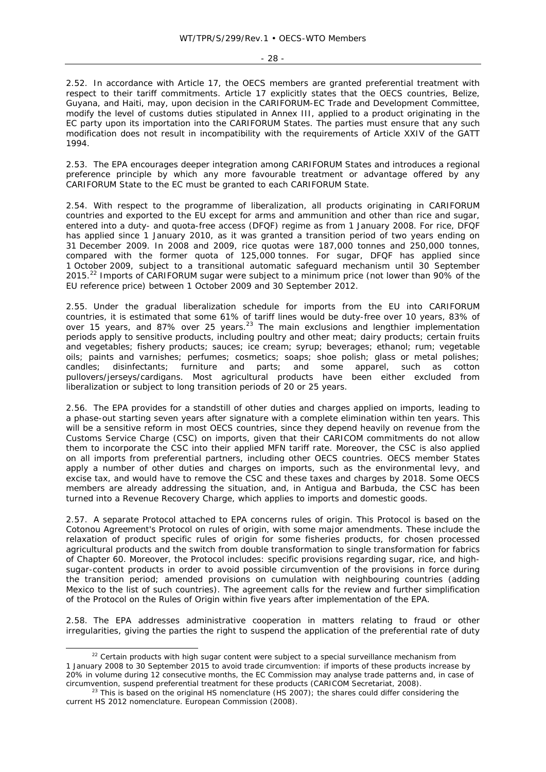- 28 -

2.52. In accordance with Article 17, the OECS members are granted preferential treatment with respect to their tariff commitments. Article 17 explicitly states that the OECS countries, Belize, Guyana, and Haiti, may, upon decision in the CARIFORUM-EC Trade and Development Committee, modify the level of customs duties stipulated in Annex III, applied to a product originating in the EC party upon its importation into the CARIFORUM States. The parties must ensure that any such modification does not result in incompatibility with the requirements of Article XXIV of the GATT 1994.

2.53. The EPA encourages deeper integration among CARIFORUM States and introduces a regional preference principle by which any more favourable treatment or advantage offered by any CARIFORUM State to the EC must be granted to each CARIFORUM State.

2.54. With respect to the programme of liberalization, all products originating in CARIFORUM countries and exported to the EU except for arms and ammunition and other than rice and sugar, entered into a duty- and quota-free access (DFQF) regime as from 1 January 2008. For rice, DFQF has applied since 1 January 2010, as it was granted a transition period of two years ending on 31 December 2009. In 2008 and 2009, rice quotas were 187,000 tonnes and 250,000 tonnes, compared with the former quota of 125,000 tonnes. For sugar, DFQF has applied since 1 October 2009, subject to a transitional automatic safeguard mechanism until 30 September 2015.<sup>22</sup> Imports of CARIFORUM sugar were subject to a minimum price (not lower than 90% of the EU reference price) between 1 October 2009 and 30 September 2012.

2.55. Under the gradual liberalization schedule for imports from the EU into CARIFORUM countries, it is estimated that some 61% of tariff lines would be duty-free over 10 years, 83% of over 15 years, and 87% over 25 years. $23$  The main exclusions and lengthier implementation periods apply to sensitive products, including poultry and other meat; dairy products; certain fruits and vegetables; fishery products; sauces; ice cream; syrup; beverages; ethanol; rum; vegetable oils; paints and varnishes; perfumes; cosmetics; soaps; shoe polish; glass or metal polishes; candles; disinfectants; furniture and parts; and some apparel, such as cotton pullovers/jerseys/cardigans. Most agricultural products have been either excluded from liberalization or subject to long transition periods of 20 or 25 years.

2.56. The EPA provides for a standstill of other duties and charges applied on imports, leading to a phase-out starting seven years after signature with a complete elimination within ten years. This will be a sensitive reform in most OECS countries, since they depend heavily on revenue from the Customs Service Charge (CSC) on imports, given that their CARICOM commitments do not allow them to incorporate the CSC into their applied MFN tariff rate. Moreover, the CSC is also applied on all imports from preferential partners, including other OECS countries. OECS member States apply a number of other duties and charges on imports, such as the environmental levy, and excise tax, and would have to remove the CSC and these taxes and charges by 2018. Some OECS members are already addressing the situation, and, in Antigua and Barbuda, the CSC has been turned into a Revenue Recovery Charge, which applies to imports and domestic goods.

2.57. A separate Protocol attached to EPA concerns rules of origin. This Protocol is based on the Cotonou Agreement's Protocol on rules of origin, with some major amendments. These include the relaxation of product specific rules of origin for some fisheries products, for chosen processed agricultural products and the switch from double transformation to single transformation for fabrics of Chapter 60. Moreover, the Protocol includes: specific provisions regarding sugar, rice, and highsugar-content products in order to avoid possible circumvention of the provisions in force during the transition period; amended provisions on cumulation with neighbouring countries (adding Mexico to the list of such countries). The agreement calls for the review and further simplification of the Protocol on the Rules of Origin within five years after implementation of the EPA.

2.58. The EPA addresses administrative cooperation in matters relating to fraud or other irregularities, giving the parties the right to suspend the application of the preferential rate of duty

<sup>&</sup>lt;sup>22</sup> Certain products with high sugar content were subject to a special surveillance mechanism from 1 January 2008 to 30 September 2015 to avoid trade circumvention: if imports of these products increase by 20% in volume during 12 consecutive months, the EC Commission may analyse trade patterns and, in case of circumvention, suspend preferential treatment for these products (CARICOM Secretariat, 2008).<br><sup>23</sup> This is based on the original HS nomenclature (HS 2007); the shares could differ considering the

current HS 2012 nomenclature. European Commission (2008).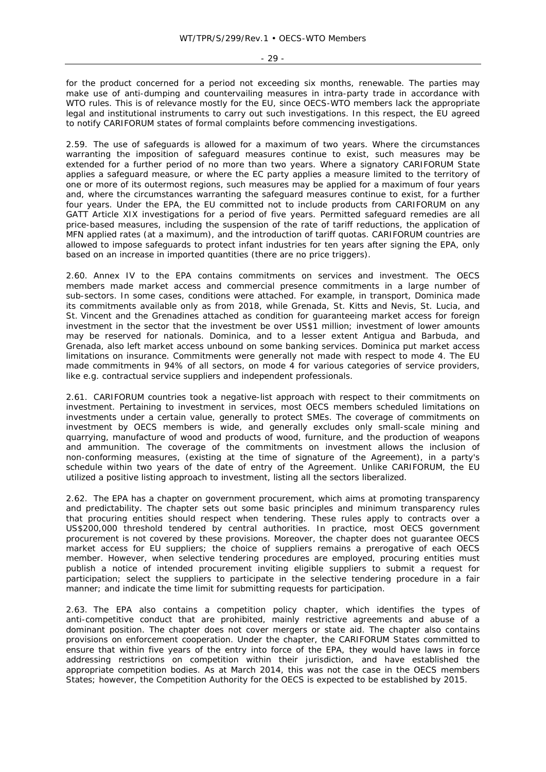- 29 -

for the product concerned for a period not exceeding six months, renewable. The parties may make use of anti-dumping and countervailing measures in intra-party trade in accordance with WTO rules. This is of relevance mostly for the EU, since OECS-WTO members lack the appropriate legal and institutional instruments to carry out such investigations. In this respect, the EU agreed to notify CARIFORUM states of formal complaints before commencing investigations.

2.59. The use of safeguards is allowed for a maximum of two years. Where the circumstances warranting the imposition of safeguard measures continue to exist, such measures may be extended for a further period of no more than two years. Where a signatory CARIFORUM State applies a safeguard measure, or where the EC party applies a measure limited to the territory of one or more of its outermost regions, such measures may be applied for a maximum of four years and, where the circumstances warranting the safeguard measures continue to exist, for a further four years. Under the EPA, the EU committed not to include products from CARIFORUM on any GATT Article XIX investigations for a period of five years. Permitted safeguard remedies are all price-based measures, including the suspension of the rate of tariff reductions, the application of MFN applied rates (at a maximum), and the introduction of tariff quotas. CARIFORUM countries are allowed to impose safeguards to protect infant industries for ten years after signing the EPA, only based on an increase in imported quantities (there are no price triggers).

2.60. Annex IV to the EPA contains commitments on services and investment. The OECS members made market access and commercial presence commitments in a large number of sub-sectors. In some cases, conditions were attached. For example, in transport, Dominica made its commitments available only as from 2018, while Grenada, St. Kitts and Nevis, St. Lucia, and St. Vincent and the Grenadines attached as condition for guaranteeing market access for foreign investment in the sector that the investment be over US\$1 million; investment of lower amounts may be reserved for nationals. Dominica, and to a lesser extent Antigua and Barbuda, and Grenada, also left market access unbound on some banking services. Dominica put market access limitations on insurance. Commitments were generally not made with respect to mode 4. The EU made commitments in 94% of all sectors, on mode 4 for various categories of service providers, like e.g. contractual service suppliers and independent professionals.

2.61. CARIFORUM countries took a negative-list approach with respect to their commitments on investment. Pertaining to investment in services, most OECS members scheduled limitations on investments under a certain value, generally to protect SMEs. The coverage of commitments on investment by OECS members is wide, and generally excludes only small-scale mining and quarrying, manufacture of wood and products of wood, furniture, and the production of weapons and ammunition. The coverage of the commitments on investment allows the inclusion of non-conforming measures, (existing at the time of signature of the Agreement), in a party's schedule within two years of the date of entry of the Agreement. Unlike CARIFORUM, the EU utilized a positive listing approach to investment, listing all the sectors liberalized.

2.62. The EPA has a chapter on government procurement, which aims at promoting transparency and predictability. The chapter sets out some basic principles and minimum transparency rules that procuring entities should respect when tendering. These rules apply to contracts over a US\$200,000 threshold tendered by central authorities. In practice, most OECS government procurement is not covered by these provisions. Moreover, the chapter does not guarantee OECS market access for EU suppliers; the choice of suppliers remains a prerogative of each OECS member. However, when selective tendering procedures are employed, procuring entities must publish a notice of intended procurement inviting eligible suppliers to submit a request for participation; select the suppliers to participate in the selective tendering procedure in a fair manner; and indicate the time limit for submitting requests for participation.

2.63. The EPA also contains a competition policy chapter, which identifies the types of anti-competitive conduct that are prohibited, mainly restrictive agreements and abuse of a dominant position. The chapter does not cover mergers or state aid. The chapter also contains provisions on enforcement cooperation. Under the chapter, the CARIFORUM States committed to ensure that within five years of the entry into force of the EPA, they would have laws in force addressing restrictions on competition within their jurisdiction, and have established the appropriate competition bodies. As at March 2014, this was not the case in the OECS members States; however, the Competition Authority for the OECS is expected to be established by 2015.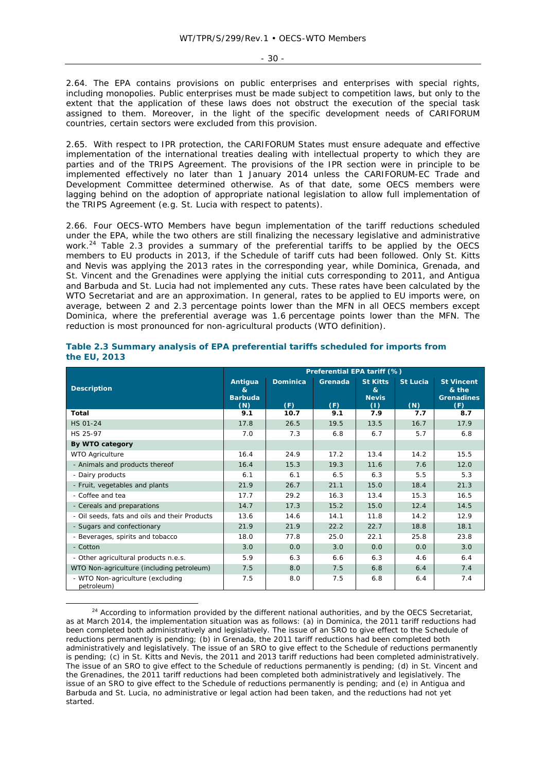2.64. The EPA contains provisions on public enterprises and enterprises with special rights, including monopolies. Public enterprises must be made subject to competition laws, but only to the extent that the application of these laws does not obstruct the execution of the special task assigned to them. Moreover, in the light of the specific development needs of CARIFORUM countries, certain sectors were excluded from this provision.

2.65. With respect to IPR protection, the CARIFORUM States must ensure adequate and effective implementation of the international treaties dealing with intellectual property to which they are parties and of the TRIPS Agreement. The provisions of the IPR section were in principle to be implemented effectively no later than 1 January 2014 unless the CARIFORUM-EC Trade and Development Committee determined otherwise. As of that date, some OECS members were lagging behind on the adoption of appropriate national legislation to allow full implementation of the TRIPS Agreement (e.g. St. Lucia with respect to patents).

2.66. Four OECS-WTO Members have begun implementation of the tariff reductions scheduled under the EPA, while the two others are still finalizing the necessary legislative and administrative work.<sup>24</sup> Table 2.3 provides a summary of the preferential tariffs to be applied by the OECS members to EU products in 2013, if the Schedule of tariff cuts had been followed. Only St. Kitts and Nevis was applying the 2013 rates in the corresponding year, while Dominica, Grenada, and St. Vincent and the Grenadines were applying the initial cuts corresponding to 2011, and Antigua and Barbuda and St. Lucia had not implemented any cuts. These rates have been calculated by the WTO Secretariat and are an approximation. In general, rates to be applied to EU imports were, on average, between 2 and 2.3 percentage points lower than the MFN in all OECS members except Dominica, where the preferential average was 1.6 percentage points lower than the MFN. The reduction is most pronounced for non-agricultural products (WTO definition).

|                                                | Preferential EPA tariff (%)           |                        |                |                                             |                        |                                                        |  |  |
|------------------------------------------------|---------------------------------------|------------------------|----------------|---------------------------------------------|------------------------|--------------------------------------------------------|--|--|
| <b>Description</b>                             | Antigua<br>&<br><b>Barbuda</b><br>(N) | <b>Dominica</b><br>(F) | Grenada<br>(F) | <b>St Kitts</b><br>&<br><b>Nevis</b><br>(1) | <b>St Lucia</b><br>(N) | <b>St Vincent</b><br>& the<br><b>Grenadines</b><br>(F) |  |  |
| Total                                          | 9.1                                   | 10.7                   | 9.1            | 7.9                                         | 7.7                    | 8.7                                                    |  |  |
| <b>HS 01-24</b>                                | 17.8                                  | 26.5                   | 19.5           | 13.5                                        | 16.7                   | 17.9                                                   |  |  |
| HS 25-97                                       | 7.0                                   | 7.3                    | 6.8            | 6.7                                         | 5.7                    | 6.8                                                    |  |  |
| By WTO category                                |                                       |                        |                |                                             |                        |                                                        |  |  |
| <b>WTO Agriculture</b>                         | 16.4                                  | 24.9                   | 17.2           | 13.4                                        | 14.2                   | 15.5                                                   |  |  |
| - Animals and products thereof                 | 16.4                                  | 15.3                   | 19.3           | 11.6                                        | 7.6                    | 12.0                                                   |  |  |
| - Dairy products                               | 6.1                                   | 6.1                    | 6.5            | 6.3                                         | 5.5                    | 5.3                                                    |  |  |
| - Fruit, vegetables and plants                 | 21.9                                  | 26.7                   | 21.1           | 15.0                                        | 18.4                   | 21.3                                                   |  |  |
| - Coffee and tea                               | 17.7                                  | 29.2                   | 16.3           | 13.4                                        | 15.3                   | 16.5                                                   |  |  |
| - Cereals and preparations                     | 14.7                                  | 17.3                   | 15.2           | 15.0                                        | 12.4                   | 14.5                                                   |  |  |
| - Oil seeds, fats and oils and their Products  | 13.6                                  | 14.6                   | 14.1           | 11.8                                        | 14.2                   | 12.9                                                   |  |  |
| - Sugars and confectionary                     | 21.9                                  | 21.9                   | 22.2           | 22.7                                        | 18.8                   | 18.1                                                   |  |  |
| - Beverages, spirits and tobacco               | 18.0                                  | 77.8                   | 25.0           | 22.1                                        | 25.8                   | 23.8                                                   |  |  |
| - Cotton                                       | 3.0                                   | 0.0                    | 3.0            | 0.0                                         | 0.0                    | 3.0                                                    |  |  |
| - Other agricultural products n.e.s.           | 5.9                                   | 6.3                    | 6.6            | 6.3                                         | 4.6                    | 6.4                                                    |  |  |
| WTO Non-agriculture (including petroleum)      | 7.5                                   | 8.0                    | 7.5            | 6.8                                         | 6.4                    | 7.4                                                    |  |  |
| - WTO Non-agriculture (excluding<br>petroleum) | 7.5                                   | 8.0                    | 7.5            | 6.8                                         | 6.4                    | 7.4                                                    |  |  |

| Table 2.3 Summary analysis of EPA preferential tariffs scheduled for imports from |  |  |
|-----------------------------------------------------------------------------------|--|--|
| the EU, 2013                                                                      |  |  |

<sup>&</sup>lt;sup>24</sup> According to information provided by the different national authorities, and by the OECS Secretariat, as at March 2014, the implementation situation was as follows: (a) in Dominica, the 2011 tariff reductions had been completed both administratively and legislatively. The issue of an SRO to give effect to the Schedule of reductions permanently is pending; (b) in Grenada, the 2011 tariff reductions had been completed both administratively and legislatively. The issue of an SRO to give effect to the Schedule of reductions permanently is pending; (c) in St. Kitts and Nevis, the 2011 and 2013 tariff reductions had been completed administratively. The issue of an SRO to give effect to the Schedule of reductions permanently is pending; (d) in St. Vincent and the Grenadines, the 2011 tariff reductions had been completed both administratively and legislatively. The issue of an SRO to give effect to the Schedule of reductions permanently is pending; and (e) in Antigua and Barbuda and St. Lucia, no administrative or legal action had been taken, and the reductions had not yet started.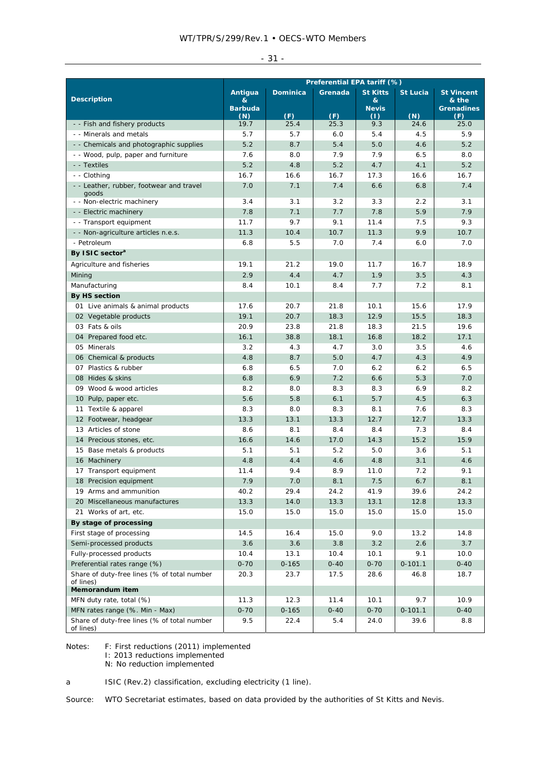|  | ., |  |
|--|----|--|
|--|----|--|

|                                                                             | Preferential EPA tariff (%)           |                        |                |                                             |                        |                                                        |  |
|-----------------------------------------------------------------------------|---------------------------------------|------------------------|----------------|---------------------------------------------|------------------------|--------------------------------------------------------|--|
| <b>Description</b>                                                          | Antigua<br>&<br><b>Barbuda</b><br>(N) | <b>Dominica</b><br>(F) | Grenada<br>(F) | <b>St Kitts</b><br>&<br><b>Nevis</b><br>(1) | <b>St Lucia</b><br>(N) | <b>St Vincent</b><br>& the<br><b>Grenadines</b><br>(F) |  |
| - - Fish and fishery products                                               | 19.7                                  | 25.4                   | 25.3           | 9.3                                         | 24.6                   | 25.0                                                   |  |
| - - Minerals and metals                                                     | 5.7                                   | 5.7                    | $6.0$          | 5.4                                         | 4.5                    | 5.9                                                    |  |
| - - Chemicals and photographic supplies                                     | 5.2                                   | 8.7                    | 5.4            | 5.0                                         | 4.6                    | 5.2                                                    |  |
| - - Wood, pulp, paper and furniture                                         | 7.6                                   | 8.0                    | 7.9            | 7.9                                         | 6.5                    | 8.0                                                    |  |
| - - Textiles                                                                | 5.2                                   | 4.8                    | 5.2            | 4.7                                         | 4.1                    | 5.2                                                    |  |
| - - Clothing                                                                | 16.7                                  | 16.6                   | 16.7           | 17.3                                        | 16.6                   | 16.7                                                   |  |
| - - Leather, rubber, footwear and travel<br>goods                           | 7.0                                   | 7.1                    | 7.4            | 6.6                                         | 6.8                    | 7.4                                                    |  |
| - - Non-electric machinery                                                  | 3.4                                   | 3.1                    | 3.2            | 3.3                                         | 2.2                    | 3.1                                                    |  |
| - - Electric machinery                                                      | 7.8                                   | 7.1                    | 7.7            | 7.8                                         | 5.9                    | 7.9                                                    |  |
| - - Transport equipment                                                     | 11.7                                  | 9.7                    | 9.1            | 11.4                                        | 7.5                    | 9.3                                                    |  |
| - - Non-agriculture articles n.e.s.                                         | 11.3                                  | 10.4                   | 10.7           | 11.3                                        | 9.9                    | 10.7                                                   |  |
| - Petroleum                                                                 | 6.8                                   | 5.5                    | 7.0            | 7.4                                         | 6.0                    | 7.0                                                    |  |
| By ISIC sector <sup>a</sup>                                                 |                                       |                        |                |                                             |                        |                                                        |  |
| Agriculture and fisheries                                                   | 19.1                                  | 21.2                   | 19.0           | 11.7                                        | 16.7                   | 18.9                                                   |  |
| Mining                                                                      | 2.9                                   | 4.4                    | 4.7            | 1.9                                         | 3.5                    | 4.3                                                    |  |
| Manufacturing                                                               | 8.4                                   | 10.1                   | 8.4            | 7.7                                         | 7.2                    | 8.1                                                    |  |
| By HS section                                                               |                                       |                        |                |                                             |                        |                                                        |  |
| 01 Live animals & animal products                                           | 17.6                                  | 20.7                   | 21.8           | 10.1                                        | 15.6                   | 17.9                                                   |  |
| 02 Vegetable products                                                       | 19.1                                  | 20.7                   | 18.3           | 12.9                                        | 15.5                   | 18.3                                                   |  |
| 03 Fats & oils                                                              | 20.9                                  | 23.8                   | 21.8           | 18.3                                        | 21.5                   | 19.6                                                   |  |
| 04 Prepared food etc.                                                       | 16.1                                  | 38.8                   | 18.1           | 16.8                                        | 18.2                   | 17.1                                                   |  |
| 05 Minerals                                                                 | 3.2                                   | 4.3                    | 4.7            | 3.0                                         | 3.5                    | 4.6                                                    |  |
| 06 Chemical & products                                                      | 4.8                                   | 8.7                    | 5.0            | 4.7                                         | 4.3                    | 4.9                                                    |  |
| 07 Plastics & rubber                                                        | 6.8                                   | 6.5                    | 7.0            | 6.2                                         | 6.2                    | 6.5                                                    |  |
| 08 Hides & skins                                                            | 6.8                                   | 6.9                    | 7.2            | 6.6                                         | 5.3                    | 7.0                                                    |  |
| 09 Wood & wood articles                                                     | 8.2                                   | 8.0                    | 8.3            | 8.3                                         | 6.9                    | 8.2                                                    |  |
| 10 Pulp, paper etc.                                                         | 5.6                                   | 5.8                    | 6.1            | 5.7                                         | 4.5                    | 6.3                                                    |  |
| 11 Textile & apparel                                                        | 8.3                                   | 8.0                    | 8.3            | 8.1                                         | 7.6                    | 8.3                                                    |  |
| 12 Footwear, headgear                                                       | 13.3                                  | 13.1                   | 13.3           | 12.7                                        | 12.7                   | 13.3                                                   |  |
| 13 Articles of stone                                                        | 8.6                                   | 8.1                    | 8.4            | 8.4                                         | 7.3                    | 8.4                                                    |  |
| 14 Precious stones, etc.                                                    | 16.6                                  | 14.6                   | 17.0           | 14.3                                        | 15.2                   | 15.9                                                   |  |
| 15 Base metals & products                                                   | 5.1                                   | 5.1                    | 5.2            | 5.0                                         | 3.6                    | 5.1                                                    |  |
| 16 Machinery                                                                | 4.8                                   | 4.4                    | 4.6            | 4.8                                         | 3.1                    | 4.6                                                    |  |
| 17 Transport equipment                                                      | 11.4                                  | 9.4                    | 8.9            | 11.0                                        | 7.2                    | 9.1                                                    |  |
| 18 Precision equipment                                                      | 7.9                                   | 7.0                    | 8.1            | 7.5                                         | 6.7                    | 8.1                                                    |  |
| 19 Arms and ammunition                                                      | 40.2                                  | 29.4                   | 24.2           | 41.9                                        | 39.6                   | 24.2                                                   |  |
| 20 Miscellaneous manufactures                                               | 13.3                                  | 14.0                   | 13.3           | 13.1                                        | 12.8                   | 13.3                                                   |  |
| 21 Works of art, etc.                                                       | 15.0                                  | 15.0                   | 15.0           | 15.0                                        | 15.0                   | 15.0                                                   |  |
| By stage of processing                                                      |                                       |                        |                |                                             |                        |                                                        |  |
| First stage of processing                                                   | 14.5                                  | 16.4                   | 15.0           | 9.0                                         | 13.2                   | 14.8                                                   |  |
| Semi-processed products                                                     | 3.6                                   | 3.6                    | 3.8            | 3.2                                         | 2.6                    | 3.7                                                    |  |
| Fully-processed products                                                    | 10.4                                  | 13.1                   | 10.4           | 10.1                                        | 9.1                    | 10.0                                                   |  |
| Preferential rates range (%)                                                | $0 - 70$                              | $0 - 165$              | $0 - 40$       | $0 - 70$                                    | $0 - 101.1$            | $0 - 40$                                               |  |
| Share of duty-free lines (% of total number<br>of lines)<br>Memorandum item | 20.3                                  | 23.7                   | 17.5           | 28.6                                        | 46.8                   | 18.7                                                   |  |
| MFN duty rate, total (%)                                                    | 11.3                                  | 12.3                   | 11.4           | 10.1                                        | 9.7                    | 10.9                                                   |  |
| MFN rates range (%. Min - Max)                                              | $0 - 70$                              | $0 - 165$              | $0 - 40$       | $0 - 70$                                    | $0 - 101.1$            | $0 - 40$                                               |  |
| Share of duty-free lines (% of total number<br>of lines)                    | 9.5                                   | 22.4                   | 5.4            | 24.0                                        | 39.6                   | 8.8                                                    |  |

Notes: F: First reductions (2011) implemented

I: 2013 reductions implemented

N: No reduction implemented

a ISIC (Rev.2) classification, excluding electricity (1 line).

Source: WTO Secretariat estimates, based on data provided by the authorities of St Kitts and Nevis.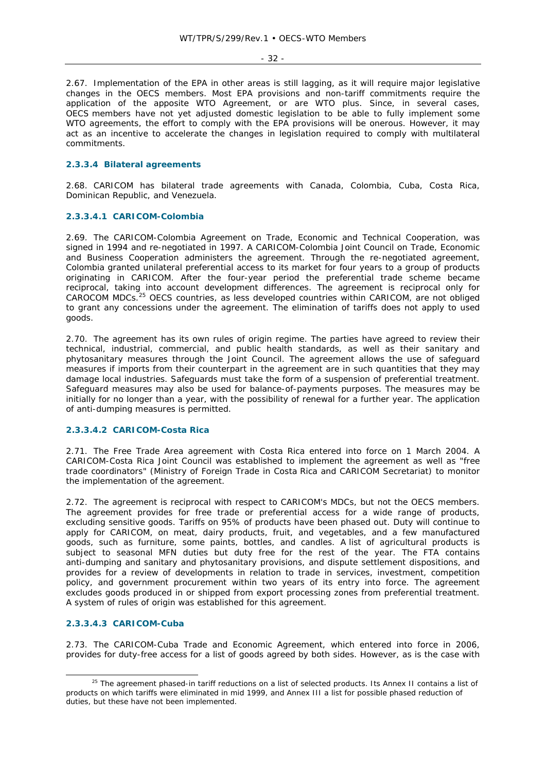- 32 -

2.67. Implementation of the EPA in other areas is still lagging, as it will require major legislative changes in the OECS members. Most EPA provisions and non-tariff commitments require the application of the apposite WTO Agreement, or are WTO plus. Since, in several cases, OECS members have not yet adjusted domestic legislation to be able to fully implement some WTO agreements, the effort to comply with the EPA provisions will be onerous. However, it may act as an incentive to accelerate the changes in legislation required to comply with multilateral commitments.

# **2.3.3.4 Bilateral agreements**

2.68. CARICOM has bilateral trade agreements with Canada, Colombia, Cuba, Costa Rica, Dominican Republic, and Venezuela.

# **2.3.3.4.1 CARICOM-Colombia**

2.69. The CARICOM-Colombia Agreement on Trade, Economic and Technical Cooperation, was signed in 1994 and re-negotiated in 1997. A CARICOM-Colombia Joint Council on Trade, Economic and Business Cooperation administers the agreement. Through the re-negotiated agreement, Colombia granted unilateral preferential access to its market for four years to a group of products originating in CARICOM. After the four-year period the preferential trade scheme became reciprocal, taking into account development differences. The agreement is reciprocal only for CAROCOM MDCs.25 OECS countries, as less developed countries within CARICOM, are not obliged to grant any concessions under the agreement. The elimination of tariffs does not apply to used goods.

2.70. The agreement has its own rules of origin regime. The parties have agreed to review their technical, industrial, commercial, and public health standards, as well as their sanitary and phytosanitary measures through the Joint Council. The agreement allows the use of safeguard measures if imports from their counterpart in the agreement are in such quantities that they may damage local industries. Safeguards must take the form of a suspension of preferential treatment. Safeguard measures may also be used for balance-of-payments purposes. The measures may be initially for no longer than a year, with the possibility of renewal for a further year. The application of anti-dumping measures is permitted.

# **2.3.3.4.2 CARICOM-Costa Rica**

2.71. The Free Trade Area agreement with Costa Rica entered into force on 1 March 2004. A CARICOM-Costa Rica Joint Council was established to implement the agreement as well as "free trade coordinators" (Ministry of Foreign Trade in Costa Rica and CARICOM Secretariat) to monitor the implementation of the agreement.

2.72. The agreement is reciprocal with respect to CARICOM's MDCs, but not the OECS members. The agreement provides for free trade or preferential access for a wide range of products, excluding sensitive goods. Tariffs on 95% of products have been phased out. Duty will continue to apply for CARICOM, on meat, dairy products, fruit, and vegetables, and a few manufactured goods, such as furniture, some paints, bottles, and candles. A list of agricultural products is subject to seasonal MFN duties but duty free for the rest of the year. The FTA contains anti-dumping and sanitary and phytosanitary provisions, and dispute settlement dispositions, and provides for a review of developments in relation to trade in services, investment, competition policy, and government procurement within two years of its entry into force. The agreement excludes goods produced in or shipped from export processing zones from preferential treatment. A system of rules of origin was established for this agreement.

# **2.3.3.4.3 CARICOM-Cuba**

2.73. The CARICOM-Cuba Trade and Economic Agreement, which entered into force in 2006, provides for duty-free access for a list of goods agreed by both sides. However, as is the case with

<sup>&</sup>lt;sup>25</sup> The agreement phased-in tariff reductions on a list of selected products. Its Annex II contains a list of products on which tariffs were eliminated in mid 1999, and Annex III a list for possible phased reduction of duties, but these have not been implemented.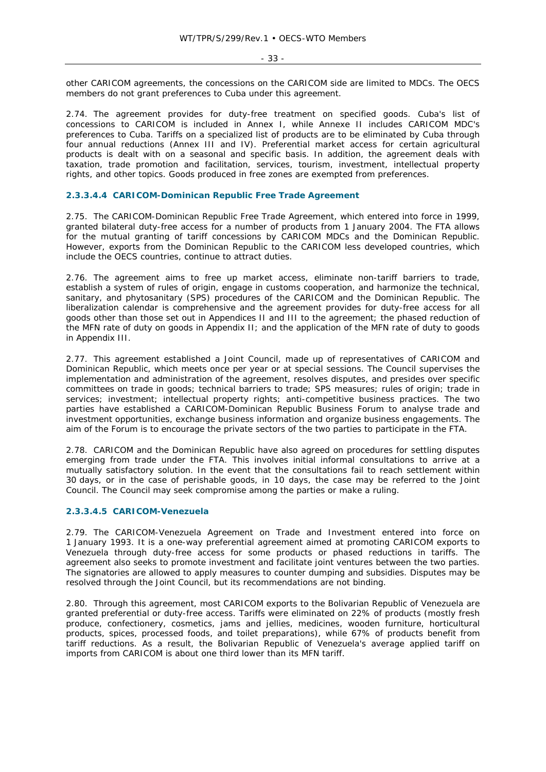other CARICOM agreements, the concessions on the CARICOM side are limited to MDCs. The OECS members do not grant preferences to Cuba under this agreement.

2.74. The agreement provides for duty-free treatment on specified goods. Cuba's list of concessions to CARICOM is included in Annex I, while Annexe II includes CARICOM MDC's preferences to Cuba. Tariffs on a specialized list of products are to be eliminated by Cuba through four annual reductions (Annex III and IV). Preferential market access for certain agricultural products is dealt with on a seasonal and specific basis. In addition, the agreement deals with taxation, trade promotion and facilitation, services, tourism, investment, intellectual property rights, and other topics. Goods produced in free zones are exempted from preferences.

#### **2.3.3.4.4 CARICOM-Dominican Republic Free Trade Agreement**

2.75. The CARICOM-Dominican Republic Free Trade Agreement, which entered into force in 1999, granted bilateral duty-free access for a number of products from 1 January 2004. The FTA allows for the mutual granting of tariff concessions by CARICOM MDCs and the Dominican Republic. However, exports from the Dominican Republic to the CARICOM less developed countries, which include the OECS countries, continue to attract duties.

2.76. The agreement aims to free up market access, eliminate non-tariff barriers to trade, establish a system of rules of origin, engage in customs cooperation, and harmonize the technical, sanitary, and phytosanitary (SPS) procedures of the CARICOM and the Dominican Republic. The liberalization calendar is comprehensive and the agreement provides for duty-free access for all goods other than those set out in Appendices II and III to the agreement; the phased reduction of the MFN rate of duty on goods in Appendix II; and the application of the MFN rate of duty to goods in Appendix III.

2.77. This agreement established a Joint Council, made up of representatives of CARICOM and Dominican Republic, which meets once per year or at special sessions. The Council supervises the implementation and administration of the agreement, resolves disputes, and presides over specific committees on trade in goods; technical barriers to trade; SPS measures; rules of origin; trade in services; investment; intellectual property rights; anti-competitive business practices. The two parties have established a CARICOM-Dominican Republic Business Forum to analyse trade and investment opportunities, exchange business information and organize business engagements. The aim of the Forum is to encourage the private sectors of the two parties to participate in the FTA.

2.78. CARICOM and the Dominican Republic have also agreed on procedures for settling disputes emerging from trade under the FTA. This involves initial informal consultations to arrive at a mutually satisfactory solution. In the event that the consultations fail to reach settlement within 30 days, or in the case of perishable goods, in 10 days, the case may be referred to the Joint Council. The Council may seek compromise among the parties or make a ruling.

#### **2.3.3.4.5 CARICOM-Venezuela**

2.79. The CARICOM-Venezuela Agreement on Trade and Investment entered into force on 1 January 1993. It is a one-way preferential agreement aimed at promoting CARICOM exports to Venezuela through duty-free access for some products or phased reductions in tariffs. The agreement also seeks to promote investment and facilitate joint ventures between the two parties. The signatories are allowed to apply measures to counter dumping and subsidies. Disputes may be resolved through the Joint Council, but its recommendations are not binding.

2.80. Through this agreement, most CARICOM exports to the Bolivarian Republic of Venezuela are granted preferential or duty-free access. Tariffs were eliminated on 22% of products (mostly fresh produce, confectionery, cosmetics, jams and jellies, medicines, wooden furniture, horticultural products, spices, processed foods, and toilet preparations), while 67% of products benefit from tariff reductions. As a result, the Bolivarian Republic of Venezuela's average applied tariff on imports from CARICOM is about one third lower than its MFN tariff.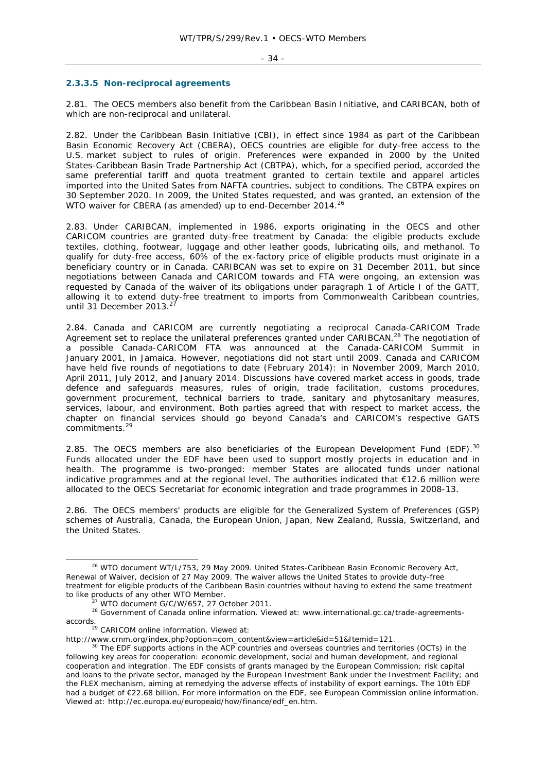#### $-34 -$

#### **2.3.3.5 Non-reciprocal agreements**

2.81. The OECS members also benefit from the Caribbean Basin Initiative, and CARIBCAN, both of which are non-reciprocal and unilateral.

2.82. Under the Caribbean Basin Initiative (CBI), in effect since 1984 as part of the Caribbean Basin Economic Recovery Act (CBERA), OECS countries are eligible for duty-free access to the U.S. market subject to rules of origin. Preferences were expanded in 2000 by the United States-Caribbean Basin Trade Partnership Act (CBTPA), which, for a specified period, accorded the same preferential tariff and quota treatment granted to certain textile and apparel articles imported into the United Sates from NAFTA countries, subject to conditions. The CBTPA expires on 30 September 2020. In 2009, the United States requested, and was granted, an extension of the WTO waiver for CBERA (as amended) up to end-December 2014.<sup>26</sup>

2.83. Under CARIBCAN, implemented in 1986, exports originating in the OECS and other CARICOM countries are granted duty-free treatment by Canada: the eligible products exclude textiles, clothing, footwear, luggage and other leather goods, lubricating oils, and methanol. To qualify for duty-free access, 60% of the ex-factory price of eligible products must originate in a beneficiary country or in Canada. CARIBCAN was set to expire on 31 December 2011, but since negotiations between Canada and CARICOM towards and FTA were ongoing, an extension was requested by Canada of the waiver of its obligations under paragraph 1 of Article I of the GATT, allowing it to extend duty-free treatment to imports from Commonwealth Caribbean countries, until 31 December 2013.<sup>27</sup>

2.84. Canada and CARICOM are currently negotiating a reciprocal Canada-CARICOM Trade Agreement set to replace the unilateral preferences granted under CARIBCAN.<sup>28</sup> The negotiation of a possible Canada-CARICOM FTA was announced at the Canada-CARICOM Summit in January 2001, in Jamaica. However, negotiations did not start until 2009. Canada and CARICOM have held five rounds of negotiations to date (February 2014): in November 2009, March 2010, April 2011, July 2012, and January 2014. Discussions have covered market access in goods, trade defence and safeguards measures, rules of origin, trade facilitation, customs procedures, government procurement, technical barriers to trade, sanitary and phytosanitary measures, services, labour, and environment. Both parties agreed that with respect to market access, the chapter on financial services should go beyond Canada's and CARICOM's respective GATS commitments.<sup>29</sup>

2.85. The OECS members are also beneficiaries of the European Development Fund (EDF).<sup>30</sup> Funds allocated under the EDF have been used to support mostly projects in education and in health. The programme is two-pronged: member States are allocated funds under national indicative programmes and at the regional level. The authorities indicated that €12.6 million were allocated to the OECS Secretariat for economic integration and trade programmes in 2008-13.

2.86. The OECS members' products are eligible for the Generalized System of Preferences (GSP) schemes of Australia, Canada, the European Union, Japan, New Zealand, Russia, Switzerland, and the United States.

<sup>29</sup> CARICOM online information. Viewed at:

<sup>&</sup>lt;sup>26</sup> WTO document WT/L/753, 29 May 2009. United States-Caribbean Basin Economic Recovery Act, Renewal of Waiver, decision of 27 May 2009. The waiver allows the United States to provide duty-free treatment for eligible products of the Caribbean Basin countries without having to extend the same treatment to like products of any other WTO Member.

 $t<sup>27</sup>$  WTO document G/C/W/657, 27 October 2011.<br><sup>28</sup> Government of Canada online information. Viewed at: www.international.gc.ca/trade-agreementsaccords.

http://www.crnm.org/index.php?option=com\_content&view=article&id=51&Itemid=121.<br><sup>30</sup> The EDF supports actions in the ACP countries and overseas countries and territories (OCTs) in the following key areas for cooperation: economic development, social and human development, and regional cooperation and integration. The EDF consists of grants managed by the European Commission; risk capital and loans to the private sector, managed by the European Investment Bank under the Investment Facility; and the FLEX mechanism, aiming at remedying the adverse effects of instability of export earnings. The 10th EDF had a budget of €22.68 billion. For more information on the EDF, see European Commission online information. Viewed at: http://ec.europa.eu/europeaid/how/finance/edf\_en.htm.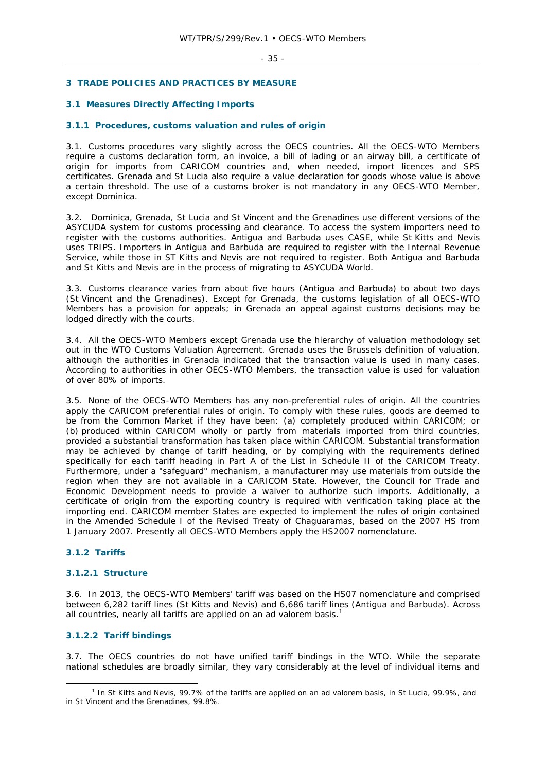# **3 TRADE POLICIES AND PRACTICES BY MEASURE**

# **3.1 Measures Directly Affecting Imports**

## **3.1.1 Procedures, customs valuation and rules of origin**

3.1. Customs procedures vary slightly across the OECS countries. All the OECS-WTO Members require a customs declaration form, an invoice, a bill of lading or an airway bill, a certificate of origin for imports from CARICOM countries and, when needed, import licences and SPS certificates. Grenada and St Lucia also require a value declaration for goods whose value is above a certain threshold. The use of a customs broker is not mandatory in any OECS-WTO Member, except Dominica.

3.2. Dominica, Grenada, St Lucia and St Vincent and the Grenadines use different versions of the ASYCUDA system for customs processing and clearance. To access the system importers need to register with the customs authorities. Antigua and Barbuda uses CASE, while St Kitts and Nevis uses TRIPS. Importers in Antigua and Barbuda are required to register with the Internal Revenue Service, while those in ST Kitts and Nevis are not required to register. Both Antigua and Barbuda and St Kitts and Nevis are in the process of migrating to ASYCUDA World.

3.3. Customs clearance varies from about five hours (Antigua and Barbuda) to about two days (St Vincent and the Grenadines). Except for Grenada, the customs legislation of all OECS-WTO Members has a provision for appeals; in Grenada an appeal against customs decisions may be lodged directly with the courts.

3.4. All the OECS-WTO Members except Grenada use the hierarchy of valuation methodology set out in the WTO Customs Valuation Agreement. Grenada uses the Brussels definition of valuation, although the authorities in Grenada indicated that the transaction value is used in many cases. According to authorities in other OECS-WTO Members, the transaction value is used for valuation of over 80% of imports.

3.5. None of the OECS-WTO Members has any non-preferential rules of origin. All the countries apply the CARICOM preferential rules of origin. To comply with these rules, goods are deemed to be from the Common Market if they have been: (a) completely produced within CARICOM; or (b) produced within CARICOM wholly or partly from materials imported from third countries, provided a substantial transformation has taken place within CARICOM. Substantial transformation may be achieved by change of tariff heading, or by complying with the requirements defined specifically for each tariff heading in Part A of the List in Schedule II of the CARICOM Treaty. Furthermore, under a "safeguard" mechanism, a manufacturer may use materials from outside the region when they are not available in a CARICOM State. However, the Council for Trade and Economic Development needs to provide a waiver to authorize such imports. Additionally, a certificate of origin from the exporting country is required with verification taking place at the importing end. CARICOM member States are expected to implement the rules of origin contained in the Amended Schedule I of the Revised Treaty of Chaguaramas, based on the 2007 HS from 1 January 2007. Presently all OECS-WTO Members apply the HS2007 nomenclature.

# **3.1.2 Tariffs**

#### **3.1.2.1 Structure**

3.6. In 2013, the OECS-WTO Members' tariff was based on the HS07 nomenclature and comprised between 6,282 tariff lines (St Kitts and Nevis) and 6,686 tariff lines (Antigua and Barbuda). Across all countries, nearly all tariffs are applied on an *ad valorem* basis.<sup>1</sup>

# **3.1.2.2 Tariff bindings**

3.7. The OECS countries do not have unified tariff bindings in the WTO. While the separate national schedules are broadly similar, they vary considerably at the level of individual items and

 $\frac{1}{1}$ <sup>1</sup> In St Kitts and Nevis, 99.7% of the tariffs are applied on an *ad valorem* basis, in St Lucia, 99.9%, and in St Vincent and the Grenadines, 99.8%.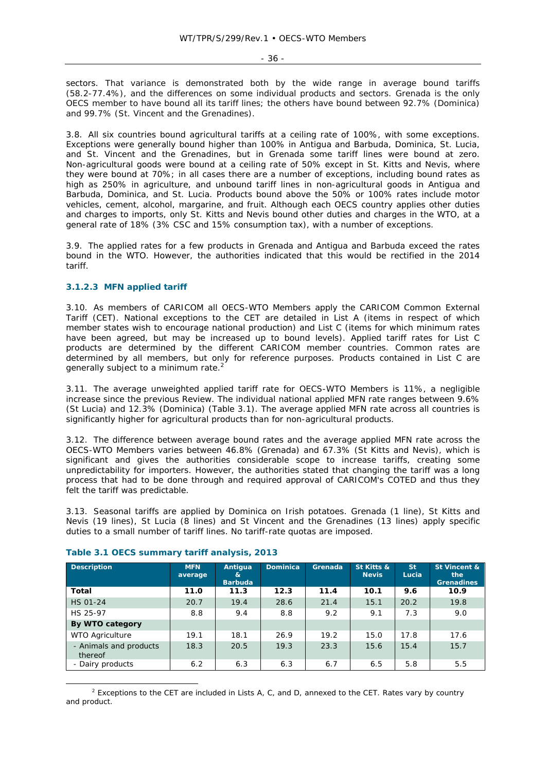sectors. That variance is demonstrated both by the wide range in average bound tariffs (58.2-77.4%), and the differences on some individual products and sectors. Grenada is the only OECS member to have bound all its tariff lines; the others have bound between 92.7% (Dominica) and 99.7% (St. Vincent and the Grenadines).

3.8. All six countries bound agricultural tariffs at a ceiling rate of 100%, with some exceptions. Exceptions were generally bound higher than 100% in Antigua and Barbuda, Dominica, St. Lucia, and St. Vincent and the Grenadines, but in Grenada some tariff lines were bound at zero. Non-agricultural goods were bound at a ceiling rate of 50% except in St. Kitts and Nevis, where they were bound at 70%; in all cases there are a number of exceptions, including bound rates as high as 250% in agriculture, and unbound tariff lines in non-agricultural goods in Antigua and Barbuda, Dominica, and St. Lucia. Products bound above the 50% or 100% rates include motor vehicles, cement, alcohol, margarine, and fruit. Although each OECS country applies other duties and charges to imports, only St. Kitts and Nevis bound other duties and charges in the WTO, at a general rate of 18% (3% CSC and 15% consumption tax), with a number of exceptions.

3.9. The applied rates for a few products in Grenada and Antigua and Barbuda exceed the rates bound in the WTO. However, the authorities indicated that this would be rectified in the 2014 tariff.

# **3.1.2.3 MFN applied tariff**

3.10. As members of CARICOM all OECS-WTO Members apply the CARICOM Common External Tariff (CET). National exceptions to the CET are detailed in List A (items in respect of which member states wish to encourage national production) and List C (items for which minimum rates have been agreed, but may be increased up to bound levels). Applied tariff rates for List C products are determined by the different CARICOM member countries. Common rates are determined by all members, but only for reference purposes. Products contained in List C are generally subject to a minimum rate.<sup>2</sup>

3.11. The average unweighted applied tariff rate for OECS-WTO Members is 11%, a negligible increase since the previous Review. The individual national applied MFN rate ranges between 9.6% (St Lucia) and 12.3% (Dominica) (Table 3.1). The average applied MFN rate across all countries is significantly higher for agricultural products than for non-agricultural products.

3.12. The difference between average bound rates and the average applied MFN rate across the OECS-WTO Members varies between 46.8% (Grenada) and 67.3% (St Kitts and Nevis), which is significant and gives the authorities considerable scope to increase tariffs, creating some unpredictability for importers. However, the authorities stated that changing the tariff was a long process that had to be done through and required approval of CARICOM's COTED and thus they felt the tariff was predictable.

3.13. Seasonal tariffs are applied by Dominica on Irish potatoes. Grenada (1 line), St Kitts and Nevis (19 lines), St Lucia (8 lines) and St Vincent and the Grenadines (13 lines) apply specific duties to a small number of tariff lines. No tariff-rate quotas are imposed.

| <b>Description</b>                | <b>MFN</b><br>average | Antiqua<br>&<br><b>Barbuda</b> | <b>Dominica</b> | Grenada | St Kitts &<br><b>Nevis</b> | <b>St</b><br>Lucia | St Vincent &<br>the<br><b>Grenadines</b> |
|-----------------------------------|-----------------------|--------------------------------|-----------------|---------|----------------------------|--------------------|------------------------------------------|
| Total                             | 11.0                  | 11.3                           | 12.3            | 11.4    | 10.1                       | 9.6                | 10.9                                     |
| HS 01-24                          | 20.7                  | 19.4                           | 28.6            | 21.4    | 15.1                       | 20.2               | 19.8                                     |
| HS 25-97                          | 8.8                   | 9.4                            | 8.8             | 9.2     | 9.1                        | 7.3                | 9.0                                      |
| By WTO category                   |                       |                                |                 |         |                            |                    |                                          |
| <b>WTO Agriculture</b>            | 19.1                  | 18.1                           | 26.9            | 19.2    | 15.0                       | 17.8               | 17.6                                     |
| - Animals and products<br>thereof | 18.3                  | 20.5                           | 19.3            | 23.3    | 15.6                       | 15.4               | 15.7                                     |
| - Dairy products                  | 6.2                   | 6.3                            | 6.3             | 6.7     | 6.5                        | 5.8                | 5.5                                      |

#### **Table 3.1 OECS summary tariff analysis, 2013**

 $\overline{a}$  $2$  Exceptions to the CET are included in Lists A, C, and D, annexed to the CET. Rates vary by country and product.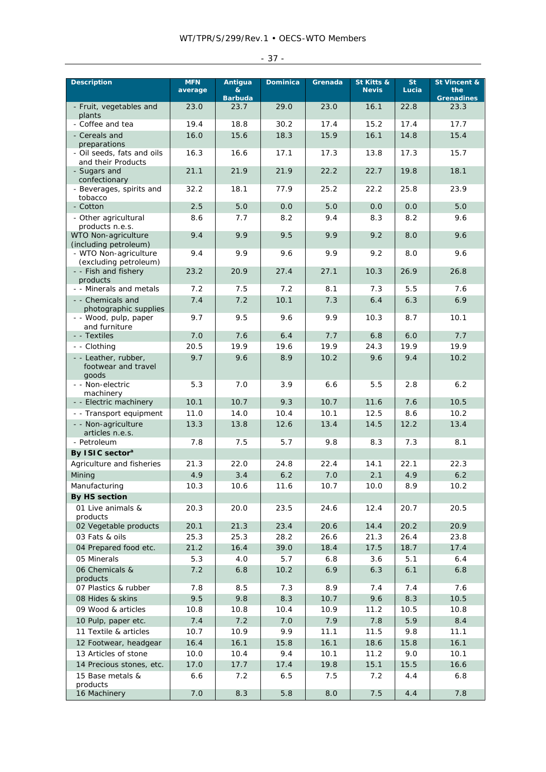| <b>Description</b>                                   | <b>MFN</b><br>average | Antigua<br>&<br><b>Barbuda</b> | <b>Dominica</b> | Grenada     | St Kitts &<br><b>Nevis</b> | St.<br>Lucia | St Vincent &<br>the<br><b>Grenadines</b> |
|------------------------------------------------------|-----------------------|--------------------------------|-----------------|-------------|----------------------------|--------------|------------------------------------------|
| - Fruit, vegetables and<br>plants                    | 23.0                  | 23.7                           | 29.0            | 23.0        | 16.1                       | 22.8         | 23.3                                     |
| - Coffee and tea                                     | 19.4                  | 18.8                           | 30.2            | 17.4        | 15.2                       | 17.4         | 17.7                                     |
| - Cereals and<br>preparations                        | 16.0                  | 15.6                           | 18.3            | 15.9        | 16.1                       | 14.8         | 15.4                                     |
| - Oil seeds, fats and oils<br>and their Products     | 16.3                  | 16.6                           | 17.1            | 17.3        | 13.8                       | 17.3         | 15.7                                     |
| - Sugars and<br>confectionary                        | 21.1                  | 21.9                           | 21.9            | 22.2        | 22.7                       | 19.8         | 18.1                                     |
| - Beverages, spirits and<br>tobacco                  | 32.2                  | 18.1                           | 77.9            | 25.2        | 22.2                       | 25.8         | 23.9                                     |
| - Cotton                                             | 2.5                   | 5.0                            | 0.0             | 5.0         | 0.0                        | 0.0          | 5.0                                      |
| - Other agricultural<br>products n.e.s.              | 8.6                   | 7.7                            | 8.2             | 9.4         | 8.3                        | 8.2          | 9.6                                      |
| WTO Non-agriculture<br>(including petroleum)         | 9.4                   | 9.9                            | 9.5             | 9.9         | 9.2                        | 8.0          | 9.6                                      |
| - WTO Non-agriculture<br>(excluding petroleum)       | 9.4                   | 9.9                            | 9.6             | 9.9         | 9.2                        | 8.0          | 9.6                                      |
| - - Fish and fishery<br>products                     | 23.2                  | 20.9                           | 27.4            | 27.1        | 10.3                       | 26.9         | 26.8                                     |
| - - Minerals and metals                              | 7.2                   | 7.5                            | 7.2             | 8.1         | 7.3                        | 5.5          | 7.6                                      |
| - - Chemicals and<br>photographic supplies           | 7.4                   | 7.2                            | 10.1            | 7.3         | 6.4                        | 6.3          | 6.9                                      |
| - - Wood, pulp, paper<br>and furniture               | 9.7                   | 9.5                            | 9.6             | 9.9         | 10.3                       | 8.7          | 10.1                                     |
| - - Textiles                                         | 7.0                   | 7.6                            | 6.4             | 7.7         | 6.8                        | 6.0          | 7.7                                      |
| - - Clothing                                         | 20.5                  | 19.9                           | 19.6            | 19.9        | 24.3                       | 19.9         | 19.9                                     |
| - - Leather, rubber,<br>footwear and travel<br>goods | 9.7                   | 9.6                            | 8.9             | 10.2        | 9.6                        | 9.4          | 10.2                                     |
| - - Non-electric<br>machinery                        | 5.3                   | 7.0                            | 3.9             | 6.6         | 5.5                        | 2.8          | 6.2                                      |
| - - Electric machinery                               | 10.1                  | 10.7                           | 9.3             | 10.7        | 11.6                       | 7.6          | 10.5                                     |
| - - Transport equipment                              | 11.0                  | 14.0                           | 10.4            | 10.1        | 12.5                       | 8.6          | 10.2                                     |
| - - Non-agriculture<br>articles n.e.s.               | 13.3                  | 13.8                           | 12.6            | 13.4        | 14.5                       | 12.2         | 13.4                                     |
| - Petroleum                                          | 7.8                   | 7.5                            | 5.7             | 9.8         | 8.3                        | 7.3          | 8.1                                      |
| By ISIC sector <sup>a</sup>                          |                       |                                |                 |             |                            |              |                                          |
| Agriculture and fisheries                            | 21.3                  | 22.0                           | 24.8            | 22.4        | 14.1                       | 22.1         | 22.3                                     |
| Mining                                               | 4.9                   | 3.4                            | 6.2             | 7.0         | 2.1                        | 4.9          | 6.2                                      |
| Manufacturing                                        | 10.3                  | 10.6                           | 11.6            | 10.7        | 10.0                       | 8.9          | 10.2                                     |
| By HS section                                        |                       |                                |                 |             |                            |              |                                          |
| 01 Live animals &<br>products                        | 20.3                  | 20.0                           | 23.5            | 24.6        | 12.4                       | 20.7         | 20.5                                     |
| 02 Vegetable products                                | 20.1                  | 21.3                           | 23.4            | 20.6        | 14.4                       | 20.2         | 20.9                                     |
| 03 Fats & oils                                       | 25.3                  | 25.3                           | 28.2            | 26.6        | 21.3                       | 26.4         | 23.8                                     |
| 04 Prepared food etc.                                | 21.2                  | 16.4                           | 39.0            | 18.4        | 17.5                       | 18.7         | 17.4                                     |
| 05 Minerals<br>06 Chemicals &                        | 5.3<br>7.2            | 4.0<br>6.8                     | 5.7<br>10.2     | 6.8<br>6.9  | 3.6<br>6.3                 | 5.1<br>6.1   | 6.4<br>6.8                               |
| products                                             |                       |                                |                 |             |                            |              |                                          |
| 07 Plastics & rubber                                 | 7.8                   | 8.5                            | 7.3             | 8.9         | 7.4                        | 7.4          | 7.6                                      |
| 08 Hides & skins                                     | 9.5                   | 9.8                            | 8.3             | 10.7        | 9.6                        | 8.3          | 10.5                                     |
| 09 Wood & articles<br>10 Pulp, paper etc.            | 10.8<br>7.4           | 10.8<br>7.2                    | 10.4<br>7.0     | 10.9<br>7.9 | 11.2<br>7.8                | 10.5<br>5.9  | 10.8<br>8.4                              |
| 11 Textile & articles                                | 10.7                  | 10.9                           | 9.9             | 11.1        | 11.5                       | 9.8          | 11.1                                     |
| 12 Footwear, headgear                                | 16.4                  | 16.1                           | 15.8            | 16.1        | 18.6                       | 15.8         | 16.1                                     |
| 13 Articles of stone                                 | 10.0                  | 10.4                           | 9.4             | 10.1        | 11.2                       | 9.0          | 10.1                                     |
| 14 Precious stones, etc.                             | 17.0                  | 17.7                           | 17.4            | 19.8        | 15.1                       | 15.5         | 16.6                                     |
| 15 Base metals &                                     | 6.6                   | 7.2                            | 6.5             | 7.5         | 7.2                        | 4.4          | 6.8                                      |
| products<br>16 Machinery                             | 7.0                   | 8.3                            | 5.8             | 8.0         | 7.5                        | 4.4          | 7.8                                      |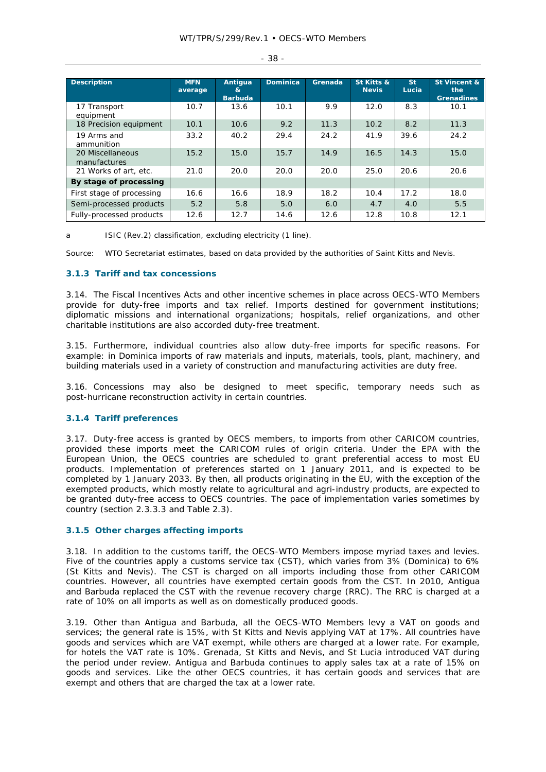| <b>Description</b>               | <b>MFN</b><br>average | Antiqua<br>&<br><b>Barbuda</b> | <b>Dominica</b> | Grenada | St Kitts &<br><b>Nevis</b> | St:<br><b>Lucia</b> | St Vincent &<br>the<br><b>Grenadines</b> |
|----------------------------------|-----------------------|--------------------------------|-----------------|---------|----------------------------|---------------------|------------------------------------------|
| 17 Transport<br>equipment        | 10.7                  | 13.6                           | 10.1            | 9.9     | 12.0                       | 8.3                 | 10.1                                     |
| 18 Precision equipment           | 10.1                  | 10.6                           | 9.2             | 11.3    | 10.2                       | 8.2                 | 11.3                                     |
| 19 Arms and<br>ammunition        | 33.2                  | 40.2                           | 29.4            | 24.2    | 41.9                       | 39.6                | 24.2                                     |
| 20 Miscellaneous<br>manufactures | 15.2                  | 15.0                           | 15.7            | 14.9    | 16.5                       | 14.3                | 15.0                                     |
| 21 Works of art, etc.            | 21.0                  | 20.0                           | 20.0            | 20.0    | 25.0                       | 20.6                | 20.6                                     |
| By stage of processing           |                       |                                |                 |         |                            |                     |                                          |
| First stage of processing        | 16.6                  | 16.6                           | 18.9            | 18.2    | 10.4                       | 17.2                | 18.0                                     |
| Semi-processed products          | 5.2                   | 5.8                            | 5.0             | 6.0     | 4.7                        | 4.0                 | 5.5                                      |
| Fully-processed products         | 12.6                  | 12.7                           | 14.6            | 12.6    | 12.8                       | 10.8                | 12.1                                     |

- 38 -

a ISIC (Rev.2) classification, excluding electricity (1 line).

Source: WTO Secretariat estimates, based on data provided by the authorities of Saint Kitts and Nevis.

## **3.1.3 Tariff and tax concessions**

3.14. The Fiscal Incentives Acts and other incentive schemes in place across OECS-WTO Members provide for duty-free imports and tax relief. Imports destined for government institutions; diplomatic missions and international organizations; hospitals, relief organizations, and other charitable institutions are also accorded duty-free treatment.

3.15. Furthermore, individual countries also allow duty-free imports for specific reasons. For example: in Dominica imports of raw materials and inputs, materials, tools, plant, machinery, and building materials used in a variety of construction and manufacturing activities are duty free.

3.16. Concessions may also be designed to meet specific, temporary needs such as post-hurricane reconstruction activity in certain countries.

## **3.1.4 Tariff preferences**

3.17. Duty-free access is granted by OECS members, to imports from other CARICOM countries, provided these imports meet the CARICOM rules of origin criteria. Under the EPA with the European Union, the OECS countries are scheduled to grant preferential access to most EU products. Implementation of preferences started on 1 January 2011, and is expected to be completed by 1 January 2033. By then, all products originating in the EU, with the exception of the exempted products, which mostly relate to agricultural and agri-industry products, are expected to be granted duty-free access to OECS countries. The pace of implementation varies sometimes by country (section 2.3.3.3 and Table 2.3).

#### **3.1.5 Other charges affecting imports**

3.18. In addition to the customs tariff, the OECS-WTO Members impose myriad taxes and levies. Five of the countries apply a customs service tax (CST), which varies from 3% (Dominica) to 6% (St Kitts and Nevis). The CST is charged on all imports including those from other CARICOM countries. However, all countries have exempted certain goods from the CST. In 2010, Antigua and Barbuda replaced the CST with the revenue recovery charge (RRC). The RRC is charged at a rate of 10% on all imports as well as on domestically produced goods.

3.19. Other than Antigua and Barbuda, all the OECS-WTO Members levy a VAT on goods and services; the general rate is 15%, with St Kitts and Nevis applying VAT at 17%. All countries have goods and services which are VAT exempt, while others are charged at a lower rate. For example, for hotels the VAT rate is 10%. Grenada, St Kitts and Nevis, and St Lucia introduced VAT during the period under review. Antigua and Barbuda continues to apply sales tax at a rate of 15% on goods and services. Like the other OECS countries, it has certain goods and services that are exempt and others that are charged the tax at a lower rate.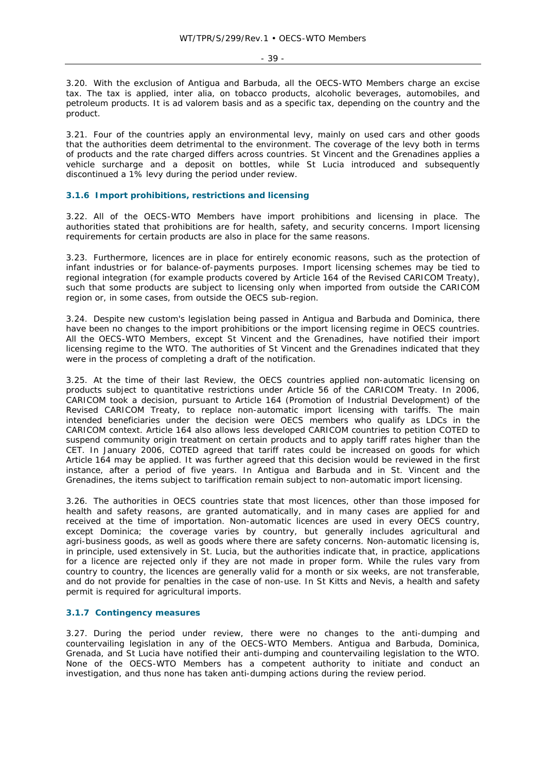- 39 -

3.20. With the exclusion of Antigua and Barbuda, all the OECS-WTO Members charge an excise tax. The tax is applied, *inter alia*, on tobacco products, alcoholic beverages, automobiles, and petroleum products. It is *ad valorem* basis and as a specific tax, depending on the country and the product.

3.21. Four of the countries apply an environmental levy, mainly on used cars and other goods that the authorities deem detrimental to the environment. The coverage of the levy both in terms of products and the rate charged differs across countries. St Vincent and the Grenadines applies a vehicle surcharge and a deposit on bottles, while St Lucia introduced and subsequently discontinued a 1% levy during the period under review.

# **3.1.6 Import prohibitions, restrictions and licensing**

3.22. All of the OECS-WTO Members have import prohibitions and licensing in place. The authorities stated that prohibitions are for health, safety, and security concerns. Import licensing requirements for certain products are also in place for the same reasons.

3.23. Furthermore, licences are in place for entirely economic reasons, such as the protection of infant industries or for balance-of-payments purposes. Import licensing schemes may be tied to regional integration (for example products covered by Article 164 of the Revised CARICOM Treaty), such that some products are subject to licensing only when imported from outside the CARICOM region or, in some cases, from outside the OECS sub-region.

3.24. Despite new custom's legislation being passed in Antigua and Barbuda and Dominica, there have been no changes to the import prohibitions or the import licensing regime in OECS countries. All the OECS-WTO Members, except St Vincent and the Grenadines, have notified their import licensing regime to the WTO. The authorities of St Vincent and the Grenadines indicated that they were in the process of completing a draft of the notification.

3.25. At the time of their last Review, the OECS countries applied non-automatic licensing on products subject to quantitative restrictions under Article 56 of the CARICOM Treaty. In 2006, CARICOM took a decision, pursuant to Article 164 (Promotion of Industrial Development) of the Revised CARICOM Treaty, to replace non-automatic import licensing with tariffs. The main intended beneficiaries under the decision were OECS members who qualify as LDCs in the CARICOM context. Article 164 also allows less developed CARICOM countries to petition COTED to suspend community origin treatment on certain products and to apply tariff rates higher than the CET. In January 2006, COTED agreed that tariff rates could be increased on goods for which Article 164 may be applied. It was further agreed that this decision would be reviewed in the first instance, after a period of five years. In Antigua and Barbuda and in St. Vincent and the Grenadines, the items subject to tariffication remain subject to non-automatic import licensing.

3.26. The authorities in OECS countries state that most licences, other than those imposed for health and safety reasons, are granted automatically, and in many cases are applied for and received at the time of importation. Non-automatic licences are used in every OECS country, except Dominica; the coverage varies by country, but generally includes agricultural and agri-business goods, as well as goods where there are safety concerns. Non-automatic licensing is, in principle, used extensively in St. Lucia, but the authorities indicate that, in practice, applications for a licence are rejected only if they are not made in proper form. While the rules vary from country to country, the licences are generally valid for a month or six weeks, are not transferable, and do not provide for penalties in the case of non-use. In St Kitts and Nevis, a health and safety permit is required for agricultural imports.

#### **3.1.7 Contingency measures**

3.27. During the period under review, there were no changes to the anti-dumping and countervailing legislation in any of the OECS-WTO Members. Antigua and Barbuda, Dominica, Grenada, and St Lucia have notified their anti-dumping and countervailing legislation to the WTO. None of the OECS-WTO Members has a competent authority to initiate and conduct an investigation, and thus none has taken anti-dumping actions during the review period.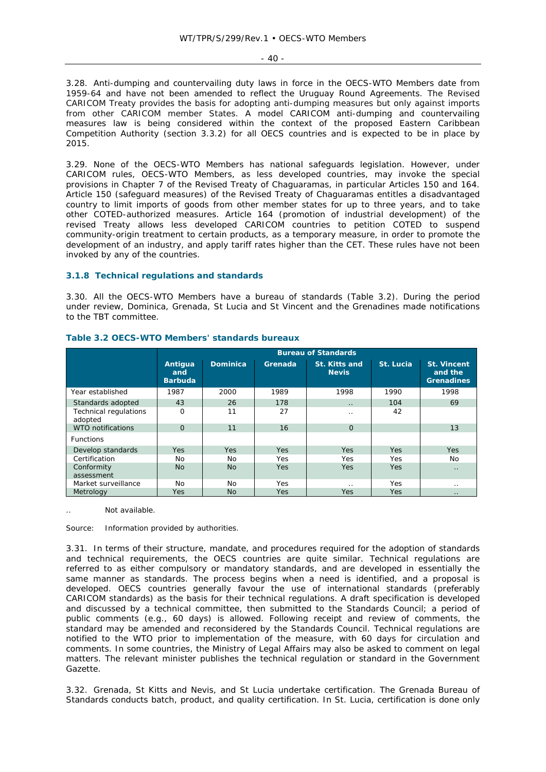$-40 -$ 

3.28. Anti-dumping and countervailing duty laws in force in the OECS-WTO Members date from 1959-64 and have not been amended to reflect the Uruguay Round Agreements. The Revised CARICOM Treaty provides the basis for adopting anti-dumping measures but only against imports from other CARICOM member States. A model CARICOM anti-dumping and countervailing measures law is being considered within the context of the proposed Eastern Caribbean Competition Authority (section 3.3.2) for all OECS countries and is expected to be in place by 2015.

3.29. None of the OECS-WTO Members has national safeguards legislation. However, under CARICOM rules, OECS-WTO Members, as less developed countries, may invoke the special provisions in Chapter 7 of the Revised Treaty of Chaguaramas, in particular Articles 150 and 164. Article 150 (safeguard measures) of the Revised Treaty of Chaguaramas entitles a disadvantaged country to limit imports of goods from other member states for up to three years, and to take other COTED-authorized measures. Article 164 (promotion of industrial development) of the revised Treaty allows less developed CARICOM countries to petition COTED to suspend community-origin treatment to certain products, as a temporary measure, in order to promote the development of an industry, and apply tariff rates higher than the CET. These rules have not been invoked by any of the countries.

# **3.1.8 Technical regulations and standards**

3.30. All the OECS-WTO Members have a bureau of standards (Table 3.2). During the period under review, Dominica, Grenada, St Lucia and St Vincent and the Grenadines made notifications to the TBT committee.

|                                         | <b>Bureau of Standards</b>       |                 |            |                                      |            |                                                    |  |  |
|-----------------------------------------|----------------------------------|-----------------|------------|--------------------------------------|------------|----------------------------------------------------|--|--|
|                                         | Antiqua<br>and<br><b>Barbuda</b> | <b>Dominica</b> | Grenada    | <b>St. Kitts and</b><br><b>Nevis</b> | St. Lucia  | <b>St. Vincent</b><br>and the<br><b>Grenadines</b> |  |  |
| Year established                        | 1987                             | 2000            | 1989       | 1998                                 | 1990       | 1998                                               |  |  |
| Standards adopted                       | 43                               | 26              | 178        | $\cdot$ .                            | 104        | 69                                                 |  |  |
| <b>Technical regulations</b><br>adopted | O                                | 11              | 27         | $\cdot$ .                            | 42         |                                                    |  |  |
| <b>WTO notifications</b>                | $\Omega$                         | 11              | 16         | $\Omega$                             |            | 13                                                 |  |  |
| <b>Functions</b>                        |                                  |                 |            |                                      |            |                                                    |  |  |
| Develop standards                       | <b>Yes</b>                       | <b>Yes</b>      | <b>Yes</b> | <b>Yes</b>                           | Yes.       | <b>Yes</b>                                         |  |  |
| Certification                           | No                               | No              | Yes        | Yes                                  | Yes        | No                                                 |  |  |
| Conformity<br>assessment                | <b>No</b>                        | N <sub>O</sub>  | <b>Yes</b> | <b>Yes</b>                           | <b>Yes</b> | $\cdot$ .                                          |  |  |
| Market surveillance                     | No.                              | No.             | Yes        |                                      | Yes.       | . .                                                |  |  |
| Metrology                               | <b>Yes</b>                       | No.             | <b>Yes</b> | <b>Yes</b>                           | <b>Yes</b> | $\cdot$ .                                          |  |  |

#### **Table 3.2 OECS-WTO Members' standards bureaux**

Not available.

Source: Information provided by authorities.

3.31. In terms of their structure, mandate, and procedures required for the adoption of standards and technical requirements, the OECS countries are quite similar. Technical regulations are referred to as either compulsory or mandatory standards, and are developed in essentially the same manner as standards. The process begins when a need is identified, and a proposal is developed. OECS countries generally favour the use of international standards (preferably CARICOM standards) as the basis for their technical regulations. A draft specification is developed and discussed by a technical committee, then submitted to the Standards Council; a period of public comments (e.g., 60 days) is allowed. Following receipt and review of comments, the standard may be amended and reconsidered by the Standards Council. Technical regulations are notified to the WTO prior to implementation of the measure, with 60 days for circulation and comments. In some countries, the Ministry of Legal Affairs may also be asked to comment on legal matters. The relevant minister publishes the technical regulation or standard in the *Government Gazette*.

3.32. Grenada, St Kitts and Nevis, and St Lucia undertake certification. The Grenada Bureau of Standards conducts batch, product, and quality certification. In St. Lucia, certification is done only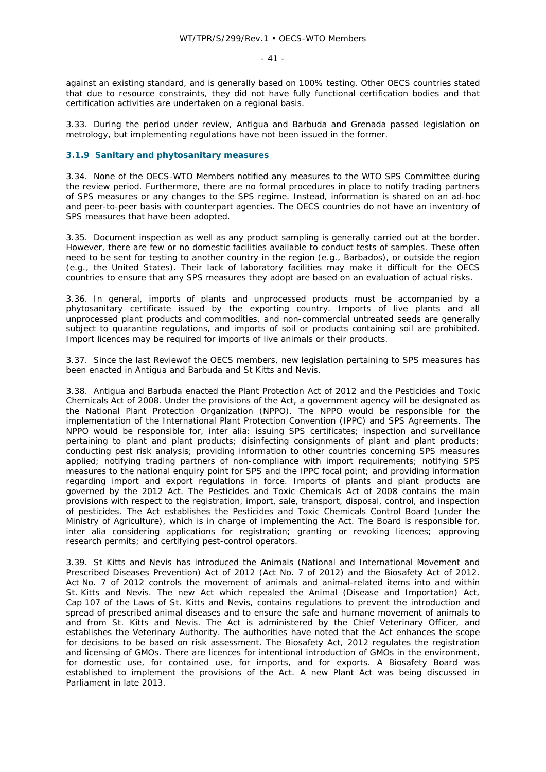- 41 -

against an existing standard, and is generally based on 100% testing. Other OECS countries stated that due to resource constraints, they did not have fully functional certification bodies and that certification activities are undertaken on a regional basis.

3.33. During the period under review, Antigua and Barbuda and Grenada passed legislation on metrology, but implementing regulations have not been issued in the former.

## **3.1.9 Sanitary and phytosanitary measures**

3.34. None of the OECS-WTO Members notified any measures to the WTO SPS Committee during the review period. Furthermore, there are no formal procedures in place to notify trading partners of SPS measures or any changes to the SPS regime. Instead, information is shared on an ad-hoc and peer-to-peer basis with counterpart agencies. The OECS countries do not have an inventory of SPS measures that have been adopted.

3.35. Document inspection as well as any product sampling is generally carried out at the border. However, there are few or no domestic facilities available to conduct tests of samples. These often need to be sent for testing to another country in the region (e.g., Barbados), or outside the region (e.g., the United States). Their lack of laboratory facilities may make it difficult for the OECS countries to ensure that any SPS measures they adopt are based on an evaluation of actual risks.

3.36. In general, imports of plants and unprocessed products must be accompanied by a phytosanitary certificate issued by the exporting country. Imports of live plants and all unprocessed plant products and commodities, and non-commercial untreated seeds are generally subject to quarantine regulations, and imports of soil or products containing soil are prohibited. Import licences may be required for imports of live animals or their products.

3.37. Since the last Reviewof the OECS members, new legislation pertaining to SPS measures has been enacted in Antigua and Barbuda and St Kitts and Nevis.

3.38. Antigua and Barbuda enacted the Plant Protection Act of 2012 and the Pesticides and Toxic Chemicals Act of 2008. Under the provisions of the Act, a government agency will be designated as the National Plant Protection Organization (NPPO). The NPPO would be responsible for the implementation of the International Plant Protection Convention (IPPC) and SPS Agreements. The NPPO would be responsible for, *inter alia*: issuing SPS certificates; inspection and surveillance pertaining to plant and plant products; disinfecting consignments of plant and plant products; conducting pest risk analysis; providing information to other countries concerning SPS measures applied; notifying trading partners of non-compliance with import requirements; notifying SPS measures to the national enquiry point for SPS and the IPPC focal point; and providing information regarding import and export regulations in force. Imports of plants and plant products are governed by the 2012 Act. The Pesticides and Toxic Chemicals Act of 2008 contains the main provisions with respect to the registration, import, sale, transport, disposal, control, and inspection of pesticides. The Act establishes the Pesticides and Toxic Chemicals Control Board (under the Ministry of Agriculture), which is in charge of implementing the Act. The Board is responsible for, *inter alia* considering applications for registration; granting or revoking licences; approving research permits; and certifying pest-control operators.

3.39. St Kitts and Nevis has introduced the Animals (National and International Movement and Prescribed Diseases Prevention) Act of 2012 (Act No. 7 of 2012) and the Biosafety Act of 2012. Act No. 7 of 2012 controls the movement of animals and animal-related items into and within St. Kitts and Nevis. The new Act which repealed the Animal (Disease and Importation) Act, Cap 107 of the Laws of St. Kitts and Nevis, contains regulations to prevent the introduction and spread of prescribed animal diseases and to ensure the safe and humane movement of animals to and from St. Kitts and Nevis. The Act is administered by the Chief Veterinary Officer, and establishes the Veterinary Authority. The authorities have noted that the Act enhances the scope for decisions to be based on risk assessment. The Biosafety Act, 2012 regulates the registration and licensing of GMOs. There are licences for intentional introduction of GMOs in the environment, for domestic use, for contained use, for imports, and for exports. A Biosafety Board was established to implement the provisions of the Act. A new Plant Act was being discussed in Parliament in late 2013.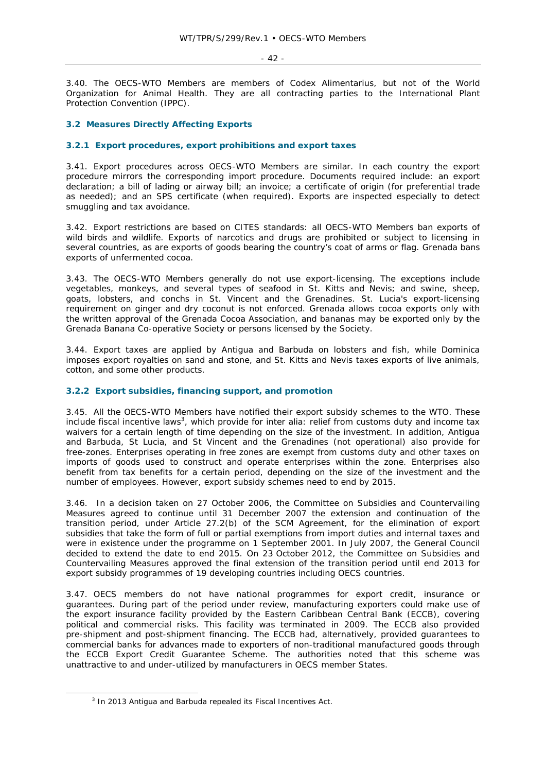- 42 -

3.40. The OECS-WTO Members are members of Codex Alimentarius, but not of the World Organization for Animal Health. They are all contracting parties to the International Plant Protection Convention (IPPC).

## **3.2 Measures Directly Affecting Exports**

## **3.2.1 Export procedures, export prohibitions and export taxes**

3.41. Export procedures across OECS-WTO Members are similar. In each country the export procedure mirrors the corresponding import procedure. Documents required include: an export declaration; a bill of lading or airway bill; an invoice; a certificate of origin (for preferential trade as needed); and an SPS certificate (when required). Exports are inspected especially to detect smuggling and tax avoidance.

3.42. Export restrictions are based on CITES standards: all OECS-WTO Members ban exports of wild birds and wildlife. Exports of narcotics and drugs are prohibited or subject to licensing in several countries, as are exports of goods bearing the country's coat of arms or flag. Grenada bans exports of unfermented cocoa.

3.43. The OECS-WTO Members generally do not use export-licensing. The exceptions include vegetables, monkeys, and several types of seafood in St. Kitts and Nevis; and swine, sheep, goats, lobsters, and conchs in St. Vincent and the Grenadines. St. Lucia's export-licensing requirement on ginger and dry coconut is not enforced. Grenada allows cocoa exports only with the written approval of the Grenada Cocoa Association, and bananas may be exported only by the Grenada Banana Co-operative Society or persons licensed by the Society.

3.44. Export taxes are applied by Antigua and Barbuda on lobsters and fish, while Dominica imposes export royalties on sand and stone, and St. Kitts and Nevis taxes exports of live animals, cotton, and some other products.

# **3.2.2 Export subsidies, financing support, and promotion**

3.45. All the OECS-WTO Members have notified their export subsidy schemes to the WTO. These include fiscal incentive laws<sup>3</sup>, which provide for *inter alia*: relief from customs duty and income tax waivers for a certain length of time depending on the size of the investment. In addition, Antigua and Barbuda, St Lucia, and St Vincent and the Grenadines (not operational) also provide for free-zones. Enterprises operating in free zones are exempt from customs duty and other taxes on imports of goods used to construct and operate enterprises within the zone. Enterprises also benefit from tax benefits for a certain period, depending on the size of the investment and the number of employees. However, export subsidy schemes need to end by 2015.

3.46. In a decision taken on 27 October 2006, the Committee on Subsidies and Countervailing Measures agreed to continue until 31 December 2007 the extension and continuation of the transition period, under Article 27.2(b) of the SCM Agreement, for the elimination of export subsidies that take the form of full or partial exemptions from import duties and internal taxes and were in existence under the programme on 1 September 2001. In July 2007, the General Council decided to extend the date to end 2015. On 23 October 2012, the Committee on Subsidies and Countervailing Measures approved the final extension of the transition period until end 2013 for export subsidy programmes of 19 developing countries including OECS countries.

3.47. OECS members do not have national programmes for export credit, insurance or guarantees. During part of the period under review, manufacturing exporters could make use of the export insurance facility provided by the Eastern Caribbean Central Bank (ECCB), covering political and commercial risks. This facility was terminated in 2009. The ECCB also provided pre-shipment and post-shipment financing. The ECCB had, alternatively, provided guarantees to commercial banks for advances made to exporters of non-traditional manufactured goods through the ECCB Export Credit Guarantee Scheme. The authorities noted that this scheme was unattractive to and under-utilized by manufacturers in OECS member States.

 $\frac{1}{3}$  $3$  In 2013 Antigua and Barbuda repealed its Fiscal Incentives Act.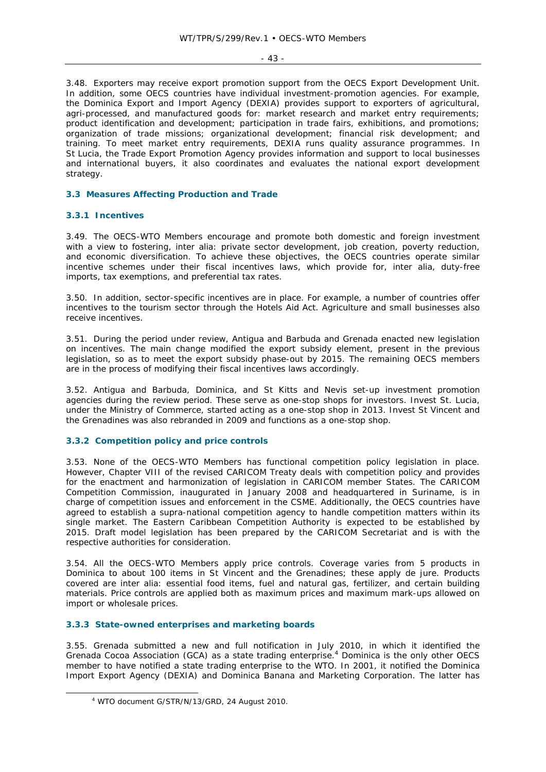$-43 -$ 

3.48. Exporters may receive export promotion support from the OECS Export Development Unit. In addition, some OECS countries have individual investment-promotion agencies. For example, the Dominica Export and Import Agency (DEXIA) provides support to exporters of agricultural, agri-processed, and manufactured goods for: market research and market entry requirements; product identification and development; participation in trade fairs, exhibitions, and promotions; organization of trade missions; organizational development; financial risk development; and training. To meet market entry requirements, DEXIA runs quality assurance programmes. In St Lucia, the Trade Export Promotion Agency provides information and support to local businesses and international buyers, it also coordinates and evaluates the national export development strategy.

#### **3.3 Measures Affecting Production and Trade**

## **3.3.1 Incentives**

3.49. The OECS-WTO Members encourage and promote both domestic and foreign investment with a view to fostering, *inter alia*: private sector development, job creation, poverty reduction, and economic diversification. To achieve these objectives, the OECS countries operate similar incentive schemes under their fiscal incentives laws, which provide for, *inter alia*, duty-free imports, tax exemptions, and preferential tax rates.

3.50. In addition, sector-specific incentives are in place. For example, a number of countries offer incentives to the tourism sector through the Hotels Aid Act. Agriculture and small businesses also receive incentives.

3.51. During the period under review, Antigua and Barbuda and Grenada enacted new legislation on incentives. The main change modified the export subsidy element, present in the previous legislation, so as to meet the export subsidy phase-out by 2015. The remaining OECS members are in the process of modifying their fiscal incentives laws accordingly.

3.52. Antigua and Barbuda, Dominica, and St Kitts and Nevis set-up investment promotion agencies during the review period. These serve as one-stop shops for investors. Invest St. Lucia, under the Ministry of Commerce, started acting as a one-stop shop in 2013. Invest St Vincent and the Grenadines was also rebranded in 2009 and functions as a one-stop shop.

## **3.3.2 Competition policy and price controls**

3.53. None of the OECS-WTO Members has functional competition policy legislation in place. However, Chapter VIII of the revised CARICOM Treaty deals with competition policy and provides for the enactment and harmonization of legislation in CARICOM member States. The CARICOM Competition Commission, inaugurated in January 2008 and headquartered in Suriname, is in charge of competition issues and enforcement in the CSME. Additionally, the OECS countries have agreed to establish a supra-national competition agency to handle competition matters within its single market. The Eastern Caribbean Competition Authority is expected to be established by 2015. Draft model legislation has been prepared by the CARICOM Secretariat and is with the respective authorities for consideration.

3.54. All the OECS-WTO Members apply price controls. Coverage varies from 5 products in Dominica to about 100 items in St Vincent and the Grenadines; these apply *de jure.* Products covered are *inter alia*: essential food items, fuel and natural gas, fertilizer, and certain building materials. Price controls are applied both as maximum prices and maximum mark-ups allowed on import or wholesale prices.

#### **3.3.3 State-owned enterprises and marketing boards**

3.55. Grenada submitted a new and full notification in July 2010, in which it identified the Grenada Cocoa Association (GCA) as a state trading enterprise.<sup>4</sup> Dominica is the only other OECS member to have notified a state trading enterprise to the WTO. In 2001, it notified the Dominica Import Export Agency (DEXIA) and Dominica Banana and Marketing Corporation. The latter has

 $\frac{1}{4}$ WTO document G/STR/N/13/GRD, 24 August 2010.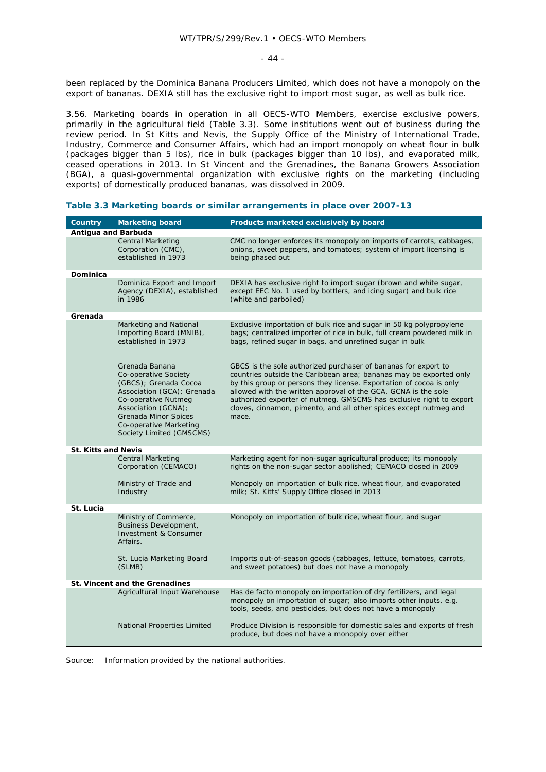been replaced by the Dominica Banana Producers Limited, which does not have a monopoly on the export of bananas. DEXIA still has the exclusive right to import most sugar, as well as bulk rice.

3.56. Marketing boards in operation in all OECS-WTO Members, exercise exclusive powers, primarily in the agricultural field (Table 3.3). Some institutions went out of business during the review period. In St Kitts and Nevis, the Supply Office of the Ministry of International Trade, Industry, Commerce and Consumer Affairs, which had an import monopoly on wheat flour in bulk (packages bigger than 5 lbs), rice in bulk (packages bigger than 10 lbs), and evaporated milk, ceased operations in 2013. In St Vincent and the Grenadines, the Banana Growers Association (BGA), a quasi-governmental organization with exclusive rights on the marketing (including exports) of domestically produced bananas, was dissolved in 2009.

| <b>Country</b>             | <b>Marketing board</b>                                                                                                                                                                                                    | Products marketed exclusively by board                                                                                                                                                                                                                                                                                                                                                                                             |
|----------------------------|---------------------------------------------------------------------------------------------------------------------------------------------------------------------------------------------------------------------------|------------------------------------------------------------------------------------------------------------------------------------------------------------------------------------------------------------------------------------------------------------------------------------------------------------------------------------------------------------------------------------------------------------------------------------|
| Antigua and Barbuda        |                                                                                                                                                                                                                           |                                                                                                                                                                                                                                                                                                                                                                                                                                    |
|                            | Central Marketing<br>Corporation (CMC),<br>established in 1973                                                                                                                                                            | CMC no longer enforces its monopoly on imports of carrots, cabbages,<br>onions, sweet peppers, and tomatoes; system of import licensing is<br>being phased out                                                                                                                                                                                                                                                                     |
|                            |                                                                                                                                                                                                                           |                                                                                                                                                                                                                                                                                                                                                                                                                                    |
| <b>Dominica</b>            |                                                                                                                                                                                                                           |                                                                                                                                                                                                                                                                                                                                                                                                                                    |
|                            | Dominica Export and Import<br>Agency (DEXIA), established<br>in 1986                                                                                                                                                      | DEXIA has exclusive right to import sugar (brown and white sugar,<br>except EEC No. 1 used by bottlers, and icing sugar) and bulk rice<br>(white and parboiled)                                                                                                                                                                                                                                                                    |
| Grenada                    |                                                                                                                                                                                                                           |                                                                                                                                                                                                                                                                                                                                                                                                                                    |
|                            | Marketing and National<br>Importing Board (MNIB),<br>established in 1973                                                                                                                                                  | Exclusive importation of bulk rice and sugar in 50 kg polypropylene<br>bags; centralized importer of rice in bulk, full cream powdered milk in<br>bags, refined sugar in bags, and unrefined sugar in bulk                                                                                                                                                                                                                         |
|                            | Grenada Banana<br>Co-operative Society<br>(GBCS); Grenada Cocoa<br>Association (GCA); Grenada<br>Co-operative Nutmeg<br>Association (GCNA);<br>Grenada Minor Spices<br>Co-operative Marketing<br>Society Limited (GMSCMS) | GBCS is the sole authorized purchaser of bananas for export to<br>countries outside the Caribbean area; bananas may be exported only<br>by this group or persons they license. Exportation of cocoa is only<br>allowed with the written approval of the GCA. GCNA is the sole<br>authorized exporter of nutmeg. GMSCMS has exclusive right to export<br>cloves, cinnamon, pimento, and all other spices except nutmeg and<br>mace. |
| <b>St. Kitts and Nevis</b> |                                                                                                                                                                                                                           |                                                                                                                                                                                                                                                                                                                                                                                                                                    |
|                            | <b>Central Marketing</b><br>Corporation (CEMACO)                                                                                                                                                                          | Marketing agent for non-sugar agricultural produce; its monopoly<br>rights on the non-sugar sector abolished; CEMACO closed in 2009                                                                                                                                                                                                                                                                                                |
|                            | Ministry of Trade and<br>Industry                                                                                                                                                                                         | Monopoly on importation of bulk rice, wheat flour, and evaporated<br>milk; St. Kitts' Supply Office closed in 2013                                                                                                                                                                                                                                                                                                                 |
| St. Lucia                  |                                                                                                                                                                                                                           |                                                                                                                                                                                                                                                                                                                                                                                                                                    |
|                            | Ministry of Commerce,<br>Business Development,<br><b>Investment &amp; Consumer</b><br>Affairs.                                                                                                                            | Monopoly on importation of bulk rice, wheat flour, and sugar                                                                                                                                                                                                                                                                                                                                                                       |
|                            | St. Lucia Marketing Board<br>(SLMB)                                                                                                                                                                                       | Imports out-of-season goods (cabbages, lettuce, tomatoes, carrots,<br>and sweet potatoes) but does not have a monopoly                                                                                                                                                                                                                                                                                                             |
|                            | <b>St. Vincent and the Grenadines</b>                                                                                                                                                                                     |                                                                                                                                                                                                                                                                                                                                                                                                                                    |
|                            | Agricultural Input Warehouse                                                                                                                                                                                              | Has de facto monopoly on importation of dry fertilizers, and legal<br>monopoly on importation of sugar; also imports other inputs, e.g.<br>tools, seeds, and pesticides, but does not have a monopoly                                                                                                                                                                                                                              |
|                            | National Properties Limited                                                                                                                                                                                               | Produce Division is responsible for domestic sales and exports of fresh<br>produce, but does not have a monopoly over either                                                                                                                                                                                                                                                                                                       |

| Table 3.3 Marketing boards or similar arrangements in place over 2007-13 |  |  |  |
|--------------------------------------------------------------------------|--|--|--|
|                                                                          |  |  |  |

Source: Information provided by the national authorities.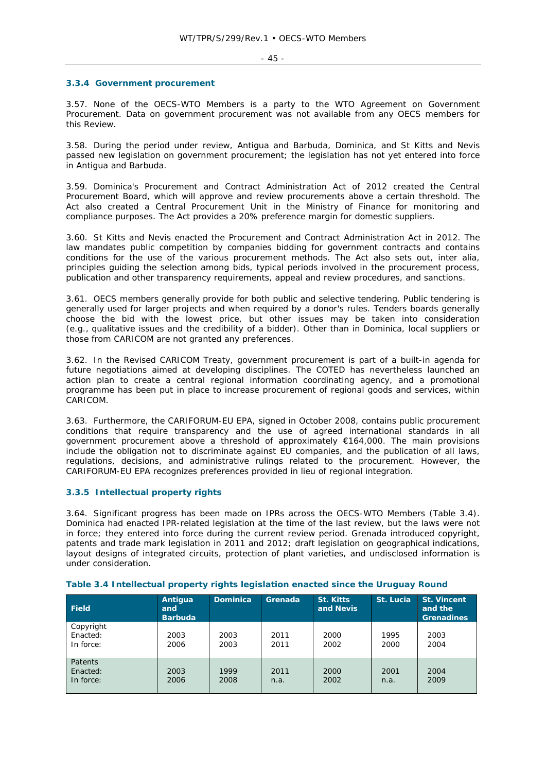#### **3.3.4 Government procurement**

3.57. None of the OECS-WTO Members is a party to the WTO Agreement on Government Procurement. Data on government procurement was not available from any OECS members for this Review.

3.58. During the period under review, Antigua and Barbuda, Dominica, and St Kitts and Nevis passed new legislation on government procurement; the legislation has not yet entered into force in Antigua and Barbuda.

3.59. Dominica's Procurement and Contract Administration Act of 2012 created the Central Procurement Board, which will approve and review procurements above a certain threshold. The Act also created a Central Procurement Unit in the Ministry of Finance for monitoring and compliance purposes. The Act provides a 20% preference margin for domestic suppliers.

3.60. St Kitts and Nevis enacted the Procurement and Contract Administration Act in 2012. The law mandates public competition by companies bidding for government contracts and contains conditions for the use of the various procurement methods. The Act also sets out, *inter alia*, principles guiding the selection among bids, typical periods involved in the procurement process, publication and other transparency requirements, appeal and review procedures, and sanctions.

3.61. OECS members generally provide for both public and selective tendering. Public tendering is generally used for larger projects and when required by a donor's rules. Tenders boards generally choose the bid with the lowest price, but other issues may be taken into consideration (e.g., qualitative issues and the credibility of a bidder). Other than in Dominica, local suppliers or those from CARICOM are not granted any preferences.

3.62. In the Revised CARICOM Treaty, government procurement is part of a built-in agenda for future negotiations aimed at developing disciplines. The COTED has nevertheless launched an action plan to create a central regional information coordinating agency, and a promotional programme has been put in place to increase procurement of regional goods and services, within CARICOM.

3.63. Furthermore, the CARIFORUM-EU EPA, signed in October 2008, contains public procurement conditions that require transparency and the use of agreed international standards in all government procurement above a threshold of approximately €164,000. The main provisions include the obligation not to discriminate against EU companies, and the publication of all laws, regulations, decisions, and administrative rulings related to the procurement. However, the CARIFORUM-EU EPA recognizes preferences provided in lieu of regional integration.

# **3.3.5 Intellectual property rights**

3.64. Significant progress has been made on IPRs across the OECS-WTO Members (Table 3.4). Dominica had enacted IPR-related legislation at the time of the last review, but the laws were not in force; they entered into force during the current review period. Grenada introduced copyright, patents and trade mark legislation in 2011 and 2012; draft legislation on geographical indications, layout designs of integrated circuits, protection of plant varieties, and undisclosed information is under consideration.

| <b>Field</b>                            | Antiqua<br>and<br><b>Barbuda</b> | <b>Dominica</b> | Grenada      | <b>St. Kitts</b><br>and Nevis | St. Lucia    | <b>St. Vincent</b><br>and the<br><b>Grenadines</b> |
|-----------------------------------------|----------------------------------|-----------------|--------------|-------------------------------|--------------|----------------------------------------------------|
| Copyright<br>Enacted:<br>In force:      | 2003<br>2006                     | 2003<br>2003    | 2011<br>2011 | 2000<br>2002                  | 1995<br>2000 | 2003<br>2004                                       |
| <b>Patents</b><br>Enacted:<br>In force: | 2003<br>2006                     | 1999<br>2008    | 2011<br>n.a. | 2000<br>2002                  | 2001<br>n.a. | 2004<br>2009                                       |

#### **Table 3.4 Intellectual property rights legislation enacted since the Uruguay Round**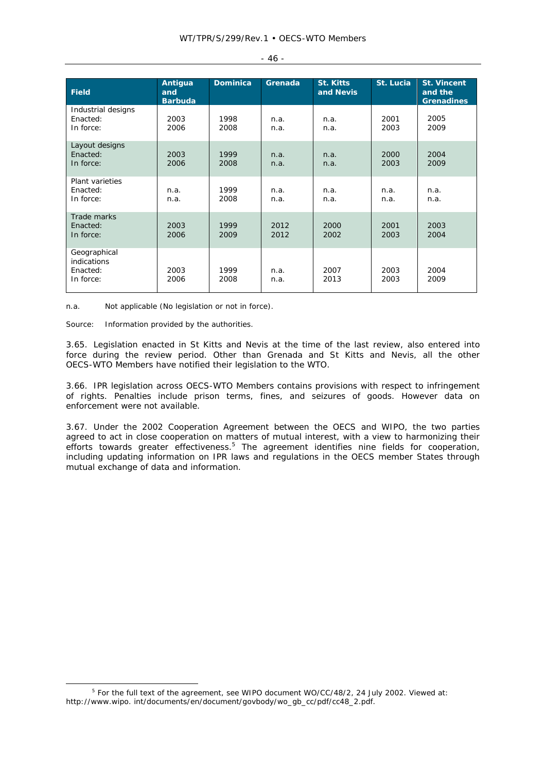| <b>Field</b>                                                | Antigua<br>and<br>Barbuda | <b>Dominica</b> | Grenada      | <b>St. Kitts</b><br>and Nevis | St. Lucia    | <b>St. Vincent</b><br>and the<br><b>Grenadines</b> |
|-------------------------------------------------------------|---------------------------|-----------------|--------------|-------------------------------|--------------|----------------------------------------------------|
| Industrial designs<br>Enacted:<br>In force:                 | 2003<br>2006              | 1998<br>2008    | n.a.<br>n.a. | n.a.<br>n.a.                  | 2001<br>2003 | 2005<br>2009                                       |
| Layout designs<br>Enacted:<br>In force:                     | 2003<br>2006              | 1999<br>2008    | n.a.<br>n.a. | n.a.<br>n.a.                  | 2000<br>2003 | 2004<br>2009                                       |
| <b>Plant varieties</b><br>Enacted:<br>In force:             | n.a.<br>n.a.              | 1999<br>2008    | n.a.<br>n.a. | n.a.<br>n.a.                  | n.a.<br>n.a. | n.a.<br>n.a.                                       |
| Trade marks<br>Enacted:<br>In force:                        | 2003<br>2006              | 1999<br>2009    | 2012<br>2012 | 2000<br>2002                  | 2001<br>2003 | 2003<br>2004                                       |
| Geographical<br><b>indications</b><br>Enacted:<br>In force: | 2003<br>2006              | 1999<br>2008    | n.a.<br>n.a. | 2007<br>2013                  | 2003<br>2003 | 2004<br>2009                                       |

n.a. Not applicable (No legislation or not in force).

Source: Information provided by the authorities.

3.65. Legislation enacted in St Kitts and Nevis at the time of the last review, also entered into force during the review period. Other than Grenada and St Kitts and Nevis, all the other OECS-WTO Members have notified their legislation to the WTO.

3.66. IPR legislation across OECS-WTO Members contains provisions with respect to infringement of rights. Penalties include prison terms, fines, and seizures of goods. However data on enforcement were not available.

3.67. Under the 2002 Cooperation Agreement between the OECS and WIPO, the two parties agreed to act in close cooperation on matters of mutual interest, with a view to harmonizing their efforts towards greater effectiveness.<sup>5</sup> The agreement identifies nine fields for cooperation, including updating information on IPR laws and regulations in the OECS member States through mutual exchange of data and information.

|  | ۰.<br>$\sim$<br>× |  |
|--|-------------------|--|
|--|-------------------|--|

 $\frac{1}{5}$ <sup>5</sup> For the full text of the agreement, see WIPO document WO/CC/48/2, 24 July 2002. Viewed at: http://www.wipo. int/documents/en/document/govbody/wo\_gb\_cc/pdf/cc48\_2.pdf.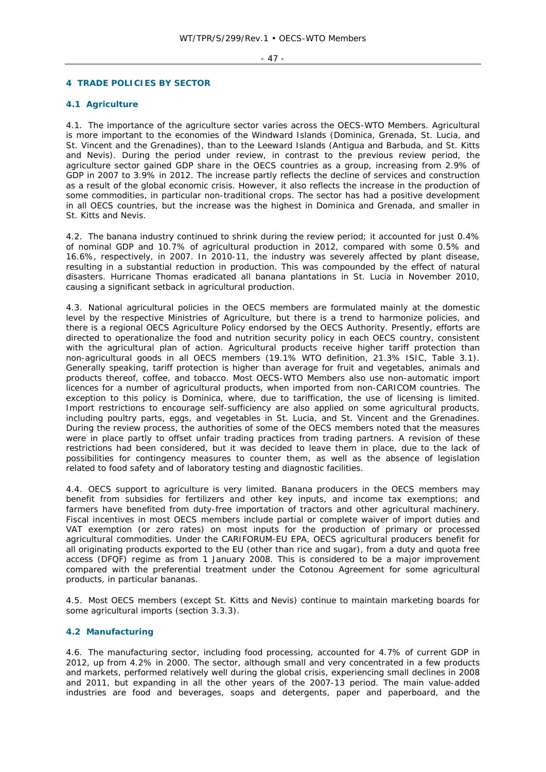#### $-47 -$

# **4 TRADE POLICIES BY SECTOR**

# **4.1 Agriculture**

4.1. The importance of the agriculture sector varies across the OECS-WTO Members. Agricultural is more important to the economies of the Windward Islands (Dominica, Grenada, St. Lucia, and St. Vincent and the Grenadines), than to the Leeward Islands (Antigua and Barbuda, and St. Kitts and Nevis). During the period under review, in contrast to the previous review period, the agriculture sector gained GDP share in the OECS countries as a group, increasing from 2.9% of GDP in 2007 to 3.9% in 2012. The increase partly reflects the decline of services and construction as a result of the global economic crisis. However, it also reflects the increase in the production of some commodities, in particular non-traditional crops. The sector has had a positive development in all OECS countries, but the increase was the highest in Dominica and Grenada, and smaller in St. Kitts and Nevis.

4.2. The banana industry continued to shrink during the review period; it accounted for just 0.4% of nominal GDP and 10.7% of agricultural production in 2012, compared with some 0.5% and 16.6%, respectively, in 2007. In 2010-11, the industry was severely affected by plant disease, resulting in a substantial reduction in production. This was compounded by the effect of natural disasters. Hurricane Thomas eradicated all banana plantations in St. Lucia in November 2010, causing a significant setback in agricultural production.

4.3. National agricultural policies in the OECS members are formulated mainly at the domestic level by the respective Ministries of Agriculture, but there is a trend to harmonize policies, and there is a regional OECS Agriculture Policy endorsed by the OECS Authority. Presently, efforts are directed to operationalize the food and nutrition security policy in each OECS country, consistent with the agricultural plan of action. Agricultural products receive higher tariff protection than non-agricultural goods in all OECS members (19.1% WTO definition, 21.3% ISIC, Table 3.1). Generally speaking, tariff protection is higher than average for fruit and vegetables, animals and products thereof, coffee, and tobacco. Most OECS-WTO Members also use non-automatic import licences for a number of agricultural products, when imported from non-CARICOM countries. The exception to this policy is Dominica, where, due to tariffication, the use of licensing is limited. Import restrictions to encourage self-sufficiency are also applied on some agricultural products, including poultry parts, eggs, and vegetables in St. Lucia, and St. Vincent and the Grenadines. During the review process, the authorities of some of the OECS members noted that the measures were in place partly to offset unfair trading practices from trading partners. A revision of these restrictions had been considered, but it was decided to leave them in place, due to the lack of possibilities for contingency measures to counter them, as well as the absence of legislation related to food safety and of laboratory testing and diagnostic facilities.

4.4. OECS support to agriculture is very limited. Banana producers in the OECS members may benefit from subsidies for fertilizers and other key inputs, and income tax exemptions; and farmers have benefited from duty-free importation of tractors and other agricultural machinery. Fiscal incentives in most OECS members include partial or complete waiver of import duties and VAT exemption (or zero rates) on most inputs for the production of primary or processed agricultural commodities. Under the CARIFORUM-EU EPA, OECS agricultural producers benefit for all originating products exported to the EU (other than rice and sugar), from a duty and quota free access (DFQF) regime as from 1 January 2008. This is considered to be a major improvement compared with the preferential treatment under the Cotonou Agreement for some agricultural products, in particular bananas.

4.5. Most OECS members (except St. Kitts and Nevis) continue to maintain marketing boards for some agricultural imports (section 3.3.3).

# **4.2 Manufacturing**

4.6. The manufacturing sector, including food processing, accounted for 4.7% of current GDP in 2012, up from 4.2% in 2000. The sector, although small and very concentrated in a few products and markets, performed relatively well during the global crisis, experiencing small declines in 2008 and 2011, but expanding in all the other years of the 2007-13 period. The main value-added industries are food and beverages, soaps and detergents, paper and paperboard, and the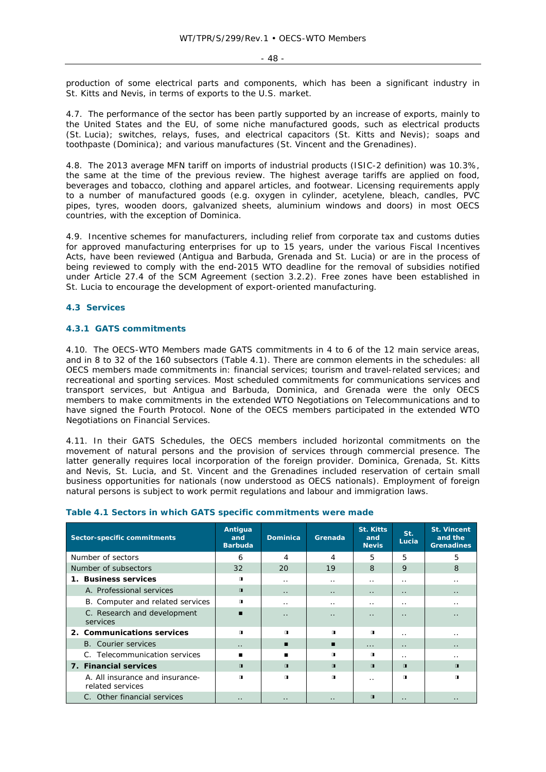$-48 -$ 

production of some electrical parts and components, which has been a significant industry in St. Kitts and Nevis, in terms of exports to the U.S. market.

4.7. The performance of the sector has been partly supported by an increase of exports, mainly to the United States and the EU, of some niche manufactured goods, such as electrical products (St. Lucia); switches, relays, fuses, and electrical capacitors (St. Kitts and Nevis); soaps and toothpaste (Dominica); and various manufactures (St. Vincent and the Grenadines).

4.8. The 2013 average MFN tariff on imports of industrial products (ISIC-2 definition) was 10.3%, the same at the time of the previous review. The highest average tariffs are applied on food, beverages and tobacco, clothing and apparel articles, and footwear. Licensing requirements apply to a number of manufactured goods (e.g. oxygen in cylinder, acetylene, bleach, candles, PVC pipes, tyres, wooden doors, galvanized sheets, aluminium windows and doors) in most OECS countries, with the exception of Dominica.

4.9. Incentive schemes for manufacturers, including relief from corporate tax and customs duties for approved manufacturing enterprises for up to 15 years, under the various Fiscal Incentives Acts, have been reviewed (Antigua and Barbuda, Grenada and St. Lucia) or are in the process of being reviewed to comply with the end-2015 WTO deadline for the removal of subsidies notified under Article 27.4 of the SCM Agreement (section 3.2.2). Free zones have been established in St. Lucia to encourage the development of export-oriented manufacturing.

#### **4.3 Services**

#### **4.3.1 GATS commitments**

4.10. The OECS-WTO Members made GATS commitments in 4 to 6 of the 12 main service areas, and in 8 to 32 of the 160 subsectors (Table 4.1). There are common elements in the schedules: all OECS members made commitments in: financial services; tourism and travel-related services; and recreational and sporting services. Most scheduled commitments for communications services and transport services, but Antigua and Barbuda, Dominica, and Grenada were the only OECS members to make commitments in the extended WTO Negotiations on Telecommunications and to have signed the Fourth Protocol. None of the OECS members participated in the extended WTO Negotiations on Financial Services.

4.11. In their GATS Schedules, the OECS members included horizontal commitments on the movement of natural persons and the provision of services through commercial presence. The latter generally requires local incorporation of the foreign provider. Dominica, Grenada, St. Kitts and Nevis, St. Lucia, and St. Vincent and the Grenadines included reservation of certain small business opportunities for nationals (now understood as OECS nationals). Employment of foreign natural persons is subject to work permit regulations and labour and immigration laws.

| Sector-specific commitments                         | Antigua<br>and<br><b>Barbuda</b> | <b>Dominica</b>      | Grenada              | <b>St. Kitts</b><br>and<br><b>Nevis</b> | St.<br>Lucia         | <b>St. Vincent</b><br>and the<br>Grenadines |
|-----------------------------------------------------|----------------------------------|----------------------|----------------------|-----------------------------------------|----------------------|---------------------------------------------|
| Number of sectors                                   | 6                                | 4                    | 4                    | 5                                       | 5                    | 5                                           |
| Number of subsectors                                | 32                               | 20                   | 19                   | 8                                       | 9                    | 8                                           |
| <b>Business services</b><br>1.                      | $\blacksquare$                   | . .                  | . .                  | $\cdot$ .                               | . .                  | . .                                         |
| A. Professional services                            | $\blacksquare$                   | $\ddot{\phantom{0}}$ | $\ddot{\phantom{0}}$ | $\ddot{\phantom{0}}$                    | $\ddot{\phantom{0}}$ | $\ddot{\phantom{0}}$                        |
| B. Computer and related services                    | п                                | . .                  | . .                  | $\cdot$ .                               | . .                  | . .                                         |
| C. Research and development<br>services             | ▬                                | $\cdot$ .            | . .                  | $\cdot$ $\cdot$                         | $\cdot$ .            | . .                                         |
| 2. Communications services                          | $\blacksquare$                   | $\mathbf{u}$         | $\mathbf{u}$         | $\blacksquare$                          | . .                  | . .                                         |
| <b>B.</b> Courier services                          | $\cdot$ $\cdot$                  | п                    | п                    | $\cdots$                                | $\cdot$ .            | $\ddot{\phantom{0}}$                        |
| C. Telecommunication services                       | ▬                                | ▬                    | $\mathbf{u}$         | п                                       | . .                  | . .                                         |
| 7. Financial services                               | $\blacksquare$                   | $\blacksquare$       | $\mathbf{u}$         | $\blacksquare$                          | $\blacksquare$       | $\blacksquare$                              |
| A. All insurance and insurance-<br>related services | $\blacksquare$                   | $\blacksquare$       | $\blacksquare$       | $\ddot{\phantom{0}}$                    | $\blacksquare$       | $\blacksquare$                              |
| C. Other financial services                         | $\cdot$ $\cdot$                  | . .                  | $\cdot$ $\cdot$      | $\blacksquare$                          | $\cdot$ .            | $\cdot$ $\cdot$                             |

#### **Table 4.1 Sectors in which GATS specific commitments were made**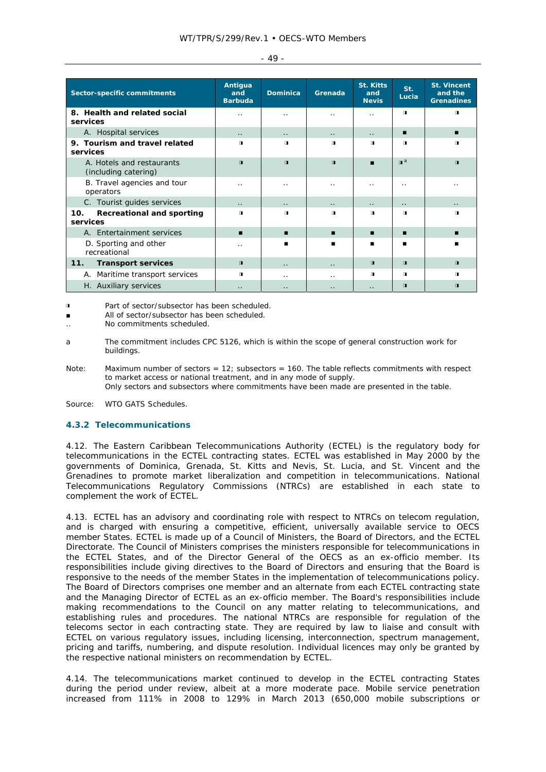|                 | <b>Sector-specific commitments</b>                | Antigua<br>and<br><b>Barbuda</b> | <b>Dominica</b>      | Grenada              | <b>St. Kitts</b><br>and<br><b>Nevis</b> | St.<br>Lucia              | <b>St. Vincent</b><br>and the<br><b>Grenadines</b> |
|-----------------|---------------------------------------------------|----------------------------------|----------------------|----------------------|-----------------------------------------|---------------------------|----------------------------------------------------|
| services        | 8. Health and related social                      | . .                              | $\cdot$ .            | $\ddot{\phantom{0}}$ | $\cdot$ .                               | $\blacksquare$            | п                                                  |
|                 | A. Hospital services                              | $\ddot{\phantom{0}}$             | $\ddot{\phantom{0}}$ | $\ddot{\phantom{0}}$ | $\ddot{\phantom{a}}$                    | п                         | п                                                  |
| 9.<br>services  | Tourism and travel related                        | п                                | П                    | $\blacksquare$       | $\blacksquare$                          | $\blacksquare$            | п                                                  |
|                 | A. Hotels and restaurants<br>(including catering) | $\blacksquare$                   | $\blacksquare$       | $\blacksquare$       | $\blacksquare$                          | $\mathbf{u}^{\mathbf{a}}$ | $\blacksquare$                                     |
|                 | B. Travel agencies and tour<br>operators          | . .                              | . .                  | $\cdot$ .            | . .                                     | . .                       |                                                    |
|                 | C. Tourist quides services                        | $\ddot{\phantom{0}}$             | $\ddot{\phantom{0}}$ | $\ddot{\phantom{0}}$ | $\ddot{\phantom{0}}$                    | $\ddot{\phantom{0}}$      | $\ddot{\phantom{0}}$                               |
| 10.<br>services | Recreational and sporting                         | $\blacksquare$                   | $\blacksquare$       | $\blacksquare$       | $\blacksquare$                          | $\blacksquare$            | п                                                  |
|                 | A. Entertainment services                         | ▬                                | п                    | п                    | п                                       | п                         | ▪                                                  |
|                 | D. Sporting and other<br>recreational             | $\ddot{\phantom{0}}$             |                      | п                    | п                                       | п                         | ■                                                  |
| 11.             | <b>Transport services</b>                         | $\blacksquare$                   | $\ddot{\phantom{0}}$ | $\ddot{\phantom{0}}$ | $\blacksquare$                          | $\mathbf{u}$              | $\blacksquare$                                     |
| А.              | Maritime transport services                       | $\blacksquare$                   | . .                  | . .                  | $\blacksquare$                          | $\mathbf{u}$              | п.                                                 |
|                 | H. Auxiliary services                             | $\cdot$ .                        | $\ddot{\phantom{0}}$ | $\cdot$ .            | $\cdot$ $\cdot$                         | $\blacksquare$            | $\blacksquare$                                     |

 $- 49 -$ 

◨ Part of sector/subsector has been scheduled.

■ All of sector/subsector has been scheduled.

- .. No commitments scheduled.
- a The commitment includes CPC 5126, which is within the scope of general construction work for buildings.
- Note: Maximum number of sectors = 12; subsectors = 160. The table reflects commitments with respect to market access or national treatment, and in any mode of supply. Only sectors and subsectors where commitments have been made are presented in the table.

Source: WTO GATS Schedules.

# **4.3.2 Telecommunications**

4.12. The Eastern Caribbean Telecommunications Authority (ECTEL) is the regulatory body for telecommunications in the ECTEL contracting states. ECTEL was established in May 2000 by the governments of Dominica, Grenada, St. Kitts and Nevis, St. Lucia, and St. Vincent and the Grenadines to promote market liberalization and competition in telecommunications. National Telecommunications Regulatory Commissions (NTRCs) are established in each state to complement the work of ECTEL.

4.13. ECTEL has an advisory and coordinating role with respect to NTRCs on telecom regulation, and is charged with ensuring a competitive, efficient, universally available service to OECS member States. ECTEL is made up of a Council of Ministers, the Board of Directors, and the ECTEL Directorate. The Council of Ministers comprises the ministers responsible for telecommunications in the ECTEL States, and of the Director General of the OECS as an ex-officio member. Its responsibilities include giving directives to the Board of Directors and ensuring that the Board is responsive to the needs of the member States in the implementation of telecommunications policy. The Board of Directors comprises one member and an alternate from each ECTEL contracting state and the Managing Director of ECTEL as an ex-officio member. The Board's responsibilities include making recommendations to the Council on any matter relating to telecommunications, and establishing rules and procedures. The national NTRCs are responsible for regulation of the telecoms sector in each contracting state. They are required by law to liaise and consult with ECTEL on various regulatory issues, including licensing, interconnection, spectrum management, pricing and tariffs, numbering, and dispute resolution. Individual licences may only be granted by the respective national ministers on recommendation by ECTEL.

4.14. The telecommunications market continued to develop in the ECTEL contracting States during the period under review, albeit at a more moderate pace. Mobile service penetration increased from 111% in 2008 to 129% in March 2013 (650,000 mobile subscriptions or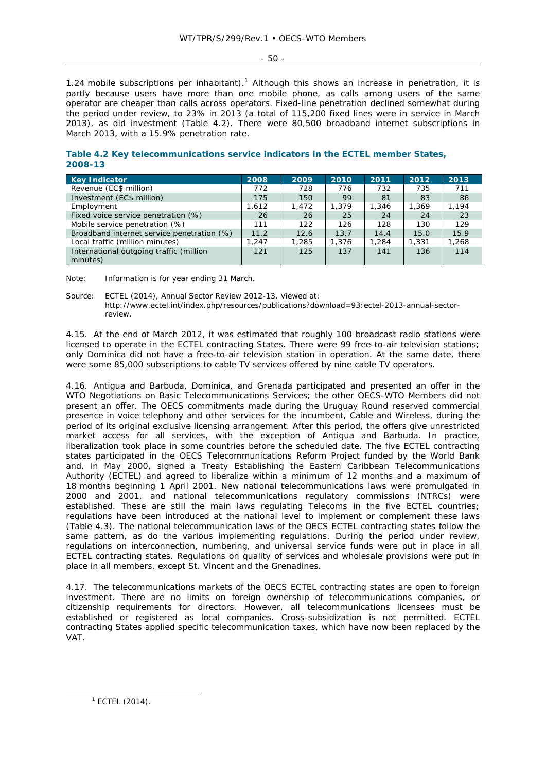$-50 -$ 

1.24 mobile subscriptions per inhabitant).<sup>1</sup> Although this shows an increase in penetration, it is partly because users have more than one mobile phone, as calls among users of the same operator are cheaper than calls across operators. Fixed-line penetration declined somewhat during the period under review, to 23% in 2013 (a total of 115,200 fixed lines were in service in March 2013), as did investment (Table 4.2). There were 80,500 broadband internet subscriptions in March 2013, with a 15.9% penetration rate.

**Table 4.2 Key telecommunications service indicators in the ECTEL member States, 2008-13**

| <b>Key Indicator</b>                                | 2008  | 2009  | 2010  | 2011  | 2012  | 2013  |
|-----------------------------------------------------|-------|-------|-------|-------|-------|-------|
| Revenue (EC\$ million)                              | 772   | 728   | 776   | 732   | 735   | 711   |
| Investment (EC\$ million)                           | 175   | 150   | 99    | 81    | 83    | 86    |
| Employment                                          | 1.612 | 1.472 | 1,379 | 1.346 | 1,369 | 1.194 |
| Fixed voice service penetration (%)                 | 26    | 26    | 25    | 24    | 24    | 23    |
| Mobile service penetration (%)                      | 111   | 122   | 126   | 128   | 130   | 129   |
| Broadband internet service penetration (%)          | 11.2  | 12.6  | 13.7  | 14.4  | 15.0  | 15.9  |
| Local traffic (million minutes)                     | 1,247 | 1,285 | 1,376 | 1,284 | 1,331 | 1,268 |
| International outgoing traffic (million<br>minutes) | 121   | 125   | 137   | 141   | 136   | 114   |

Note: Information is for year ending 31 March.

Source: ECTEL (2014), *Annual Sector Review 2012-13*. Viewed at: http://www.ectel.int/index.php/resources/publications?download=93:ectel-2013-annual-sectorreview.

4.15. At the end of March 2012, it was estimated that roughly 100 broadcast radio stations were licensed to operate in the ECTEL contracting States. There were 99 free-to-air television stations; only Dominica did not have a free-to-air television station in operation. At the same date, there were some 85,000 subscriptions to cable TV services offered by nine cable TV operators.

4.16. Antigua and Barbuda, Dominica, and Grenada participated and presented an offer in the WTO Negotiations on Basic Telecommunications Services; the other OECS-WTO Members did not present an offer. The OECS commitments made during the Uruguay Round reserved commercial presence in voice telephony and other services for the incumbent, Cable and Wireless, during the period of its original exclusive licensing arrangement. After this period, the offers give unrestricted market access for all services, with the exception of Antigua and Barbuda. In practice, liberalization took place in some countries before the scheduled date. The five ECTEL contracting states participated in the OECS Telecommunications Reform Project funded by the World Bank and, in May 2000, signed a Treaty Establishing the Eastern Caribbean Telecommunications Authority (ECTEL) and agreed to liberalize within a minimum of 12 months and a maximum of 18 months beginning 1 April 2001. New national telecommunications laws were promulgated in 2000 and 2001, and national telecommunications regulatory commissions (NTRCs) were established. These are still the main laws regulating Telecoms in the five ECTEL countries; regulations have been introduced at the national level to implement or complement these laws (Table 4.3). The national telecommunication laws of the OECS ECTEL contracting states follow the same pattern, as do the various implementing regulations. During the period under review, regulations on interconnection, numbering, and universal service funds were put in place in all ECTEL contracting states. Regulations on quality of services and wholesale provisions were put in place in all members, except St. Vincent and the Grenadines.

4.17. The telecommunications markets of the OECS ECTEL contracting states are open to foreign investment. There are no limits on foreign ownership of telecommunications companies, or citizenship requirements for directors. However, all telecommunications licensees must be established or registered as local companies. Cross-subsidization is not permitted. ECTEL contracting States applied specific telecommunication taxes, which have now been replaced by the VAT.

 $\frac{1}{1}$  $1$  ECTEL (2014).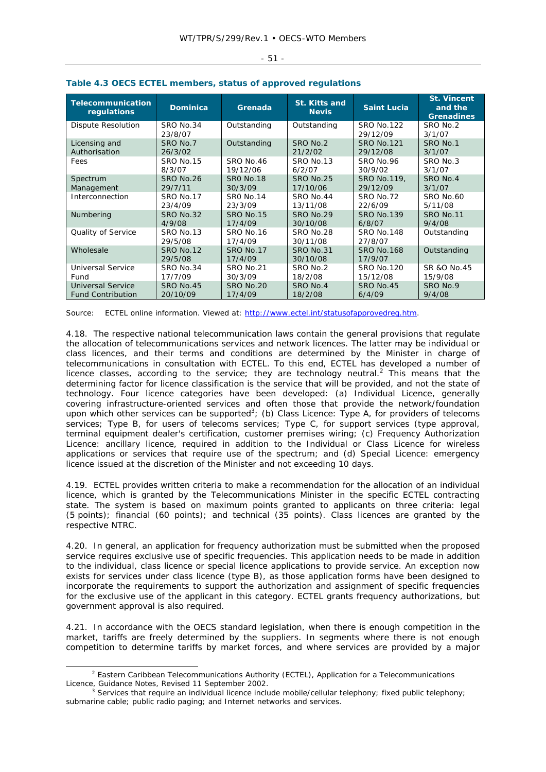|  | ٠<br>٠<br>$\sim$ |  |
|--|------------------|--|
|--|------------------|--|

| <b>Telecommunication</b><br>regulations | <b>Dominica</b>             | Grenada              | <b>St. Kitts and</b><br><b>Nevis</b> | <b>Saint Lucia</b>            | <b>St. Vincent</b><br>and the<br><b>Grenadines</b> |  |  |
|-----------------------------------------|-----------------------------|----------------------|--------------------------------------|-------------------------------|----------------------------------------------------|--|--|
| <b>Dispute Resolution</b>               | SRO No.34<br>23/8/07        | Outstanding          | Outstanding                          | <b>SRO No.122</b><br>29/12/09 | SRO No.2<br>3/1/07                                 |  |  |
| Licensing and                           | SRO No.7                    | Outstanding          | SRO No.2                             | <b>SRO No.121</b>             | SRO No.1                                           |  |  |
| Authorisation                           | 26/3/02                     |                      | 21/2/02                              | 29/12/08                      | 3/1/07                                             |  |  |
| Fees                                    | <b>SRO No.15</b>            | SRO No.46            | SRO No.13                            | SRO No.96                     | SRO No.3                                           |  |  |
|                                         | 8/3/07                      | 19/12/06             | 6/2/07                               | 30/9/02                       | 3/1/07                                             |  |  |
| Spectrum                                | <b>SRO No.26</b>            | <b>SRO No.18</b>     | <b>SRO No.25</b>                     | SRO No.119,                   | SRO No.4                                           |  |  |
| Management                              | 29/7/11                     | 30/3/09              | 17/10/06                             | 29/12/09                      | 3/1/07                                             |  |  |
| Interconnection                         | SRO No.17                   | <b>SRO No.14</b>     | SRO No.44                            | SRO No.72                     | <b>SRO No.60</b>                                   |  |  |
|                                         | 23/4/09                     | 23/3/09              | 13/11/08                             | 22/6/09                       | 5/11/08                                            |  |  |
| Numbering                               | <b>SRO No.32</b>            | <b>SRO No.15</b>     | SRO No.29                            | <b>SRO No.139</b>             | <b>SRO No.11</b>                                   |  |  |
|                                         | 4/9/08                      | 17/4/09              | 30/10/08                             | 6/8/07                        | 9/4/08                                             |  |  |
| Quality of Service                      | SRO No.13<br>29/5/08        | SRO No.16<br>17/4/09 | SRO No.28<br>30/11/08                | <b>SRO No.148</b><br>27/8/07  | Outstanding                                        |  |  |
| Wholesale                               | <b>SRO No.12</b><br>29/5/08 | SRO No.17<br>17/4/09 | SRO No.31<br>30/10/08                | <b>SRO No.168</b><br>17/9/07  | Outstanding                                        |  |  |
| <b>Universal Service</b>                | SRO No.34                   | SRO No.21            | SRO No.2                             | <b>SRO No.120</b>             | SR &O No.45                                        |  |  |
| Fund                                    | 17/7/09                     | 30/3/09              | 18/2/08                              | 15/12/08                      | 15/9/08                                            |  |  |
| <b>Universal Service</b>                | <b>SRO No.45</b>            | SRO No.20            | SRO No.4                             | SRO No.45                     | SRO No.9                                           |  |  |
| <b>Fund Contribution</b>                | 20/10/09                    | 17/4/09              | 18/2/08                              | 6/4/09                        | 9/4/08                                             |  |  |

# **Table 4.3 OECS ECTEL members, status of approved regulations**

Source: ECTEL online information. Viewed at: http://www.ectel.int/statusofapprovedreg.htm.

4.18. The respective national telecommunication laws contain the general provisions that regulate the allocation of telecommunications services and network licences. The latter may be individual or class licences, and their terms and conditions are determined by the Minister in charge of telecommunications in consultation with ECTEL. To this end, ECTEL has developed a number of licence classes, according to the service; they are technology neutral.<sup>2</sup> This means that the determining factor for licence classification is the service that will be provided, and not the state of technology. Four licence categories have been developed: (a) Individual Licence, generally covering infrastructure-oriented services and often those that provide the network/foundation upon which other services can be supported<sup>3</sup>; (b) Class Licence: Type A, for providers of telecoms services; Type B, for users of telecoms services; Type C, for support services (type approval, terminal equipment dealer's certification, customer premises wiring; (c) Frequency Authorization Licence: ancillary licence, required in addition to the Individual or Class Licence for wireless applications or services that require use of the spectrum; and (d) Special Licence: emergency licence issued at the discretion of the Minister and not exceeding 10 days.

4.19. ECTEL provides written criteria to make a recommendation for the allocation of an individual licence, which is granted by the Telecommunications Minister in the specific ECTEL contracting state. The system is based on maximum points granted to applicants on three criteria: legal (5 points); financial (60 points); and technical (35 points). Class licences are granted by the respective NTRC.

4.20. In general, an application for frequency authorization must be submitted when the proposed service requires exclusive use of specific frequencies. This application needs to be made in addition to the individual, class licence or special licence applications to provide service. An exception now exists for services under class licence (type B), as those application forms have been designed to incorporate the requirements to support the authorization and assignment of specific frequencies for the exclusive use of the applicant in this category. ECTEL grants frequency authorizations, but government approval is also required.

4.21. In accordance with the OECS standard legislation, when there is enough competition in the market, tariffs are freely determined by the suppliers. In segments where there is not enough competition to determine tariffs by market forces, and where services are provided by a major

 $\overline{\phantom{a}}$ <sup>2</sup> Eastern Caribbean Telecommunications Authority (ECTEL), Application for a Telecommunications Licence, *Guidance Notes,* Revised 11 September 2002. 3

 $3$  Services that require an individual licence include mobile/cellular telephony; fixed public telephony; submarine cable; public radio paging; and Internet networks and services.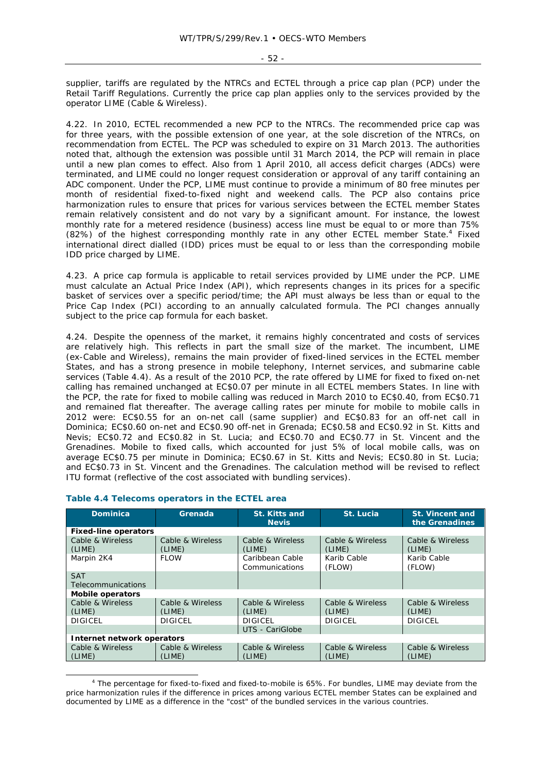- 52 -

supplier, tariffs are regulated by the NTRCs and ECTEL through a price cap plan (PCP) under the Retail Tariff Regulations. Currently the price cap plan applies only to the services provided by the operator LIME (Cable & Wireless).

4.22. In 2010, ECTEL recommended a new PCP to the NTRCs. The recommended price cap was for three years, with the possible extension of one year, at the sole discretion of the NTRCs, on recommendation from ECTEL. The PCP was scheduled to expire on 31 March 2013. The authorities noted that, although the extension was possible until 31 March 2014, the PCP will remain in place until a new plan comes to effect. Also from 1 April 2010, all access deficit charges (ADCs) were terminated, and LIME could no longer request consideration or approval of any tariff containing an ADC component. Under the PCP, LIME must continue to provide a minimum of 80 free minutes per month of residential fixed-to-fixed night and weekend calls. The PCP also contains price harmonization rules to ensure that prices for various services between the ECTEL member States remain relatively consistent and do not vary by a significant amount. For instance, the lowest monthly rate for a metered residence (business) access line must be equal to or more than 75% (82%) of the highest corresponding monthly rate in any other ECTEL member State.<sup>4</sup> Fixed international direct dialled (IDD) prices must be equal to or less than the corresponding mobile IDD price charged by LIME.

4.23. A price cap formula is applicable to retail services provided by LIME under the PCP. LIME must calculate an Actual Price Index (API), which represents changes in its prices for a specific basket of services over a specific period/time; the API must always be less than or equal to the Price Cap Index (PCI) according to an annually calculated formula. The PCI changes annually subject to the price cap formula for each basket.

4.24. Despite the openness of the market, it remains highly concentrated and costs of services are relatively high. This reflects in part the small size of the market. The incumbent, LIME (ex-Cable and Wireless), remains the main provider of fixed-lined services in the ECTEL member States, and has a strong presence in mobile telephony, Internet services, and submarine cable services (Table 4.4). As a result of the 2010 PCP, the rate offered by LIME for fixed to fixed on-net calling has remained unchanged at EC\$0.07 per minute in all ECTEL members States. In line with the PCP, the rate for fixed to mobile calling was reduced in March 2010 to EC\$0.40, from EC\$0.71 and remained flat thereafter. The average calling rates per minute for mobile to mobile calls in 2012 were: EC\$0.55 for an on-net call (same supplier) and EC\$0.83 for an off-net call in Dominica; EC\$0.60 on-net and EC\$0.90 off-net in Grenada; EC\$0.58 and EC\$0.92 in St. Kitts and Nevis; EC\$0.72 and EC\$0.82 in St. Lucia; and EC\$0.70 and EC\$0.77 in St. Vincent and the Grenadines. Mobile to fixed calls, which accounted for just 5% of local mobile calls, was on average EC\$0.75 per minute in Dominica; EC\$0.67 in St. Kitts and Nevis; EC\$0.80 in St. Lucia; and EC\$0.73 in St. Vincent and the Grenadines. The calculation method will be revised to reflect ITU format (reflective of the cost associated with bundling services).

| <b>Dominica</b>                  | Grenada                    | <b>St. Kitts and</b><br><b>Nevis</b> | St. Lucia                  | <b>St. Vincent and</b><br>the Grenadines |
|----------------------------------|----------------------------|--------------------------------------|----------------------------|------------------------------------------|
| <b>Fixed-line operators</b>      |                            |                                      |                            |                                          |
| Cable & Wireless<br>(LIME)       | Cable & Wireless<br>(LIME) | Cable & Wireless<br>(LIME)           | Cable & Wireless<br>(LIME) | Cable & Wireless<br>(LIME)               |
| Marpin 2K4                       | <b>FLOW</b>                | Caribbean Cable<br>Communications    | Karib Cable<br>(FLOW)      | Karib Cable<br>(FLOW)                    |
| <b>SAT</b><br>Telecommunications |                            |                                      |                            |                                          |
| Mobile operators                 |                            |                                      |                            |                                          |
| Cable & Wireless<br>(LIME)       | Cable & Wireless<br>(LIME) | Cable & Wireless<br>(LIME)           | Cable & Wireless<br>(LIME) | Cable & Wireless<br>(LIME)               |
| <b>DIGICEL</b>                   | <b>DIGICEL</b>             | <b>DIGICEL</b>                       | <b>DIGICEL</b>             | <b>DIGICEL</b>                           |
|                                  |                            | UTS - CariGlobe                      |                            |                                          |
| Internet network operators       |                            |                                      |                            |                                          |
| Cable & Wireless<br>(LIME)       | Cable & Wireless<br>(LIME) | Cable & Wireless<br>(LIME)           | Cable & Wireless<br>(LIME) | Cable & Wireless<br>(LIME)               |

#### **Table 4.4 Telecoms operators in the ECTEL area**

 $\overline{\phantom{a}}$  The percentage for fixed-to-fixed and fixed-to-mobile is 65%. For bundles, LIME may deviate from the price harmonization rules if the difference in prices among various ECTEL member States can be explained and documented by LIME as a difference in the "cost" of the bundled services in the various countries.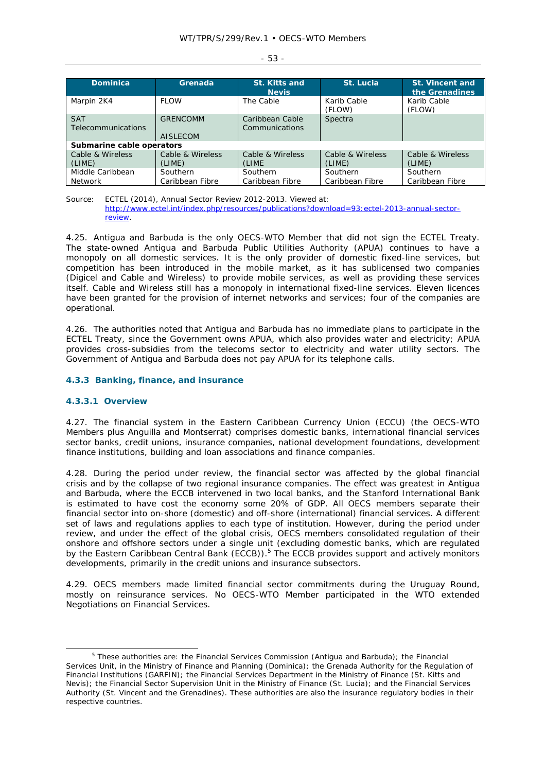| <b>Dominica</b>                         | Grenada                            | <b>St. Kitts and</b><br><b>Nevis</b> | St. Lucia                   | St. Vincent and<br>the Grenadines |  |  |  |
|-----------------------------------------|------------------------------------|--------------------------------------|-----------------------------|-----------------------------------|--|--|--|
| Marpin 2K4                              | <b>FI OW</b>                       | The Cable                            | Karib Cable<br>(FLOW)       | Karib Cable<br>(FLOW)             |  |  |  |
| <b>SAT</b><br><b>Telecommunications</b> | <b>GRENCOMM</b><br><b>AISLECOM</b> | Caribbean Cable<br>Communications    | Spectra                     |                                   |  |  |  |
| Submarine cable operators               |                                    |                                      |                             |                                   |  |  |  |
| Cable & Wireless<br>(LIME)              | Cable & Wireless<br>(LIME)         | Cable & Wireless<br>(LIME)           | Cable & Wireless<br>(LIME)  | Cable & Wireless<br>(LIME)        |  |  |  |
| Middle Caribbean<br><b>Network</b>      | Southern<br>Caribbean Fibre        | Southern<br>Caribbean Fibre          | Southern<br>Caribbean Fibre | Southern<br>Caribbean Fibre       |  |  |  |

Source: ECTEL (2014), *Annual Sector Review 2012-2013*. Viewed at: http://www.ectel.int/index.php/resources/publications?download=93:ectel-2013-annual-sectorreview.

4.25. Antigua and Barbuda is the only OECS-WTO Member that did not sign the ECTEL Treaty. The state-owned Antigua and Barbuda Public Utilities Authority (APUA) continues to have a monopoly on all domestic services. It is the only provider of domestic fixed-line services, but competition has been introduced in the mobile market, as it has sublicensed two companies (Digicel and Cable and Wireless) to provide mobile services, as well as providing these services itself. Cable and Wireless still has a monopoly in international fixed-line services. Eleven licences have been granted for the provision of internet networks and services; four of the companies are operational.

4.26. The authorities noted that Antigua and Barbuda has no immediate plans to participate in the ECTEL Treaty, since the Government owns APUA, which also provides water and electricity; APUA provides cross-subsidies from the telecoms sector to electricity and water utility sectors. The Government of Antigua and Barbuda does not pay APUA for its telephone calls.

#### **4.3.3 Banking, finance, and insurance**

#### **4.3.3.1 Overview**

4.27. The financial system in the Eastern Caribbean Currency Union (ECCU) (the OECS-WTO Members plus Anguilla and Montserrat) comprises domestic banks, international financial services sector banks, credit unions, insurance companies, national development foundations, development finance institutions, building and loan associations and finance companies.

4.28. During the period under review, the financial sector was affected by the global financial crisis and by the collapse of two regional insurance companies. The effect was greatest in Antigua and Barbuda, where the ECCB intervened in two local banks, and the Stanford International Bank is estimated to have cost the economy some 20% of GDP. All OECS members separate their financial sector into on-shore (domestic) and off-shore (international) financial services. A different set of laws and regulations applies to each type of institution. However, during the period under review, and under the effect of the global crisis, OECS members consolidated regulation of their onshore and offshore sectors under a single unit (excluding domestic banks, which are regulated by the Eastern Caribbean Central Bank (ECCB)).<sup>5</sup> The ECCB provides support and actively monitors developments, primarily in the credit unions and insurance subsectors.

4.29. OECS members made limited financial sector commitments during the Uruguay Round, mostly on reinsurance services. No OECS-WTO Member participated in the WTO extended Negotiations on Financial Services.

#### - 53 -

 $\frac{1}{5}$  $5$  These authorities are: the Financial Services Commission (Antigua and Barbuda); the Financial Services Unit, in the Ministry of Finance and Planning (Dominica); the Grenada Authority for the Regulation of Financial Institutions (GARFIN); the Financial Services Department in the Ministry of Finance (St. Kitts and Nevis); the Financial Sector Supervision Unit in the Ministry of Finance (St. Lucia); and the Financial Services Authority (St. Vincent and the Grenadines). These authorities are also the insurance regulatory bodies in their respective countries.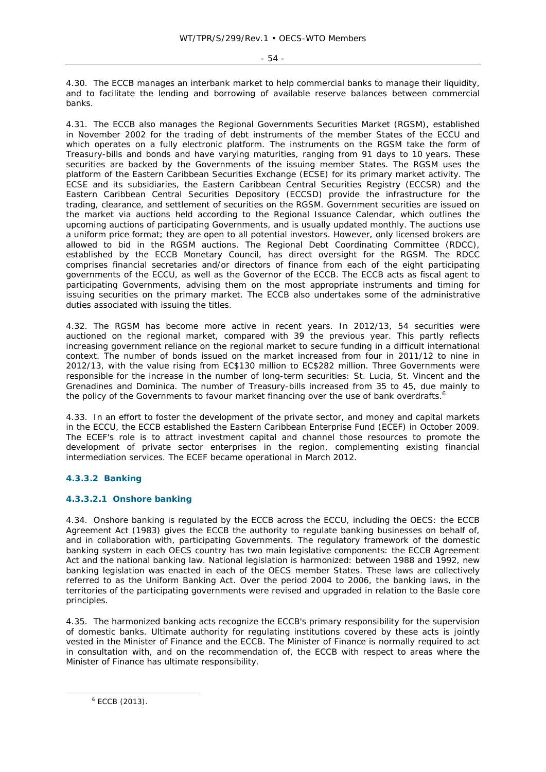$-54 -$ 

4.30. The ECCB manages an interbank market to help commercial banks to manage their liquidity, and to facilitate the lending and borrowing of available reserve balances between commercial banks.

4.31. The ECCB also manages the Regional Governments Securities Market (RGSM), established in November 2002 for the trading of debt instruments of the member States of the ECCU and which operates on a fully electronic platform. The instruments on the RGSM take the form of Treasury-bills and bonds and have varying maturities, ranging from 91 days to 10 years. These securities are backed by the Governments of the issuing member States. The RGSM uses the platform of the Eastern Caribbean Securities Exchange (ECSE) for its primary market activity. The ECSE and its subsidiaries, the Eastern Caribbean Central Securities Registry (ECCSR) and the Eastern Caribbean Central Securities Depository (ECCSD) provide the infrastructure for the trading, clearance, and settlement of securities on the RGSM. Government securities are issued on the market via auctions held according to the Regional Issuance Calendar, which outlines the upcoming auctions of participating Governments, and is usually updated monthly. The auctions use a uniform price format; they are open to all potential investors. However, only licensed brokers are allowed to bid in the RGSM auctions. The Regional Debt Coordinating Committee (RDCC), established by the ECCB Monetary Council, has direct oversight for the RGSM. The RDCC comprises financial secretaries and/or directors of finance from each of the eight participating governments of the ECCU, as well as the Governor of the ECCB. The ECCB acts as fiscal agent to participating Governments, advising them on the most appropriate instruments and timing for issuing securities on the primary market. The ECCB also undertakes some of the administrative duties associated with issuing the titles.

4.32. The RGSM has become more active in recent years. In 2012/13, 54 securities were auctioned on the regional market, compared with 39 the previous year. This partly reflects increasing government reliance on the regional market to secure funding in a difficult international context. The number of bonds issued on the market increased from four in 2011/12 to nine in 2012/13, with the value rising from EC\$130 million to EC\$282 million. Three Governments were responsible for the increase in the number of long-term securities: St. Lucia, St. Vincent and the Grenadines and Dominica. The number of Treasury-bills increased from 35 to 45, due mainly to the policy of the Governments to favour market financing over the use of bank overdrafts.<sup>6</sup>

4.33. In an effort to foster the development of the private sector, and money and capital markets in the ECCU, the ECCB established the Eastern Caribbean Enterprise Fund (ECEF) in October 2009. The ECEF's role is to attract investment capital and channel those resources to promote the development of private sector enterprises in the region, complementing existing financial intermediation services. The ECEF became operational in March 2012.

# **4.3.3.2 Banking**

# **4.3.3.2.1 Onshore banking**

4.34. Onshore banking is regulated by the ECCB across the ECCU, including the OECS: the ECCB Agreement Act (1983) gives the ECCB the authority to regulate banking businesses on behalf of, and in collaboration with, participating Governments. The regulatory framework of the domestic banking system in each OECS country has two main legislative components: the ECCB Agreement Act and the national banking law. National legislation is harmonized: between 1988 and 1992, new banking legislation was enacted in each of the OECS member States. These laws are collectively referred to as the Uniform Banking Act. Over the period 2004 to 2006, the banking laws, in the territories of the participating governments were revised and upgraded in relation to the Basle core principles.

4.35. The harmonized banking acts recognize the ECCB's primary responsibility for the supervision of domestic banks. Ultimate authority for regulating institutions covered by these acts is jointly vested in the Minister of Finance and the ECCB. The Minister of Finance is normally required to act in consultation with, and on the recommendation of, the ECCB with respect to areas where the Minister of Finance has ultimate responsibility.

 $\overline{\phantom{a}}$  $6$  ECCB (2013).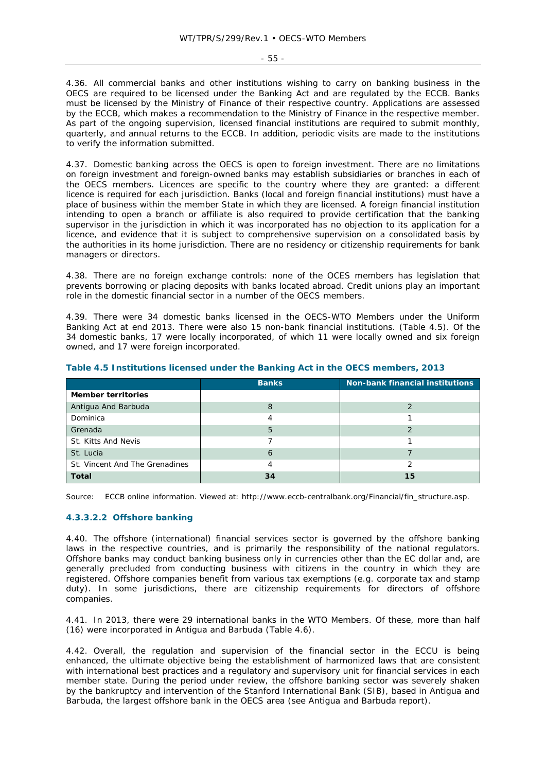- 55 -

4.36. All commercial banks and other institutions wishing to carry on banking business in the OECS are required to be licensed under the Banking Act and are regulated by the ECCB. Banks must be licensed by the Ministry of Finance of their respective country. Applications are assessed by the ECCB, which makes a recommendation to the Ministry of Finance in the respective member. As part of the ongoing supervision, licensed financial institutions are required to submit monthly, quarterly, and annual returns to the ECCB. In addition, periodic visits are made to the institutions to verify the information submitted.

4.37. Domestic banking across the OECS is open to foreign investment. There are no limitations on foreign investment and foreign-owned banks may establish subsidiaries or branches in each of the OECS members. Licences are specific to the country where they are granted: a different licence is required for each jurisdiction. Banks (local and foreign financial institutions) must have a place of business within the member State in which they are licensed. A foreign financial institution intending to open a branch or affiliate is also required to provide certification that the banking supervisor in the jurisdiction in which it was incorporated has no objection to its application for a licence, and evidence that it is subject to comprehensive supervision on a consolidated basis by the authorities in its home jurisdiction. There are no residency or citizenship requirements for bank managers or directors.

4.38. There are no foreign exchange controls: none of the OCES members has legislation that prevents borrowing or placing deposits with banks located abroad. Credit unions play an important role in the domestic financial sector in a number of the OECS members.

4.39. There were 34 domestic banks licensed in the OECS-WTO Members under the Uniform Banking Act at end 2013. There were also 15 non-bank financial institutions. (Table 4.5). Of the 34 domestic banks, 17 were locally incorporated, of which 11 were locally owned and six foreign owned, and 17 were foreign incorporated.

|                                | <b>Banks</b> | <b>Non-bank financial institutions</b> |  |
|--------------------------------|--------------|----------------------------------------|--|
| <b>Member territories</b>      |              |                                        |  |
| Antigua And Barbuda            | 8            |                                        |  |
| Dominica                       |              |                                        |  |
| Grenada                        | 5            |                                        |  |
| St. Kitts And Nevis            |              |                                        |  |
| St. Lucia                      | 6            |                                        |  |
| St. Vincent And The Grenadines |              |                                        |  |
| <b>Total</b>                   | 34           | 15                                     |  |

## **Table 4.5 Institutions licensed under the Banking Act in the OECS members, 2013**

Source: ECCB online information. Viewed at: http://www.eccb-centralbank.org/Financial/fin\_structure.asp.

# **4.3.3.2.2 Offshore banking**

4.40. The offshore (international) financial services sector is governed by the offshore banking laws in the respective countries, and is primarily the responsibility of the national regulators. Offshore banks may conduct banking business only in currencies other than the EC dollar and, are generally precluded from conducting business with citizens in the country in which they are registered. Offshore companies benefit from various tax exemptions (e.g. corporate tax and stamp duty). In some jurisdictions, there are citizenship requirements for directors of offshore companies.

4.41. In 2013, there were 29 international banks in the WTO Members. Of these, more than half (16) were incorporated in Antigua and Barbuda (Table 4.6).

4.42. Overall, the regulation and supervision of the financial sector in the ECCU is being enhanced, the ultimate objective being the establishment of harmonized laws that are consistent with international best practices and a regulatory and supervisory unit for financial services in each member state. During the period under review, the offshore banking sector was severely shaken by the bankruptcy and intervention of the Stanford International Bank (SIB), based in Antigua and Barbuda, the largest offshore bank in the OECS area (see Antigua and Barbuda report).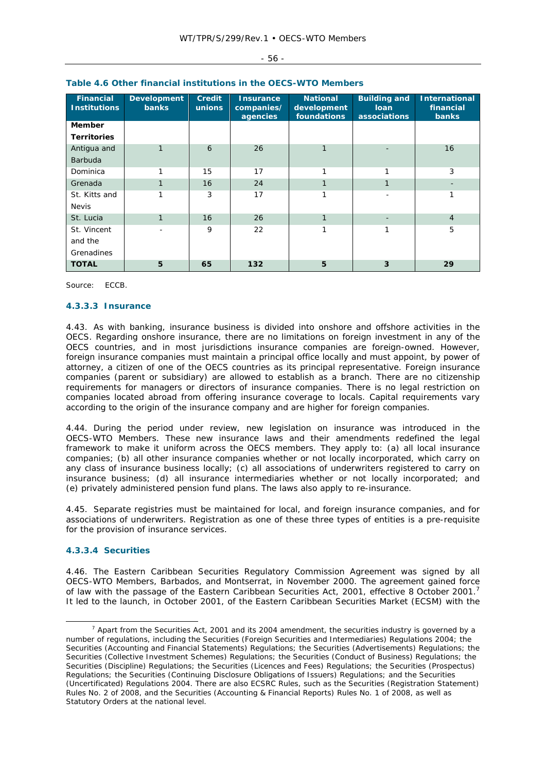| <b>Financial</b><br><b>Institutions</b> | <b>Development</b><br><b>banks</b> | <b>Credit</b><br>unions | <b>Insurance</b><br>companies/<br>agencies | <b>National</b><br>development<br>foundations | <b>Building and</b><br><b>loan</b><br>associations | <b>International</b><br>financial<br><b>banks</b> |
|-----------------------------------------|------------------------------------|-------------------------|--------------------------------------------|-----------------------------------------------|----------------------------------------------------|---------------------------------------------------|
| <b>Member</b>                           |                                    |                         |                                            |                                               |                                                    |                                                   |
| <b>Territories</b>                      |                                    |                         |                                            |                                               |                                                    |                                                   |
| Antigua and                             |                                    | 6                       | 26                                         | $\mathbf{1}$                                  |                                                    | 16                                                |
| <b>Barbuda</b>                          |                                    |                         |                                            |                                               |                                                    |                                                   |
| Dominica                                | 1                                  | 15                      | 17                                         | 1                                             | 1                                                  | 3                                                 |
| Grenada                                 |                                    | 16                      | 24                                         | $\mathbf{1}$                                  | 1                                                  |                                                   |
| St. Kitts and                           | 1                                  | 3                       | 17                                         | 1                                             |                                                    | 1                                                 |
| <b>Nevis</b>                            |                                    |                         |                                            |                                               |                                                    |                                                   |
| St. Lucia                               | $\mathbf{1}$                       | 16                      | 26                                         | 1                                             |                                                    | $\overline{4}$                                    |
| St. Vincent                             |                                    | 9                       | 22                                         | 1                                             | 1                                                  | 5                                                 |
| and the                                 |                                    |                         |                                            |                                               |                                                    |                                                   |
| Grenadines                              |                                    |                         |                                            |                                               |                                                    |                                                   |
| <b>TOTAL</b>                            | 5                                  | 65                      | 132                                        | 5                                             | 3                                                  | 29                                                |

# **Table 4.6 Other financial institutions in the OECS-WTO Members**

Source: ECCB.

#### **4.3.3.3 Insurance**

4.43. As with banking, insurance business is divided into onshore and offshore activities in the OECS. Regarding onshore insurance, there are no limitations on foreign investment in any of the OECS countries, and in most jurisdictions insurance companies are foreign-owned. However, foreign insurance companies must maintain a principal office locally and must appoint, by power of attorney, a citizen of one of the OECS countries as its principal representative. Foreign insurance companies (parent or subsidiary) are allowed to establish as a branch. There are no citizenship requirements for managers or directors of insurance companies. There is no legal restriction on companies located abroad from offering insurance coverage to locals. Capital requirements vary according to the origin of the insurance company and are higher for foreign companies.

4.44. During the period under review, new legislation on insurance was introduced in the OECS-WTO Members. These new insurance laws and their amendments redefined the legal framework to make it uniform across the OECS members. They apply to: (a) all local insurance companies; (b) all other insurance companies whether or not locally incorporated, which carry on any class of insurance business locally; (c) all associations of underwriters registered to carry on insurance business; (d) all insurance intermediaries whether or not locally incorporated; and (e) privately administered pension fund plans. The laws also apply to re-insurance.

4.45. Separate registries must be maintained for local, and foreign insurance companies, and for associations of underwriters. Registration as one of these three types of entities is a pre-requisite for the provision of insurance services.

## **4.3.3.4 Securities**

4.46. The Eastern Caribbean Securities Regulatory Commission Agreement was signed by all OECS-WTO Members, Barbados, and Montserrat, in November 2000. The agreement gained force of law with the passage of the Eastern Caribbean Securities Act, 2001, effective 8 October 2001.<sup>7</sup> It led to the launch, in October 2001, of the Eastern Caribbean Securities Market (ECSM) with the

#### - 56 -

 $\overline{\phantom{a}}$  $^7$  Apart from the Securities Act, 2001 and its 2004 amendment, the securities industry is governed by a number of regulations, including the Securities (Foreign Securities and Intermediaries) Regulations 2004; the Securities (Accounting and Financial Statements) Regulations; the Securities (Advertisements) Regulations; the Securities (Collective Investment Schemes) Regulations; the Securities (Conduct of Business) Regulations; the Securities (Discipline) Regulations; the Securities (Licences and Fees) Regulations; the Securities (Prospectus) Regulations; the Securities (Continuing Disclosure Obligations of Issuers) Regulations; and the Securities (Uncertificated) Regulations 2004. There are also ECSRC Rules, such as the Securities (Registration Statement) Rules No. 2 of 2008, and the Securities (Accounting & Financial Reports) Rules No. 1 of 2008, as well as Statutory Orders at the national level.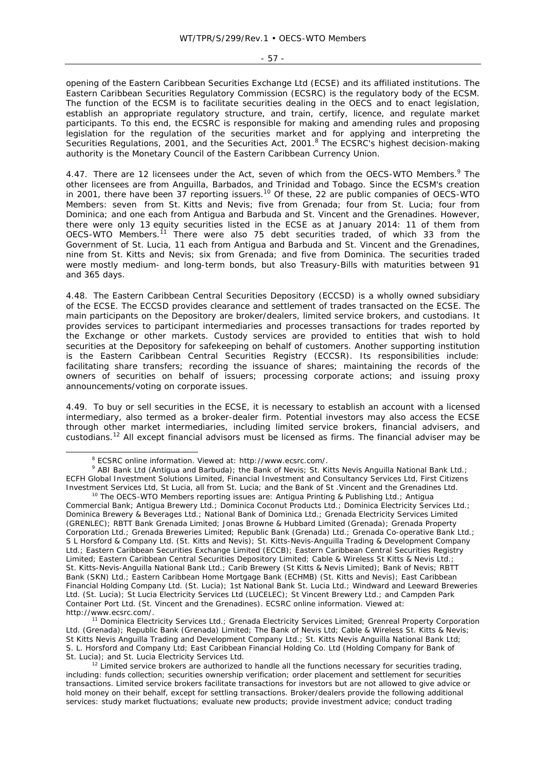- 57 -

opening of the Eastern Caribbean Securities Exchange Ltd (ECSE) and its affiliated institutions. The Eastern Caribbean Securities Regulatory Commission (ECSRC) is the regulatory body of the ECSM. The function of the ECSM is to facilitate securities dealing in the OECS and to enact legislation, establish an appropriate regulatory structure, and train, certify, licence, and regulate market participants. To this end, the ECSRC is responsible for making and amending rules and proposing legislation for the regulation of the securities market and for applying and interpreting the Securities Regulations, 2001, and the Securities Act, 2001.<sup>8</sup> The ECSRC's highest decision-making authority is the Monetary Council of the Eastern Caribbean Currency Union.

4.47. There are 12 licensees under the Act, seven of which from the OECS-WTO Members.<sup>9</sup> The other licensees are from Anguilla, Barbados, and Trinidad and Tobago. Since the ECSM's creation in 2001, there have been 37 reporting issuers.<sup>10</sup> Of these, 22 are public companies of OECS-WTO Members: seven from St. Kitts and Nevis; five from Grenada; four from St. Lucia; four from Dominica; and one each from Antigua and Barbuda and St. Vincent and the Grenadines. However, there were only 13 equity securities listed in the ECSE as at January 2014: 11 of them from OECS-WTO Members.11 There were also 75 debt securities traded, of which 33 from the Government of St. Lucia, 11 each from Antigua and Barbuda and St. Vincent and the Grenadines, nine from St. Kitts and Nevis; six from Grenada; and five from Dominica. The securities traded were mostly medium- and long-term bonds, but also Treasury-Bills with maturities between 91 and 365 days.

4.48. The Eastern Caribbean Central Securities Depository (ECCSD) is a wholly owned subsidiary of the ECSE. The ECCSD provides clearance and settlement of trades transacted on the ECSE. The main participants on the Depository are broker/dealers, limited service brokers, and custodians. It provides services to participant intermediaries and processes transactions for trades reported by the Exchange or other markets. Custody services are provided to entities that wish to hold securities at the Depository for safekeeping on behalf of customers. Another supporting institution is the Eastern Caribbean Central Securities Registry (ECCSR). Its responsibilities include: facilitating share transfers; recording the issuance of shares; maintaining the records of the owners of securities on behalf of issuers; processing corporate actions; and issuing proxy announcements/voting on corporate issues.

4.49. To buy or sell securities in the ECSE, it is necessary to establish an account with a licensed intermediary, also termed as a broker-dealer firm. Potential investors may also access the ECSE through other market intermediaries, including limited service brokers, financial advisers, and custodians.12 All except financial advisors must be licensed as firms. The financial adviser may be

 <sup>8</sup> <sup>8</sup> ECSRC online information. Viewed at: http://www.ecsrc.com/.

<sup>&</sup>lt;sup>9</sup> ABI Bank Ltd (Antigua and Barbuda); the Bank of Nevis; St. Kitts Nevis Anguilla National Bank Ltd.; ECFH Global Investment Solutions Limited, Financial Investment and Consultancy Services Ltd, First Citizens Investment Services Ltd, St Lucia, all from St. Lucia; and the Bank of St .Vincent and the Grenadines Ltd. <sup>10</sup> The OECS-WTO Members reporting issues are: Antigua Printing & Publishing Ltd.; Antigua

Commercial Bank; Antigua Brewery Ltd.; Dominica Coconut Products Ltd.; Dominica Electricity Services Ltd.; Dominica Brewery & Beverages Ltd.; National Bank of Dominica Ltd.; Grenada Electricity Services Limited (GRENLEC); RBTT Bank Grenada Limited; Jonas Browne & Hubbard Limited (Grenada); Grenada Property Corporation Ltd.; Grenada Breweries Limited; Republic Bank (Grenada) Ltd.; Grenada Co-operative Bank Ltd.; S L Horsford & Company Ltd. (St. Kitts and Nevis); St. Kitts-Nevis-Anguilla Trading & Development Company Ltd.; Eastern Caribbean Securities Exchange Limited (ECCB); Eastern Caribbean Central Securities Registry Limited; Eastern Caribbean Central Securities Depository Limited; Cable & Wireless St Kitts & Nevis Ltd.; St. Kitts-Nevis-Anguilla National Bank Ltd.; Carib Brewery (St Kitts & Nevis Limited); Bank of Nevis; RBTT Bank (SKN) Ltd.; Eastern Caribbean Home Mortgage Bank (ECHMB) (St. Kitts and Nevis); East Caribbean Financial Holding Company Ltd. (St. Lucia); 1st National Bank St. Lucia Ltd.; Windward and Leeward Breweries Ltd. (St. Lucia); St Lucia Electricity Services Ltd (LUCELEC); St Vincent Brewery Ltd.; and Campden Park Container Port Ltd. (St. Vincent and the Grenadines). ECSRC online information. Viewed at:

http://www.ecsrc.com/. 11 Dominica Electricity Services Ltd.; Grenada Electricity Services Limited; Grenreal Property Corporation Ltd. (Grenada); Republic Bank (Grenada) Limited; The Bank of Nevis Ltd; Cable & Wireless St. Kitts & Nevis; St Kitts Nevis Anguilla Trading and Development Company Ltd.; St. Kitts Nevis Anguilla National Bank Ltd; S. L. Horsford and Company Ltd; East Caribbean Financial Holding Co. Ltd (Holding Company for Bank of St. Lucia); and St. Lucia Electricity Services Ltd.<br><sup>12</sup> Limited service brokers are authorized to handle all the functions necessary for securities trading,

including: funds collection; securities ownership verification; order placement and settlement for securities transactions. Limited service brokers facilitate transactions for investors but are not allowed to give advice or hold money on their behalf, except for settling transactions. Broker/dealers provide the following additional services: study market fluctuations; evaluate new products; provide investment advice; conduct trading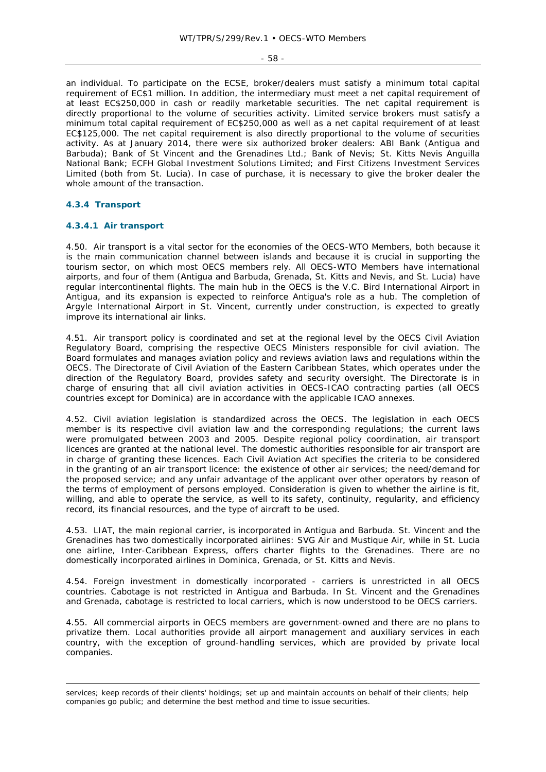$-58 -$ 

an individual. To participate on the ECSE, broker/dealers must satisfy a minimum total capital requirement of EC\$1 million. In addition, the intermediary must meet a net capital requirement of at least EC\$250,000 in cash or readily marketable securities. The net capital requirement is directly proportional to the volume of securities activity. Limited service brokers must satisfy a minimum total capital requirement of EC\$250,000 as well as a net capital requirement of at least EC\$125,000. The net capital requirement is also directly proportional to the volume of securities activity. As at January 2014, there were six authorized broker dealers: ABI Bank (Antigua and Barbuda); Bank of St Vincent and the Grenadines Ltd.; Bank of Nevis; St. Kitts Nevis Anguilla National Bank; ECFH Global Investment Solutions Limited; and First Citizens Investment Services Limited (both from St. Lucia). In case of purchase, it is necessary to give the broker dealer the whole amount of the transaction.

# **4.3.4 Transport**

-

# **4.3.4.1 Air transport**

4.50. Air transport is a vital sector for the economies of the OECS-WTO Members, both because it is the main communication channel between islands and because it is crucial in supporting the tourism sector, on which most OECS members rely. All OECS-WTO Members have international airports, and four of them (Antigua and Barbuda, Grenada, St. Kitts and Nevis, and St. Lucia) have regular intercontinental flights. The main hub in the OECS is the V.C. Bird International Airport in Antigua, and its expansion is expected to reinforce Antigua's role as a hub. The completion of Argyle International Airport in St. Vincent, currently under construction, is expected to greatly improve its international air links.

4.51. Air transport policy is coordinated and set at the regional level by the OECS Civil Aviation Regulatory Board, comprising the respective OECS Ministers responsible for civil aviation. The Board formulates and manages aviation policy and reviews aviation laws and regulations within the OECS. The Directorate of Civil Aviation of the Eastern Caribbean States, which operates under the direction of the Regulatory Board, provides safety and security oversight. The Directorate is in charge of ensuring that all civil aviation activities in OECS-ICAO contracting parties (all OECS countries except for Dominica) are in accordance with the applicable ICAO annexes.

4.52. Civil aviation legislation is standardized across the OECS. The legislation in each OECS member is its respective civil aviation law and the corresponding regulations; the current laws were promulgated between 2003 and 2005. Despite regional policy coordination, air transport licences are granted at the national level. The domestic authorities responsible for air transport are in charge of granting these licences. Each Civil Aviation Act specifies the criteria to be considered in the granting of an air transport licence: the existence of other air services; the need/demand for the proposed service; and any unfair advantage of the applicant over other operators by reason of the terms of employment of persons employed. Consideration is given to whether the airline is fit, willing, and able to operate the service, as well to its safety, continuity, regularity, and efficiency record, its financial resources, and the type of aircraft to be used.

4.53. LIAT, the main regional carrier, is incorporated in Antigua and Barbuda. St. Vincent and the Grenadines has two domestically incorporated airlines: SVG Air and Mustique Air, while in St. Lucia one airline, Inter-Caribbean Express, offers charter flights to the Grenadines. There are no domestically incorporated airlines in Dominica, Grenada, or St. Kitts and Nevis.

4.54. Foreign investment in domestically incorporated - carriers is unrestricted in all OECS countries. Cabotage is not restricted in Antigua and Barbuda. In St. Vincent and the Grenadines and Grenada, cabotage is restricted to local carriers, which is now understood to be OECS carriers.

4.55. All commercial airports in OECS members are government-owned and there are no plans to privatize them. Local authorities provide all airport management and auxiliary services in each country, with the exception of ground-handling services, which are provided by private local companies.

services; keep records of their clients' holdings; set up and maintain accounts on behalf of their clients; help companies go public; and determine the best method and time to issue securities.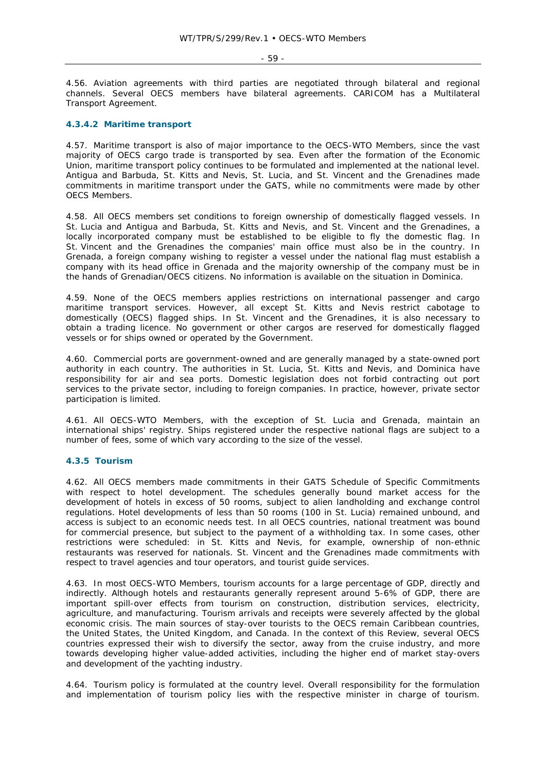#### - 59 -

4.56. Aviation agreements with third parties are negotiated through bilateral and regional channels. Several OECS members have bilateral agreements. CARICOM has a Multilateral Transport Agreement.

#### **4.3.4.2 Maritime transport**

4.57. Maritime transport is also of major importance to the OECS-WTO Members, since the vast majority of OECS cargo trade is transported by sea. Even after the formation of the Economic Union, maritime transport policy continues to be formulated and implemented at the national level. Antigua and Barbuda, St. Kitts and Nevis, St. Lucia, and St. Vincent and the Grenadines made commitments in maritime transport under the GATS, while no commitments were made by other OECS Members.

4.58. All OECS members set conditions to foreign ownership of domestically flagged vessels. In St. Lucia and Antigua and Barbuda, St. Kitts and Nevis, and St. Vincent and the Grenadines, a locally incorporated company must be established to be eligible to fly the domestic flag. In St. Vincent and the Grenadines the companies' main office must also be in the country. In Grenada, a foreign company wishing to register a vessel under the national flag must establish a company with its head office in Grenada and the majority ownership of the company must be in the hands of Grenadian/OECS citizens. No information is available on the situation in Dominica.

4.59. None of the OECS members applies restrictions on international passenger and cargo maritime transport services. However, all except St. Kitts and Nevis restrict cabotage to domestically (OECS) flagged ships. In St. Vincent and the Grenadines, it is also necessary to obtain a trading licence. No government or other cargos are reserved for domestically flagged vessels or for ships owned or operated by the Government.

4.60. Commercial ports are government-owned and are generally managed by a state-owned port authority in each country. The authorities in St. Lucia, St. Kitts and Nevis, and Dominica have responsibility for air and sea ports. Domestic legislation does not forbid contracting out port services to the private sector, including to foreign companies. In practice, however, private sector participation is limited.

4.61. All OECS-WTO Members, with the exception of St. Lucia and Grenada, maintain an international ships' registry. Ships registered under the respective national flags are subject to a number of fees, some of which vary according to the size of the vessel.

# **4.3.5 Tourism**

4.62. All OECS members made commitments in their GATS Schedule of Specific Commitments with respect to hotel development. The schedules generally bound market access for the development of hotels in excess of 50 rooms, subject to alien landholding and exchange control regulations. Hotel developments of less than 50 rooms (100 in St. Lucia) remained unbound, and access is subject to an economic needs test. In all OECS countries, national treatment was bound for commercial presence, but subject to the payment of a withholding tax. In some cases, other restrictions were scheduled: in St. Kitts and Nevis, for example, ownership of non-ethnic restaurants was reserved for nationals. St. Vincent and the Grenadines made commitments with respect to travel agencies and tour operators, and tourist guide services.

4.63. In most OECS-WTO Members, tourism accounts for a large percentage of GDP, directly and indirectly. Although hotels and restaurants generally represent around 5-6% of GDP, there are important spill-over effects from tourism on construction, distribution services, electricity, agriculture, and manufacturing. Tourism arrivals and receipts were severely affected by the global economic crisis. The main sources of stay-over tourists to the OECS remain Caribbean countries, the United States, the United Kingdom, and Canada. In the context of this Review, several OECS countries expressed their wish to diversify the sector, away from the cruise industry, and more towards developing higher value-added activities, including the higher end of market stay-overs and development of the yachting industry.

4.64. Tourism policy is formulated at the country level. Overall responsibility for the formulation and implementation of tourism policy lies with the respective minister in charge of tourism.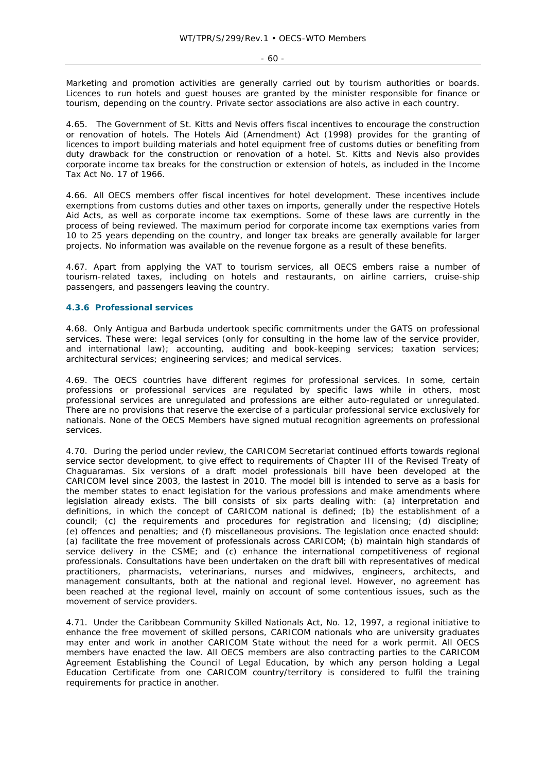Marketing and promotion activities are generally carried out by tourism authorities or boards. Licences to run hotels and guest houses are granted by the minister responsible for finance or tourism, depending on the country. Private sector associations are also active in each country.

4.65. The Government of St. Kitts and Nevis offers fiscal incentives to encourage the construction or renovation of hotels. The Hotels Aid (Amendment) Act (1998) provides for the granting of licences to import building materials and hotel equipment free of customs duties or benefiting from duty drawback for the construction or renovation of a hotel. St. Kitts and Nevis also provides corporate income tax breaks for the construction or extension of hotels, as included in the Income Tax Act No. 17 of 1966.

4.66. All OECS members offer fiscal incentives for hotel development. These incentives include exemptions from customs duties and other taxes on imports, generally under the respective Hotels Aid Acts, as well as corporate income tax exemptions. Some of these laws are currently in the process of being reviewed. The maximum period for corporate income tax exemptions varies from 10 to 25 years depending on the country, and longer tax breaks are generally available for larger projects. No information was available on the revenue forgone as a result of these benefits.

4.67. Apart from applying the VAT to tourism services, all OECS embers raise a number of tourism-related taxes, including on hotels and restaurants, on airline carriers, cruise-ship passengers, and passengers leaving the country.

## **4.3.6 Professional services**

4.68. Only Antigua and Barbuda undertook specific commitments under the GATS on professional services. These were: legal services (only for consulting in the home law of the service provider, and international law); accounting, auditing and book-keeping services; taxation services; architectural services; engineering services; and medical services.

4.69. The OECS countries have different regimes for professional services. In some, certain professions or professional services are regulated by specific laws while in others, most professional services are unregulated and professions are either auto-regulated or unregulated. There are no provisions that reserve the exercise of a particular professional service exclusively for nationals. None of the OECS Members have signed mutual recognition agreements on professional services.

4.70. During the period under review, the CARICOM Secretariat continued efforts towards regional service sector development, to give effect to requirements of Chapter III of the Revised Treaty of Chaguaramas. Six versions of a draft model professionals bill have been developed at the CARICOM level since 2003, the lastest in 2010. The model bill is intended to serve as a basis for the member states to enact legislation for the various professions and make amendments where legislation already exists. The bill consists of six parts dealing with: (a) interpretation and definitions, in which the concept of CARICOM national is defined; (b) the establishment of a council; (c) the requirements and procedures for registration and licensing; (d) discipline; (e) offences and penalties; and (f) miscellaneous provisions. The legislation once enacted should: (a) facilitate the free movement of professionals across CARICOM; (b) maintain high standards of service delivery in the CSME; and (c) enhance the international competitiveness of regional professionals. Consultations have been undertaken on the draft bill with representatives of medical practitioners, pharmacists, veterinarians, nurses and midwives, engineers, architects, and management consultants, both at the national and regional level. However, no agreement has been reached at the regional level, mainly on account of some contentious issues, such as the movement of service providers.

4.71. Under the Caribbean Community Skilled Nationals Act, No. 12, 1997, a regional initiative to enhance the free movement of skilled persons, CARICOM nationals who are university graduates may enter and work in another CARICOM State without the need for a work permit. All OECS members have enacted the law. All OECS members are also contracting parties to the CARICOM Agreement Establishing the Council of Legal Education, by which any person holding a Legal Education Certificate from one CARICOM country/territory is considered to fulfil the training requirements for practice in another.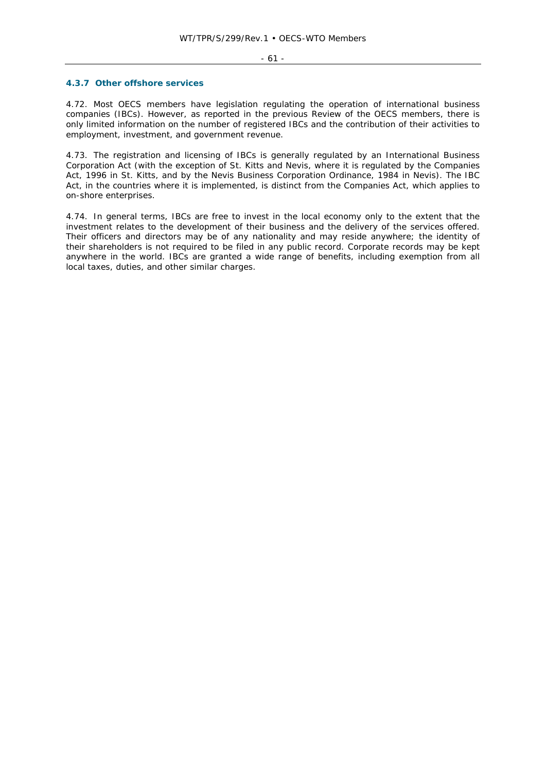#### - 61 -

#### **4.3.7 Other offshore services**

4.72. Most OECS members have legislation regulating the operation of international business companies (IBCs). However, as reported in the previous Review of the OECS members, there is only limited information on the number of registered IBCs and the contribution of their activities to employment, investment, and government revenue.

4.73. The registration and licensing of IBCs is generally regulated by an International Business Corporation Act (with the exception of St. Kitts and Nevis, where it is regulated by the Companies Act, 1996 in St. Kitts, and by the Nevis Business Corporation Ordinance, 1984 in Nevis). The IBC Act, in the countries where it is implemented, is distinct from the Companies Act, which applies to on-shore enterprises.

4.74. In general terms, IBCs are free to invest in the local economy only to the extent that the investment relates to the development of their business and the delivery of the services offered. Their officers and directors may be of any nationality and may reside anywhere; the identity of their shareholders is not required to be filed in any public record. Corporate records may be kept anywhere in the world. IBCs are granted a wide range of benefits, including exemption from all local taxes, duties, and other similar charges.